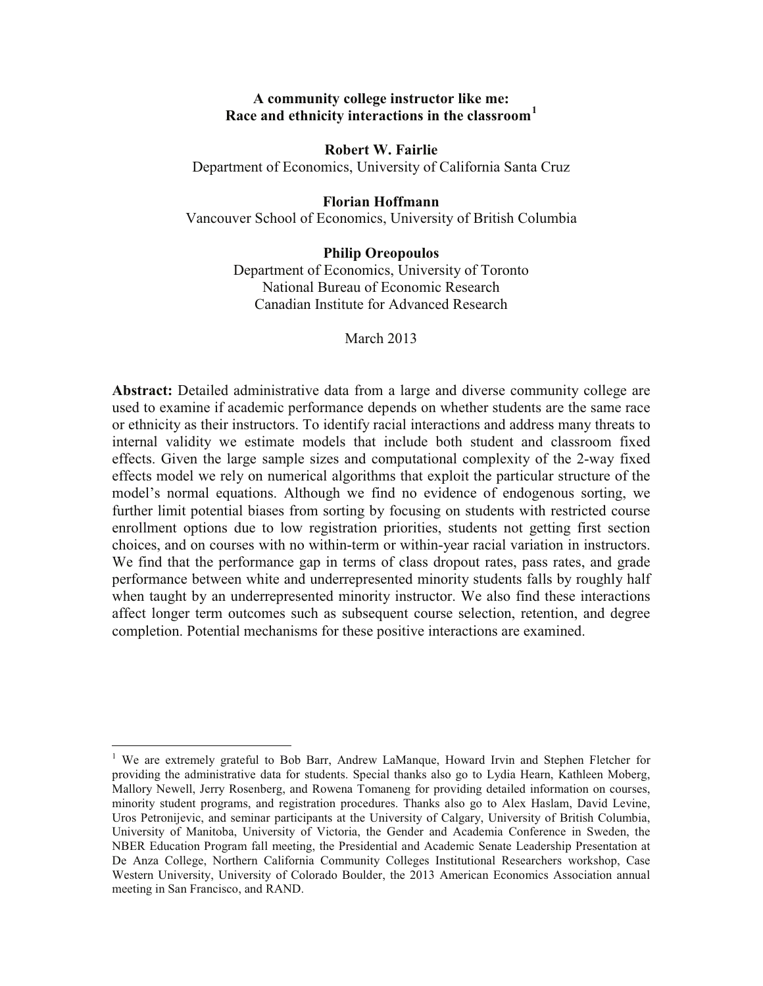# **A community college instructor like me: Race and ethnicity interactions in the classroom<sup>1</sup>**

**Robert W. Fairlie**

Department of Economics, University of California Santa Cruz

#### **Florian Hoffmann**

Vancouver School of Economics, University of British Columbia

### **Philip Oreopoulos**

Department of Economics, University of Toronto National Bureau of Economic Research Canadian Institute for Advanced Research

March 2013

**Abstract:** Detailed administrative data from a large and diverse community college are used to examine if academic performance depends on whether students are the same race or ethnicity as their instructors. To identify racial interactions and address many threats to internal validity we estimate models that include both student and classroom fixed effects. Given the large sample sizes and computational complexity of the 2-way fixed effects model we rely on numerical algorithms that exploit the particular structure of the model's normal equations. Although we find no evidence of endogenous sorting, we further limit potential biases from sorting by focusing on students with restricted course enrollment options due to low registration priorities, students not getting first section choices, and on courses with no within-term or within-year racial variation in instructors. We find that the performance gap in terms of class dropout rates, pass rates, and grade performance between white and underrepresented minority students falls by roughly half when taught by an underrepresented minority instructor. We also find these interactions affect longer term outcomes such as subsequent course selection, retention, and degree completion. Potential mechanisms for these positive interactions are examined.

<sup>&</sup>lt;sup>1</sup> We are extremely grateful to Bob Barr, Andrew LaManque, Howard Irvin and Stephen Fletcher for providing the administrative data for students. Special thanks also go to Lydia Hearn, Kathleen Moberg, Mallory Newell, Jerry Rosenberg, and Rowena Tomaneng for providing detailed information on courses, minority student programs, and registration procedures. Thanks also go to Alex Haslam, David Levine, Uros Petronijevic, and seminar participants at the University of Calgary, University of British Columbia, University of Manitoba, University of Victoria, the Gender and Academia Conference in Sweden, the NBER Education Program fall meeting, the Presidential and Academic Senate Leadership Presentation at De Anza College, Northern California Community Colleges Institutional Researchers workshop, Case Western University, University of Colorado Boulder, the 2013 American Economics Association annual meeting in San Francisco, and RAND.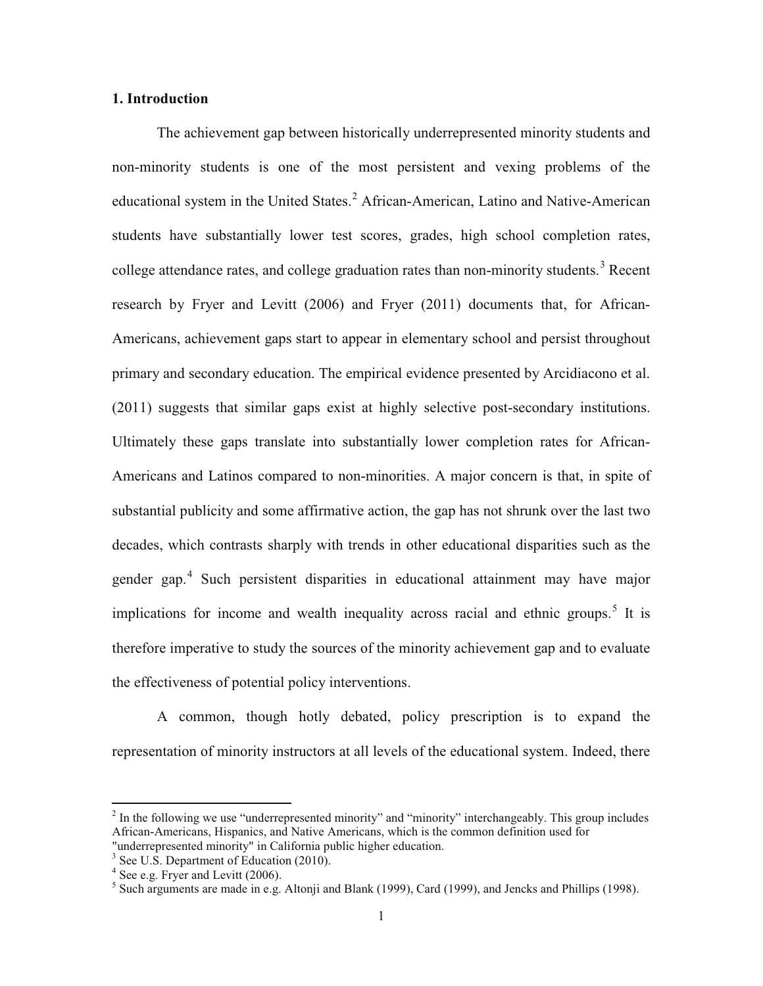# **1. Introduction**

The achievement gap between historically underrepresented minority students and non-minority students is one of the most persistent and vexing problems of the educational system in the United States.<sup>2</sup> African-American, Latino and Native-American students have substantially lower test scores, grades, high school completion rates, college attendance rates, and college graduation rates than non-minority students.<sup>3</sup> Recent research by Fryer and Levitt (2006) and Fryer (2011) documents that, for African-Americans, achievement gaps start to appear in elementary school and persist throughout primary and secondary education. The empirical evidence presented by Arcidiacono et al. (2011) suggests that similar gaps exist at highly selective post-secondary institutions. Ultimately these gaps translate into substantially lower completion rates for African-Americans and Latinos compared to non-minorities. A major concern is that, in spite of substantial publicity and some affirmative action, the gap has not shrunk over the last two decades, which contrasts sharply with trends in other educational disparities such as the gender gap.<sup>4</sup> Such persistent disparities in educational attainment may have major implications for income and wealth inequality across racial and ethnic groups.<sup>5</sup> It is therefore imperative to study the sources of the minority achievement gap and to evaluate the effectiveness of potential policy interventions.

A common, though hotly debated, policy prescription is to expand the representation of minority instructors at all levels of the educational system. Indeed, there

 $2$  In the following we use "underrepresented minority" and "minority" interchangeably. This group includes African-Americans, Hispanics, and Native Americans, which is the common definition used for "underrepresented minority" in California public higher education.

<sup>&</sup>lt;sup>3</sup> See U.S. Department of Education (2010).

 $4$  See e.g. Fryer and Levitt (2006).

<sup>&</sup>lt;sup>5</sup> Such arguments are made in e.g. Altonji and Blank (1999), Card (1999), and Jencks and Phillips (1998).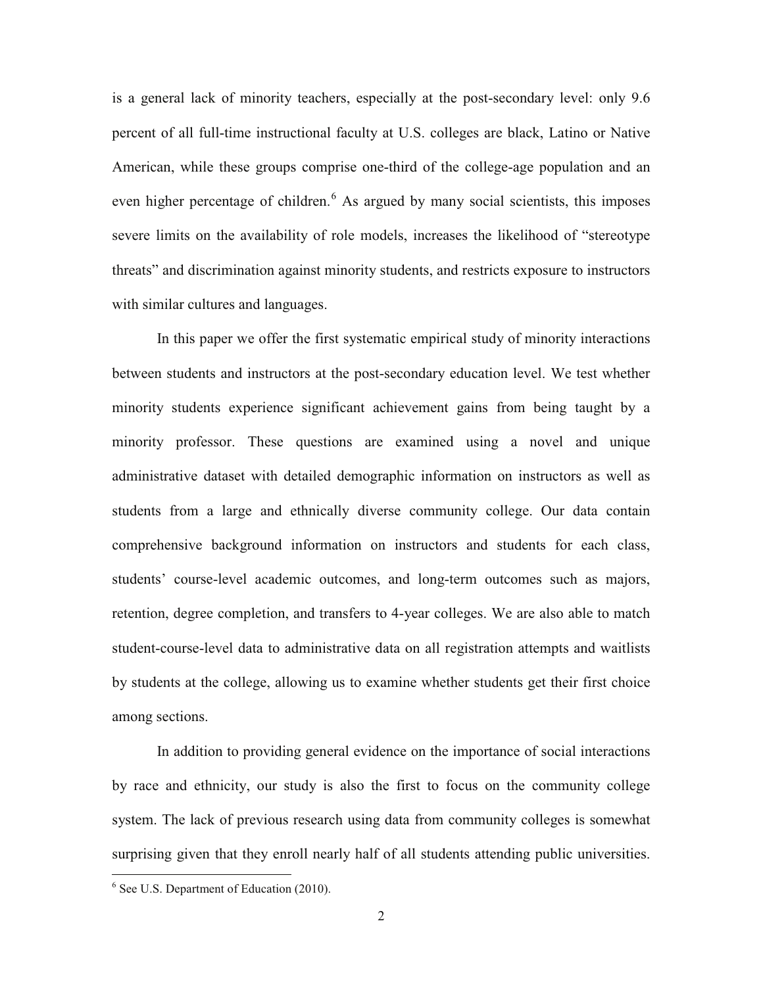is a general lack of minority teachers, especially at the post-secondary level: only 9.6 percent of all full-time instructional faculty at U.S. colleges are black, Latino or Native American, while these groups comprise one-third of the college-age population and an even higher percentage of children.<sup>6</sup> As argued by many social scientists, this imposes severe limits on the availability of role models, increases the likelihood of "stereotype threats" and discrimination against minority students, and restricts exposure to instructors with similar cultures and languages.

In this paper we offer the first systematic empirical study of minority interactions between students and instructors at the post-secondary education level. We test whether minority students experience significant achievement gains from being taught by a minority professor. These questions are examined using a novel and unique administrative dataset with detailed demographic information on instructors as well as students from a large and ethnically diverse community college. Our data contain comprehensive background information on instructors and students for each class, students' course-level academic outcomes, and long-term outcomes such as majors, retention, degree completion, and transfers to 4-year colleges. We are also able to match student-course-level data to administrative data on all registration attempts and waitlists by students at the college, allowing us to examine whether students get their first choice among sections.

In addition to providing general evidence on the importance of social interactions by race and ethnicity, our study is also the first to focus on the community college system. The lack of previous research using data from community colleges is somewhat surprising given that they enroll nearly half of all students attending public universities.

<sup>&</sup>lt;sup>6</sup> See U.S. Department of Education (2010).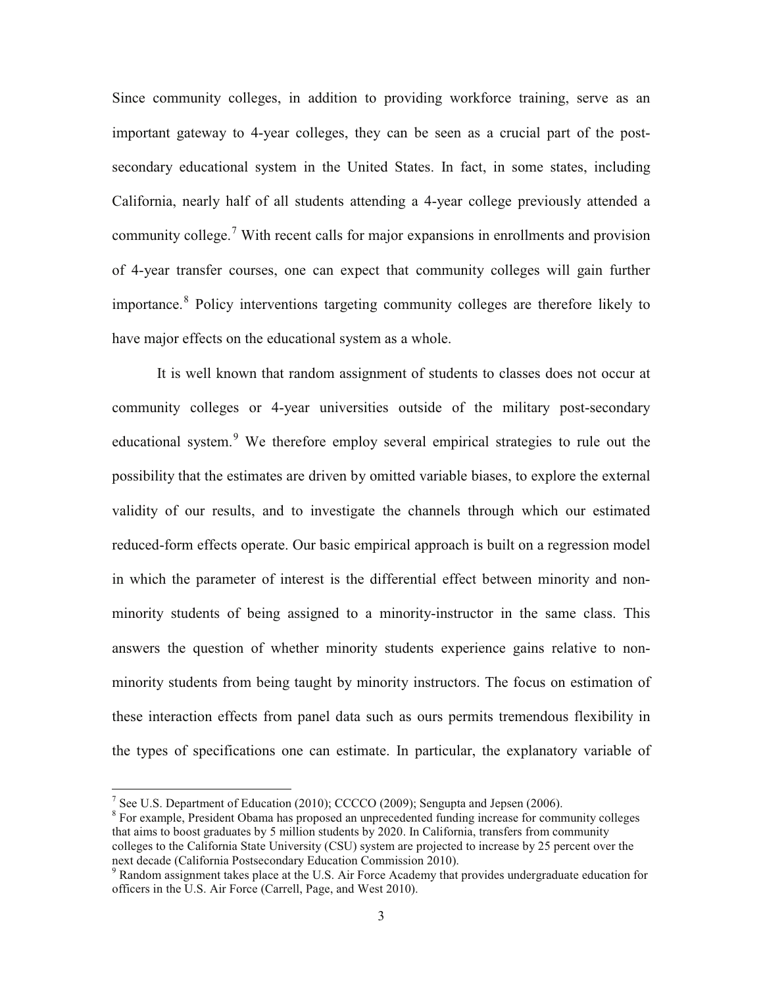Since community colleges, in addition to providing workforce training, serve as an important gateway to 4-year colleges, they can be seen as a crucial part of the postsecondary educational system in the United States. In fact, in some states, including California, nearly half of all students attending a 4-year college previously attended a community college.<sup>7</sup> With recent calls for major expansions in enrollments and provision of 4-year transfer courses, one can expect that community colleges will gain further importance.<sup>8</sup> Policy interventions targeting community colleges are therefore likely to have major effects on the educational system as a whole.

It is well known that random assignment of students to classes does not occur at community colleges or 4-year universities outside of the military post-secondary educational system.<sup>9</sup> We therefore employ several empirical strategies to rule out the possibility that the estimates are driven by omitted variable biases, to explore the external validity of our results, and to investigate the channels through which our estimated reduced-form effects operate. Our basic empirical approach is built on a regression model in which the parameter of interest is the differential effect between minority and nonminority students of being assigned to a minority-instructor in the same class. This answers the question of whether minority students experience gains relative to nonminority students from being taught by minority instructors. The focus on estimation of these interaction effects from panel data such as ours permits tremendous flexibility in the types of specifications one can estimate. In particular, the explanatory variable of

<sup>&</sup>lt;sup>7</sup> See U.S. Department of Education (2010); CCCCO (2009); Sengupta and Jepsen (2006).

<sup>&</sup>lt;sup>8</sup> For example, President Obama has proposed an unprecedented funding increase for community colleges that aims to boost graduates by 5 million students by 2020. In California, transfers from community colleges to the California State University (CSU) system are projected to increase by 25 percent over the next decade (California Postsecondary Education Commission 2010).

<sup>9</sup> Random assignment takes place at the U.S. Air Force Academy that provides undergraduate education for officers in the U.S. Air Force (Carrell, Page, and West 2010).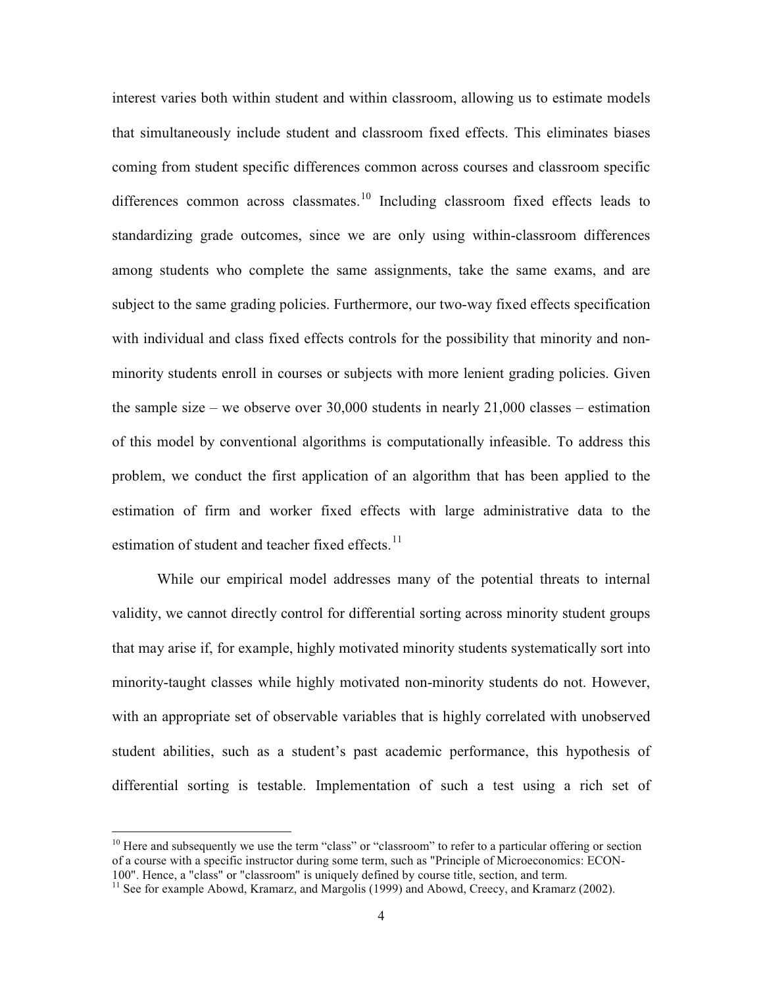interest varies both within student and within classroom, allowing us to estimate models that simultaneously include student and classroom fixed effects. This eliminates biases coming from student specific differences common across courses and classroom specific differences common across classmates.<sup>10</sup> Including classroom fixed effects leads to standardizing grade outcomes, since we are only using within-classroom differences among students who complete the same assignments, take the same exams, and are subject to the same grading policies. Furthermore, our two-way fixed effects specification with individual and class fixed effects controls for the possibility that minority and nonminority students enroll in courses or subjects with more lenient grading policies. Given the sample size – we observe over  $30,000$  students in nearly  $21,000$  classes – estimation of this model by conventional algorithms is computationally infeasible. To address this problem, we conduct the first application of an algorithm that has been applied to the estimation of firm and worker fixed effects with large administrative data to the estimation of student and teacher fixed effects. $^{11}$ 

While our empirical model addresses many of the potential threats to internal validity, we cannot directly control for differential sorting across minority student groups that may arise if, for example, highly motivated minority students systematically sort into minority-taught classes while highly motivated non-minority students do not. However, with an appropriate set of observable variables that is highly correlated with unobserved student abilities, such as a student's past academic performance, this hypothesis of differential sorting is testable. Implementation of such a test using a rich set of

 $10$  Here and subsequently we use the term "class" or "classroom" to refer to a particular offering or section of a course with a specific instructor during some term, such as "Principle of Microeconomics: ECON-100". Hence, a "class" or "classroom" is uniquely defined by course title, section, and term.

<sup>&</sup>lt;sup>11</sup> See for example Abowd, Kramarz, and Margolis (1999) and Abowd, Creecy, and Kramarz (2002).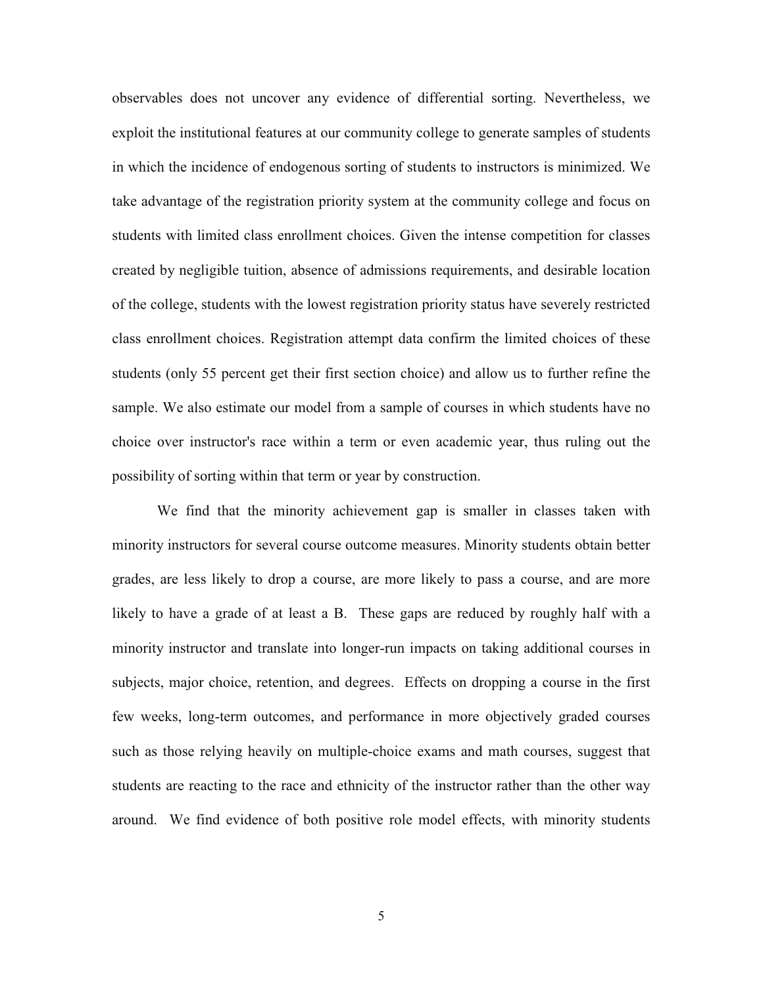observables does not uncover any evidence of differential sorting. Nevertheless, we exploit the institutional features at our community college to generate samples of students in which the incidence of endogenous sorting of students to instructors is minimized. We take advantage of the registration priority system at the community college and focus on students with limited class enrollment choices. Given the intense competition for classes created by negligible tuition, absence of admissions requirements, and desirable location of the college, students with the lowest registration priority status have severely restricted class enrollment choices. Registration attempt data confirm the limited choices of these students (only 55 percent get their first section choice) and allow us to further refine the sample. We also estimate our model from a sample of courses in which students have no choice over instructor's race within a term or even academic year, thus ruling out the possibility of sorting within that term or year by construction.

We find that the minority achievement gap is smaller in classes taken with minority instructors for several course outcome measures. Minority students obtain better grades, are less likely to drop a course, are more likely to pass a course, and are more likely to have a grade of at least a B. These gaps are reduced by roughly half with a minority instructor and translate into longer-run impacts on taking additional courses in subjects, major choice, retention, and degrees. Effects on dropping a course in the first few weeks, long-term outcomes, and performance in more objectively graded courses such as those relying heavily on multiple-choice exams and math courses, suggest that students are reacting to the race and ethnicity of the instructor rather than the other way around. We find evidence of both positive role model effects, with minority students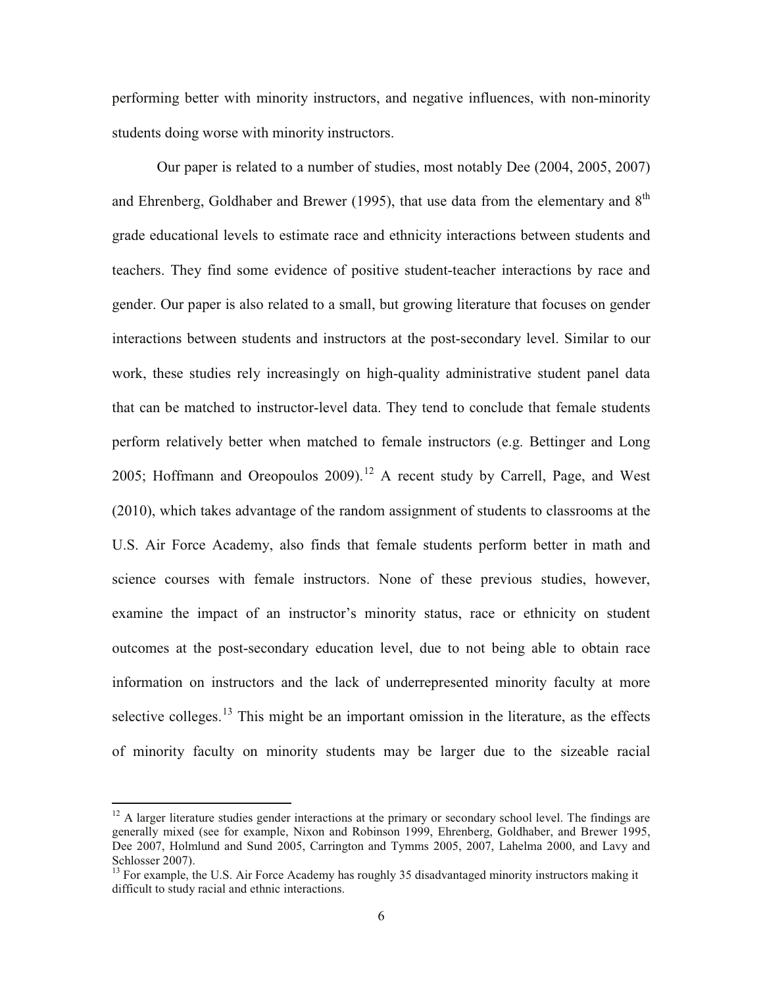performing better with minority instructors, and negative influences, with non-minority students doing worse with minority instructors.

Our paper is related to a number of studies, most notably Dee (2004, 2005, 2007) and Ehrenberg, Goldhaber and Brewer (1995), that use data from the elementary and  $8<sup>th</sup>$ grade educational levels to estimate race and ethnicity interactions between students and teachers. They find some evidence of positive student-teacher interactions by race and gender. Our paper is also related to a small, but growing literature that focuses on gender interactions between students and instructors at the post-secondary level. Similar to our work, these studies rely increasingly on high-quality administrative student panel data that can be matched to instructor-level data. They tend to conclude that female students perform relatively better when matched to female instructors (e.g. Bettinger and Long 2005; Hoffmann and Oreopoulos 2009).<sup>12</sup> A recent study by Carrell, Page, and West (2010), which takes advantage of the random assignment of students to classrooms at the U.S. Air Force Academy, also finds that female students perform better in math and science courses with female instructors. None of these previous studies, however, examine the impact of an instructor's minority status, race or ethnicity on student outcomes at the post-secondary education level, due to not being able to obtain race information on instructors and the lack of underrepresented minority faculty at more selective colleges.<sup>13</sup> This might be an important omission in the literature, as the effects of minority faculty on minority students may be larger due to the sizeable racial

 $12$  A larger literature studies gender interactions at the primary or secondary school level. The findings are generally mixed (see for example, Nixon and Robinson 1999, Ehrenberg, Goldhaber, and Brewer 1995, Dee 2007, Holmlund and Sund 2005, Carrington and Tymms 2005, 2007, Lahelma 2000, and Lavy and Schlosser 2007).

<sup>&</sup>lt;sup>13</sup> For example, the U.S. Air Force Academy has roughly 35 disadvantaged minority instructors making it difficult to study racial and ethnic interactions.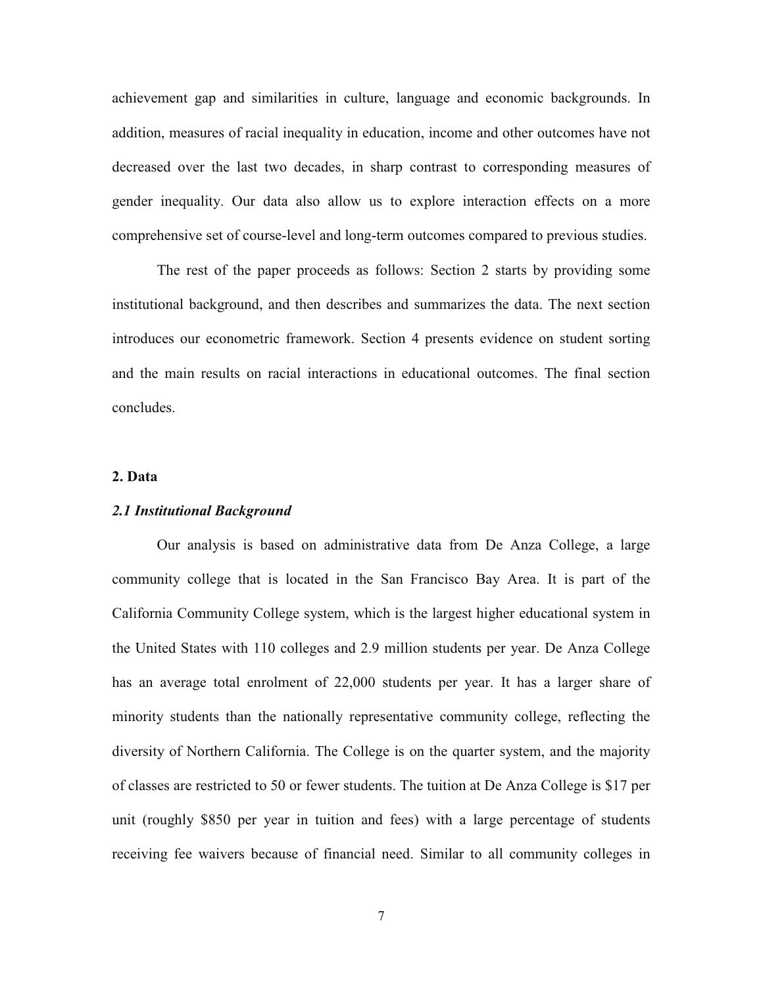achievement gap and similarities in culture, language and economic backgrounds. In addition, measures of racial inequality in education, income and other outcomes have not decreased over the last two decades, in sharp contrast to corresponding measures of gender inequality. Our data also allow us to explore interaction effects on a more comprehensive set of course-level and long-term outcomes compared to previous studies.

The rest of the paper proceeds as follows: Section 2 starts by providing some institutional background, and then describes and summarizes the data. The next section introduces our econometric framework. Section 4 presents evidence on student sorting and the main results on racial interactions in educational outcomes. The final section concludes.

#### **2. Data**

#### *2.1 Institutional Background*

Our analysis is based on administrative data from De Anza College, a large community college that is located in the San Francisco Bay Area. It is part of the California Community College system, which is the largest higher educational system in the United States with 110 colleges and 2.9 million students per year. De Anza College has an average total enrolment of 22,000 students per year. It has a larger share of minority students than the nationally representative community college, reflecting the diversity of Northern California. The College is on the quarter system, and the majority of classes are restricted to 50 or fewer students. The tuition at De Anza College is \$17 per unit (roughly \$850 per year in tuition and fees) with a large percentage of students receiving fee waivers because of financial need. Similar to all community colleges in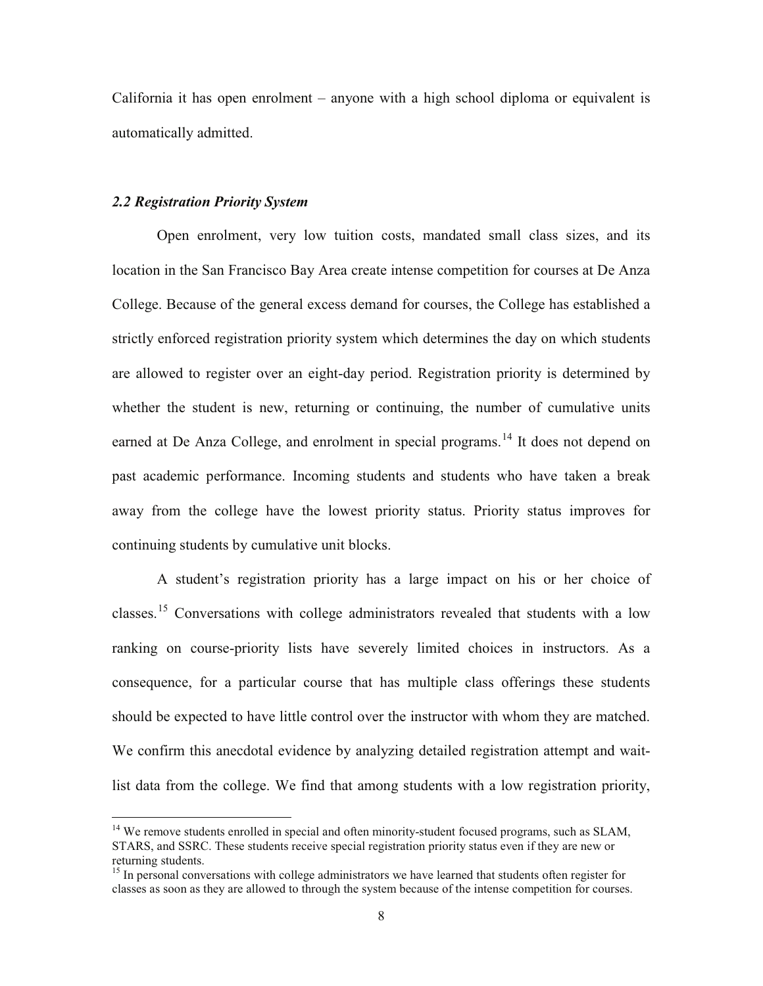California it has open enrolment – anyone with a high school diploma or equivalent is automatically admitted.

### *2.2 Registration Priority System*

Open enrolment, very low tuition costs, mandated small class sizes, and its location in the San Francisco Bay Area create intense competition for courses at De Anza College. Because of the general excess demand for courses, the College has established a strictly enforced registration priority system which determines the day on which students are allowed to register over an eight-day period. Registration priority is determined by whether the student is new, returning or continuing, the number of cumulative units earned at De Anza College, and enrolment in special programs.<sup>14</sup> It does not depend on past academic performance. Incoming students and students who have taken a break away from the college have the lowest priority status. Priority status improves for continuing students by cumulative unit blocks.

A student's registration priority has a large impact on his or her choice of classes.<sup>15</sup> Conversations with college administrators revealed that students with a low ranking on course-priority lists have severely limited choices in instructors. As a consequence, for a particular course that has multiple class offerings these students should be expected to have little control over the instructor with whom they are matched. We confirm this anecdotal evidence by analyzing detailed registration attempt and waitlist data from the college. We find that among students with a low registration priority,

<sup>&</sup>lt;sup>14</sup> We remove students enrolled in special and often minority-student focused programs, such as SLAM, STARS, and SSRC. These students receive special registration priority status even if they are new or returning students.

<sup>&</sup>lt;sup>15</sup> In personal conversations with college administrators we have learned that students often register for classes as soon as they are allowed to through the system because of the intense competition for courses.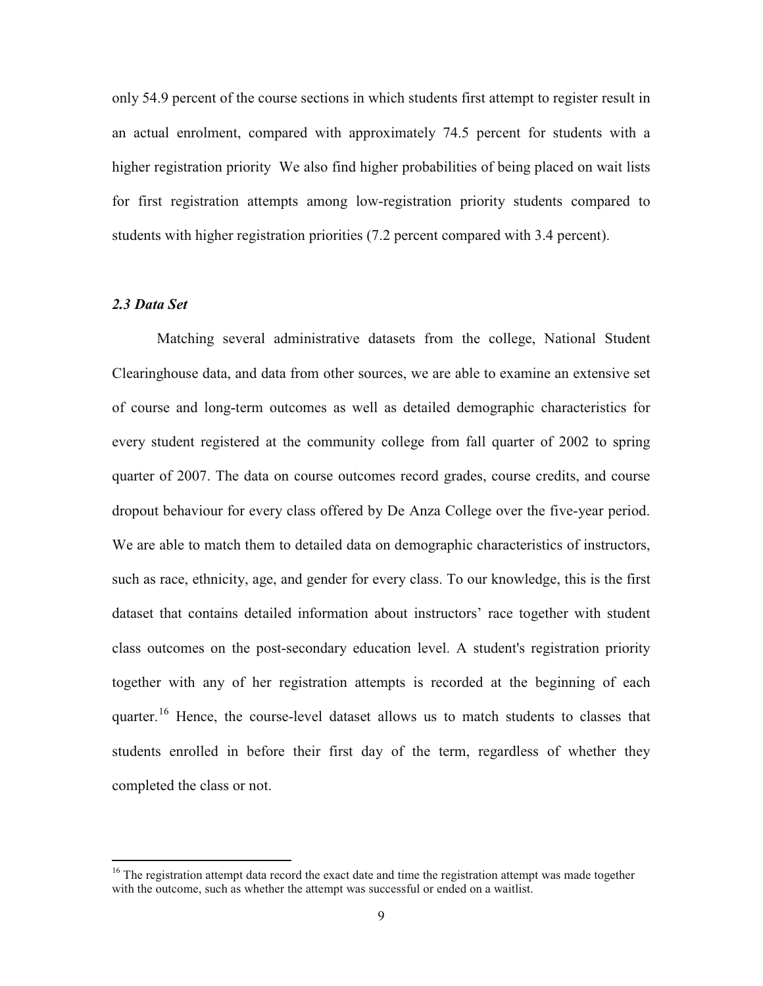only 54.9 percent of the course sections in which students first attempt to register result in an actual enrolment, compared with approximately 74.5 percent for students with a higher registration priority We also find higher probabilities of being placed on wait lists for first registration attempts among low-registration priority students compared to students with higher registration priorities (7.2 percent compared with 3.4 percent).

### *2.3 Data Set*

Matching several administrative datasets from the college, National Student Clearinghouse data, and data from other sources, we are able to examine an extensive set of course and long-term outcomes as well as detailed demographic characteristics for every student registered at the community college from fall quarter of 2002 to spring quarter of 2007. The data on course outcomes record grades, course credits, and course dropout behaviour for every class offered by De Anza College over the five-year period. We are able to match them to detailed data on demographic characteristics of instructors, such as race, ethnicity, age, and gender for every class. To our knowledge, this is the first dataset that contains detailed information about instructors' race together with student class outcomes on the post-secondary education level. A student's registration priority together with any of her registration attempts is recorded at the beginning of each quarter.<sup>16</sup> Hence, the course-level dataset allows us to match students to classes that students enrolled in before their first day of the term, regardless of whether they completed the class or not.

 $16$  The registration attempt data record the exact date and time the registration attempt was made together with the outcome, such as whether the attempt was successful or ended on a waitlist.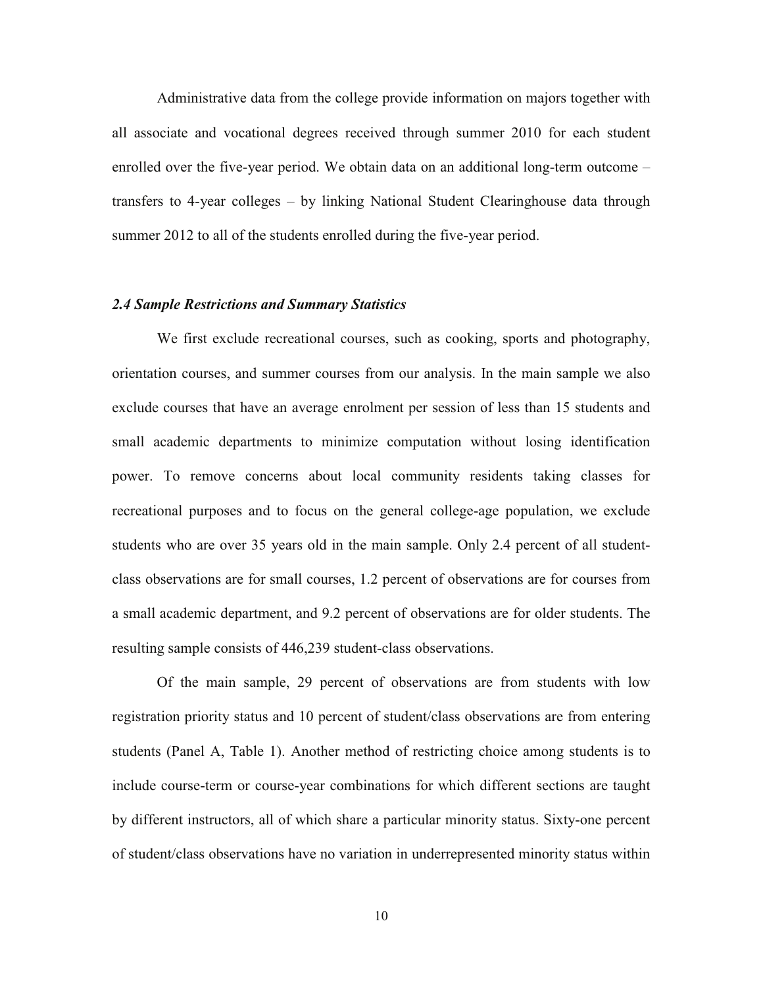Administrative data from the college provide information on majors together with all associate and vocational degrees received through summer 2010 for each student enrolled over the five-year period. We obtain data on an additional long-term outcome – transfers to 4-year colleges – by linking National Student Clearinghouse data through summer 2012 to all of the students enrolled during the five-year period.

### *2.4 Sample Restrictions and Summary Statistics*

We first exclude recreational courses, such as cooking, sports and photography, orientation courses, and summer courses from our analysis. In the main sample we also exclude courses that have an average enrolment per session of less than 15 students and small academic departments to minimize computation without losing identification power. To remove concerns about local community residents taking classes for recreational purposes and to focus on the general college-age population, we exclude students who are over 35 years old in the main sample. Only 2.4 percent of all studentclass observations are for small courses, 1.2 percent of observations are for courses from a small academic department, and 9.2 percent of observations are for older students. The resulting sample consists of 446,239 student-class observations.

Of the main sample, 29 percent of observations are from students with low registration priority status and 10 percent of student/class observations are from entering students (Panel A, Table 1). Another method of restricting choice among students is to include course-term or course-year combinations for which different sections are taught by different instructors, all of which share a particular minority status. Sixty-one percent of student/class observations have no variation in underrepresented minority status within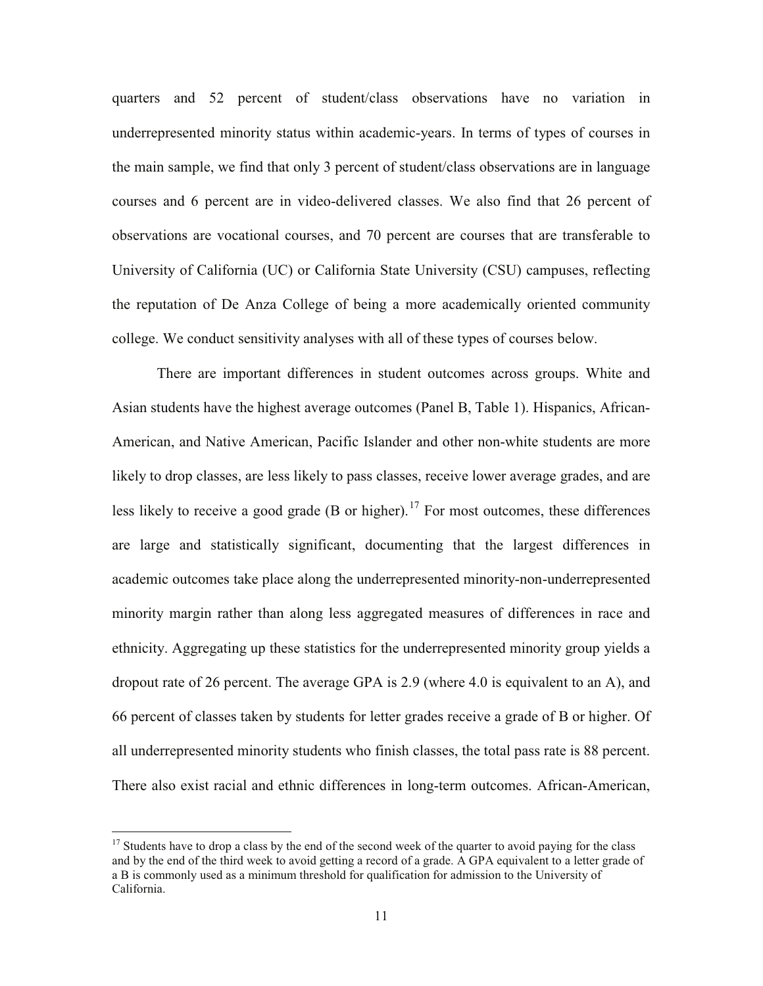quarters and 52 percent of student/class observations have no variation in underrepresented minority status within academic-years. In terms of types of courses in the main sample, we find that only 3 percent of student/class observations are in language courses and 6 percent are in video-delivered classes. We also find that 26 percent of observations are vocational courses, and 70 percent are courses that are transferable to University of California (UC) or California State University (CSU) campuses, reflecting the reputation of De Anza College of being a more academically oriented community college. We conduct sensitivity analyses with all of these types of courses below.

There are important differences in student outcomes across groups. White and Asian students have the highest average outcomes (Panel B, Table 1). Hispanics, African-American, and Native American, Pacific Islander and other non-white students are more likely to drop classes, are less likely to pass classes, receive lower average grades, and are less likely to receive a good grade (B or higher).<sup>17</sup> For most outcomes, these differences are large and statistically significant, documenting that the largest differences in academic outcomes take place along the underrepresented minority-non-underrepresented minority margin rather than along less aggregated measures of differences in race and ethnicity. Aggregating up these statistics for the underrepresented minority group yields a dropout rate of 26 percent. The average GPA is 2.9 (where 4.0 is equivalent to an A), and 66 percent of classes taken by students for letter grades receive a grade of B or higher. Of all underrepresented minority students who finish classes, the total pass rate is 88 percent. There also exist racial and ethnic differences in long-term outcomes. African-American,

 $17$  Students have to drop a class by the end of the second week of the quarter to avoid paying for the class and by the end of the third week to avoid getting a record of a grade. A GPA equivalent to a letter grade of a B is commonly used as a minimum threshold for qualification for admission to the University of California.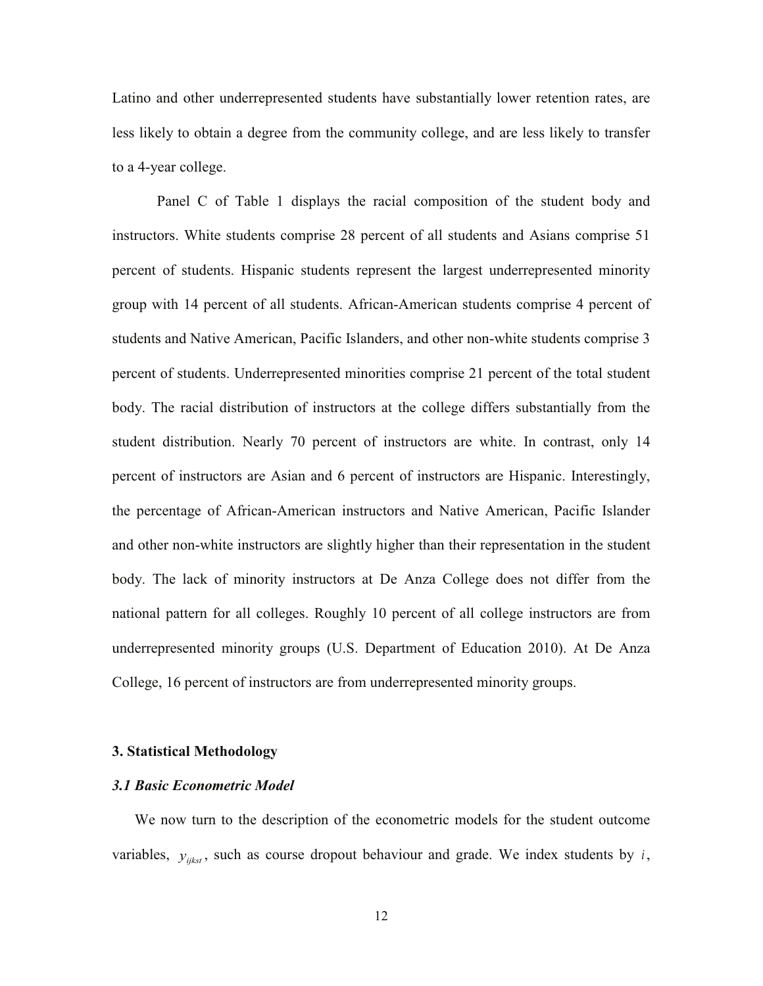Latino and other underrepresented students have substantially lower retention rates, are less likely to obtain a degree from the community college, and are less likely to transfer to a 4-year college.

Panel C of Table 1 displays the racial composition of the student body and instructors. White students comprise 28 percent of all students and Asians comprise 51 percent of students. Hispanic students represent the largest underrepresented minority group with 14 percent of all students. African-American students comprise 4 percent of students and Native American, Pacific Islanders, and other non-white students comprise 3 percent of students. Underrepresented minorities comprise 21 percent of the total student body. The racial distribution of instructors at the college differs substantially from the student distribution. Nearly 70 percent of instructors are white. In contrast, only 14 percent of instructors are Asian and 6 percent of instructors are Hispanic. Interestingly, the percentage of African-American instructors and Native American, Pacific Islander and other non-white instructors are slightly higher than their representation in the student body. The lack of minority instructors at De Anza College does not differ from the national pattern for all colleges. Roughly 10 percent of all college instructors are from underrepresented minority groups (U.S. Department of Education 2010). At De Anza College, 16 percent of instructors are from underrepresented minority groups.

#### **3. Statistical Methodology**

#### *3.1 Basic Econometric Model*

We now turn to the description of the econometric models for the student outcome variables,  $y_{\text{inter}}$ , such as course dropout behaviour and grade. We index students by *i*,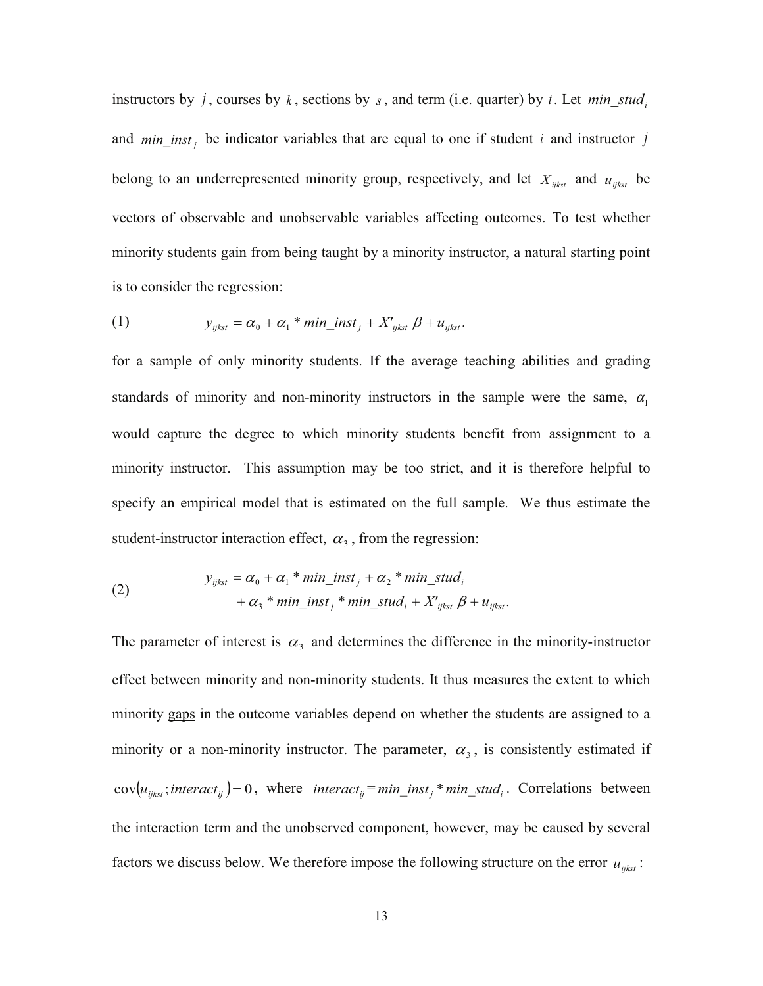instructors by *j*, courses by *k*, sections by *s*, and term (i.e. quarter) by *t*. Let  $min\_stud_i$ and  $min\_inst_j$  be indicator variables that are equal to one if student *i* and instructor *j* belong to an underrepresented minority group, respectively, and let  $X_{ijkst}$  and  $u_{ijkst}$  be vectors of observable and unobservable variables affecting outcomes. To test whether minority students gain from being taught by a minority instructor, a natural starting point is to consider the regression:

(1) 
$$
y_{ijkst} = \alpha_0 + \alpha_1 * min\_inst_j + X'_{ijkst} \beta + u_{ijkst}.
$$

for a sample of only minority students. If the average teaching abilities and grading standards of minority and non-minority instructors in the sample were the same,  $\alpha_1$ would capture the degree to which minority students benefit from assignment to a minority instructor. This assumption may be too strict, and it is therefore helpful to specify an empirical model that is estimated on the full sample. We thus estimate the student-instructor interaction effect,  $\alpha_3$ , from the regression:

(2) 
$$
y_{ijkst} = \alpha_0 + \alpha_1 * min\_inst_j + \alpha_2 * min\_stud_i
$$

$$
+ \alpha_3 * min\_inst_j * min\_stud_i + X'_{ijkst} \beta + u_{ijkst}.
$$

The parameter of interest is  $\alpha_3$  and determines the difference in the minority-instructor effect between minority and non-minority students. It thus measures the extent to which minority gaps in the outcome variables depend on whether the students are assigned to a minority or a non-minority instructor. The parameter,  $\alpha_3$ , is consistently estimated if  $cov(u_{ijkst}; interact_{ij}) = 0$ , where  $interact_{ij} = min\_inst_j * min\_stud_i$ . Correlations between the interaction term and the unobserved component, however, may be caused by several factors we discuss below. We therefore impose the following structure on the error  $u_{ijkst}$ :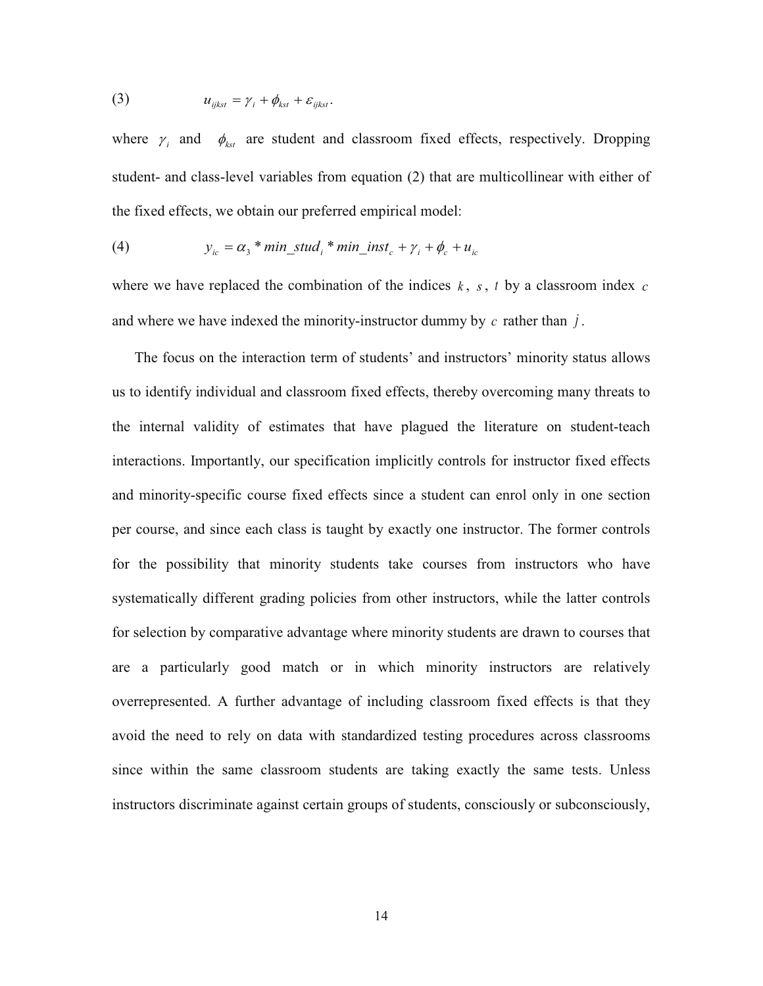(3) 
$$
u_{ijkst} = \gamma_i + \phi_{kst} + \varepsilon_{ijkst}.
$$

where  $\gamma_i$  and  $\phi_{kst}$  are student and classroom fixed effects, respectively. Dropping student- and class-level variables from equation (2) that are multicollinear with either of the fixed effects, we obtain our preferred empirical model:

(4) 
$$
y_{ic} = \alpha_3 * min\_stud_i * min\_inst_c + \gamma_i + \phi_c + u_{ic}
$$

where we have replaced the combination of the indices *k* , *s*, *t* by a classroom index *c* and where we have indexed the minority-instructor dummy by *c* rather than *j* .

The focus on the interaction term of students' and instructors' minority status allows us to identify individual and classroom fixed effects, thereby overcoming many threats to the internal validity of estimates that have plagued the literature on student-teach interactions. Importantly, our specification implicitly controls for instructor fixed effects and minority-specific course fixed effects since a student can enrol only in one section per course, and since each class is taught by exactly one instructor. The former controls for the possibility that minority students take courses from instructors who have systematically different grading policies from other instructors, while the latter controls for selection by comparative advantage where minority students are drawn to courses that are a particularly good match or in which minority instructors are relatively overrepresented. A further advantage of including classroom fixed effects is that they avoid the need to rely on data with standardized testing procedures across classrooms since within the same classroom students are taking exactly the same tests. Unless instructors discriminate against certain groups of students, consciously or subconsciously,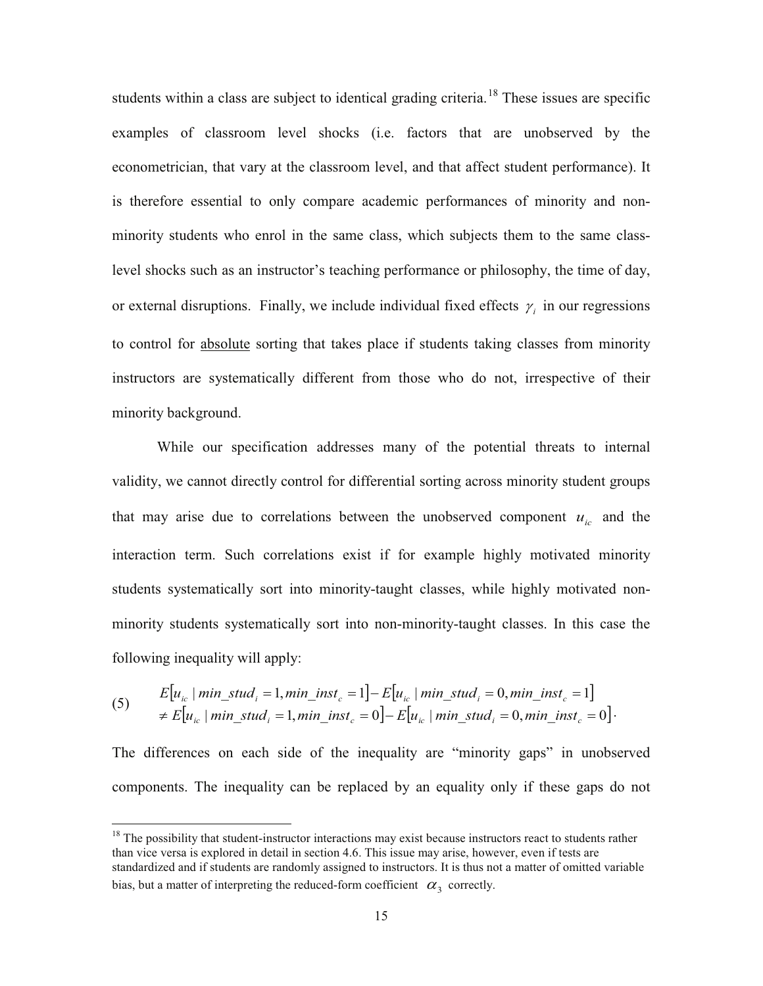students within a class are subject to identical grading criteria.<sup>18</sup> These issues are specific or external disruptions. Finally, we include individual fixed effects  $\gamma_i$  in our regressions examples of classroom level shocks (i.e. factors that are unobserved by the econometrician, that vary at the classroom level, and that affect student performance). It is therefore essential to only compare academic performances of minority and nonminority students who enrol in the same class, which subjects them to the same classlevel shocks such as an instructor's teaching performance or philosophy, the time of day, to control for absolute sorting that takes place if students taking classes from minority instructors are systematically different from those who do not, irrespective of their minority background.

While our specification addresses many of the potential threats to internal validity, we cannot directly control for differential sorting across minority student groups that may arise due to correlations between the unobserved component  $u_{ic}$  and the interaction term. Such correlations exist if for example highly motivated minority students systematically sort into minority-taught classes, while highly motivated nonminority students systematically sort into non-minority-taught classes. In this case the following inequality will apply:

$$
(5) \qquad E[u_{ic} \mid min\_stud_i = 1, min\_inst_c = 1] - E[u_{ic} \mid min\_stud_i = 0, min\_inst_c = 1]
$$
\n
$$
\neq E[u_{ic} \mid min\_stud_i = 1, min\_inst_c = 0] - E[u_{ic} \mid min\_stud_i = 0, min\_inst_c = 0].
$$

The differences on each side of the inequality are "minority gaps" in unobserved components. The inequality can be replaced by an equality only if these gaps do not

<sup>&</sup>lt;sup>18</sup> The possibility that student-instructor interactions may exist because instructors react to students rather than vice versa is explored in detail in section 4.6. This issue may arise, however, even if tests are standardized and if students are randomly assigned to instructors. It is thus not a matter of omitted variable bias, but a matter of interpreting the reduced-form coefficient  $\alpha_3$  correctly.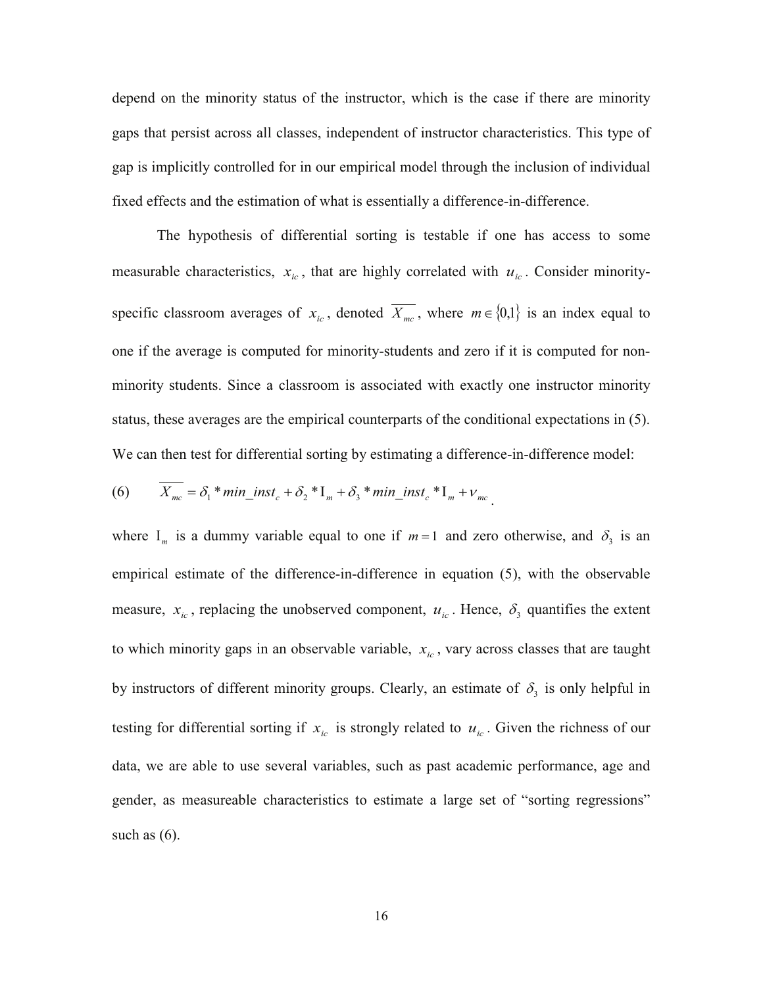depend on the minority status of the instructor, which is the case if there are minority gaps that persist across all classes, independent of instructor characteristics. This type of gap is implicitly controlled for in our empirical model through the inclusion of individual fixed effects and the estimation of what is essentially a difference-in-difference.

The hypothesis of differential sorting is testable if one has access to some measurable characteristics,  $x_i$ , that are highly correlated with  $u_i$ . Consider minorityspecific classroom averages of  $x_{ic}$ , denoted  $\overline{X_{mc}}$ , where  $m \in \{0,1\}$  is an index equal to one if the average is computed for minority-students and zero if it is computed for nonminority students. Since a classroom is associated with exactly one instructor minority status, these averages are the empirical counterparts of the conditional expectations in (5). We can then test for differential sorting by estimating a difference-in-difference model:

(6) 
$$
X_{mc} = \delta_1 * min\_inst_c + \delta_2 * I_m + \delta_3 * min\_inst_c * I_m + \nu_{mc}.
$$

where  $I_m$  is a dummy variable equal to one if  $m=1$  and zero otherwise, and  $\delta_3$  is an empirical estimate of the difference-in-difference in equation (5), with the observable measure,  $x_{ic}$ , replacing the unobserved component,  $u_{ic}$ . Hence,  $\delta_3$  quantifies the extent to which minority gaps in an observable variable,  $x_{ic}$ , vary across classes that are taught by instructors of different minority groups. Clearly, an estimate of  $\delta_3$  is only helpful in testing for differential sorting if  $x_{ic}$  is strongly related to  $u_{ic}$ . Given the richness of our data, we are able to use several variables, such as past academic performance, age and gender, as measureable characteristics to estimate a large set of "sorting regressions" such as  $(6)$ .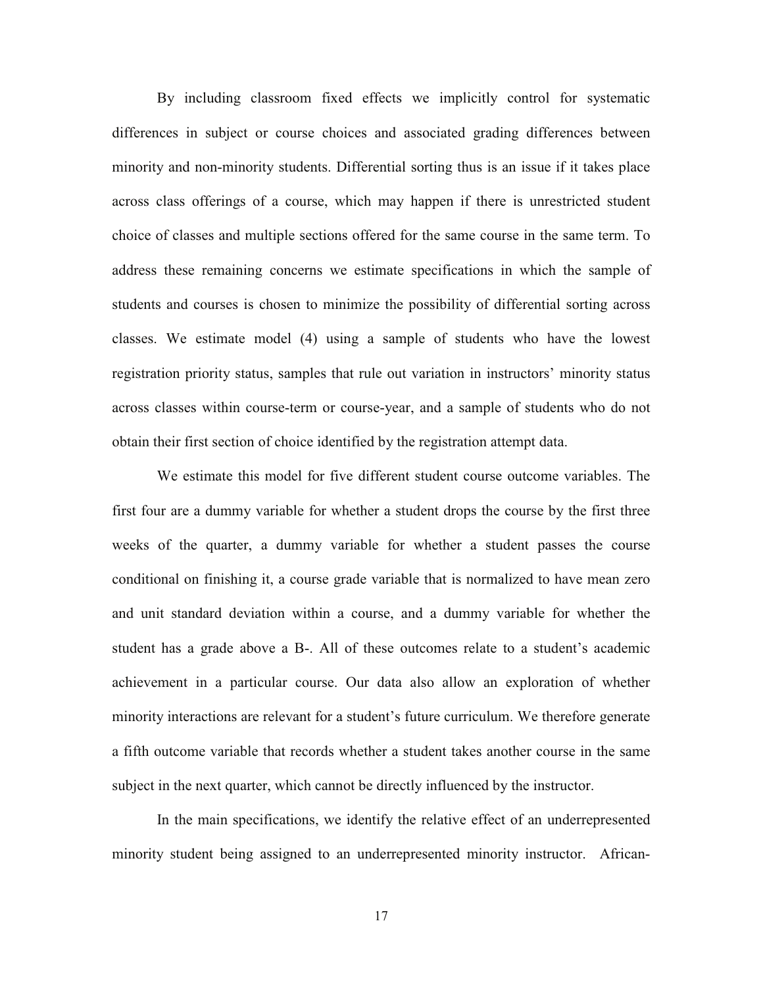By including classroom fixed effects we implicitly control for systematic differences in subject or course choices and associated grading differences between minority and non-minority students. Differential sorting thus is an issue if it takes place across class offerings of a course, which may happen if there is unrestricted student choice of classes and multiple sections offered for the same course in the same term. To address these remaining concerns we estimate specifications in which the sample of students and courses is chosen to minimize the possibility of differential sorting across classes. We estimate model (4) using a sample of students who have the lowest registration priority status, samples that rule out variation in instructors' minority status across classes within course-term or course-year, and a sample of students who do not obtain their first section of choice identified by the registration attempt data.

We estimate this model for five different student course outcome variables. The first four are a dummy variable for whether a student drops the course by the first three weeks of the quarter, a dummy variable for whether a student passes the course conditional on finishing it, a course grade variable that is normalized to have mean zero and unit standard deviation within a course, and a dummy variable for whether the student has a grade above a B-. All of these outcomes relate to a student's academic achievement in a particular course. Our data also allow an exploration of whether minority interactions are relevant for a student's future curriculum. We therefore generate a fifth outcome variable that records whether a student takes another course in the same subject in the next quarter, which cannot be directly influenced by the instructor.

In the main specifications, we identify the relative effect of an underrepresented minority student being assigned to an underrepresented minority instructor. African-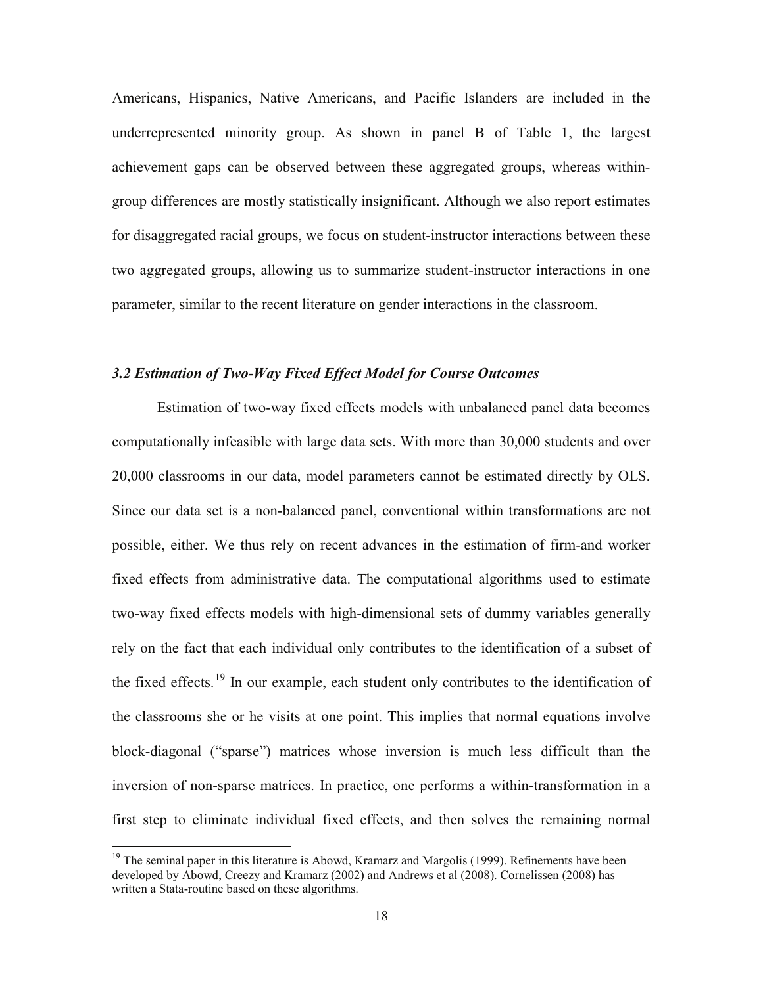Americans, Hispanics, Native Americans, and Pacific Islanders are included in the underrepresented minority group. As shown in panel B of Table 1, the largest achievement gaps can be observed between these aggregated groups, whereas withingroup differences are mostly statistically insignificant. Although we also report estimates for disaggregated racial groups, we focus on student-instructor interactions between these two aggregated groups, allowing us to summarize student-instructor interactions in one parameter, similar to the recent literature on gender interactions in the classroom.

# *3.2 Estimation of Two-Way Fixed Effect Model for Course Outcomes*

Estimation of two-way fixed effects models with unbalanced panel data becomes computationally infeasible with large data sets. With more than 30,000 students and over 20,000 classrooms in our data, model parameters cannot be estimated directly by OLS. Since our data set is a non-balanced panel, conventional within transformations are not possible, either. We thus rely on recent advances in the estimation of firm-and worker fixed effects from administrative data. The computational algorithms used to estimate two-way fixed effects models with high-dimensional sets of dummy variables generally rely on the fact that each individual only contributes to the identification of a subset of the fixed effects.<sup>19</sup> In our example, each student only contributes to the identification of the classrooms she or he visits at one point. This implies that normal equations involve block-diagonal ("sparse") matrices whose inversion is much less difficult than the inversion of non-sparse matrices. In practice, one performs a within-transformation in a first step to eliminate individual fixed effects, and then solves the remaining normal

 $19$  The seminal paper in this literature is Abowd, Kramarz and Margolis (1999). Refinements have been developed by Abowd, Creezy and Kramarz (2002) and Andrews et al (2008). Cornelissen (2008) has written a Stata-routine based on these algorithms.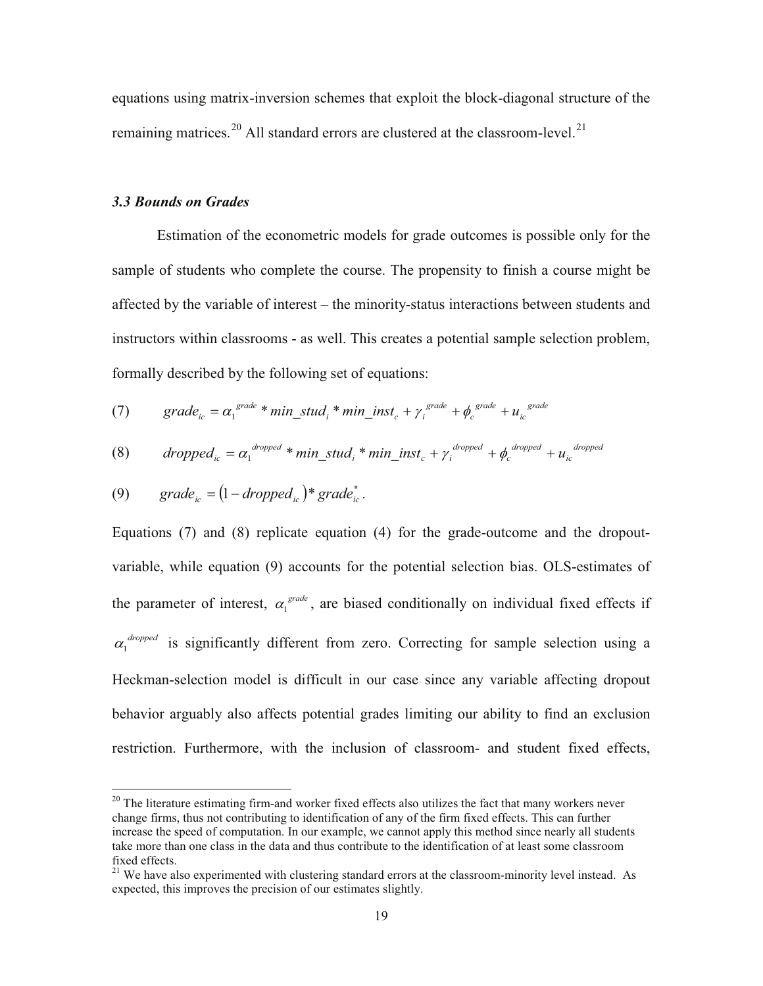equations using matrix-inversion schemes that exploit the block-diagonal structure of the remaining matrices.<sup>20</sup> All standard errors are clustered at the classroom-level.<sup>21</sup>

#### *3.3 Bounds on Grades*

Estimation of the econometric models for grade outcomes is possible only for the sample of students who complete the course. The propensity to finish a course might be affected by the variable of interest – the minority-status interactions between students and instructors within classrooms - as well. This creates a potential sample selection problem, formally described by the following set of equations:

(7) 
$$
grade_{ic} = \alpha_1^{grade} * min\_stud_i * min\_inst_c + \gamma_i^{grade} + \phi_c^{grade} + u_{ic}^{grade}
$$

(8) dropped<sub>ic</sub> = 
$$
\alpha_1^{dropped} * min\_stud_i * min\_inst_c + \gamma_i^{dropped} + \phi_c^{dropped} + u_{ic}^{dropped}
$$

(9) 
$$
grade_{ic} = (1 - dropped_{ic}) * grade_{ic}^*.
$$

Equations (7) and (8) replicate equation (4) for the grade-outcome and the dropoutvariable, while equation (9) accounts for the potential selection bias. OLS-estimates of the parameter of interest,  $\alpha_1^{\text{grade}}$ , are biased conditionally on individual fixed effects if  $\alpha_1^{dropped}$  is significantly different from zero. Correcting for sample selection using a Heckman-selection model is difficult in our case since any variable affecting dropout behavior arguably also affects potential grades limiting our ability to find an exclusion restriction. Furthermore, with the inclusion of classroom- and student fixed effects,

 $20$  The literature estimating firm-and worker fixed effects also utilizes the fact that many workers never change firms, thus not contributing to identification of any of the firm fixed effects. This can further increase the speed of computation. In our example, we cannot apply this method since nearly all students take more than one class in the data and thus contribute to the identification of at least some classroom fixed effects.

 $21$  We have also experimented with clustering standard errors at the classroom-minority level instead. As expected, this improves the precision of our estimates slightly.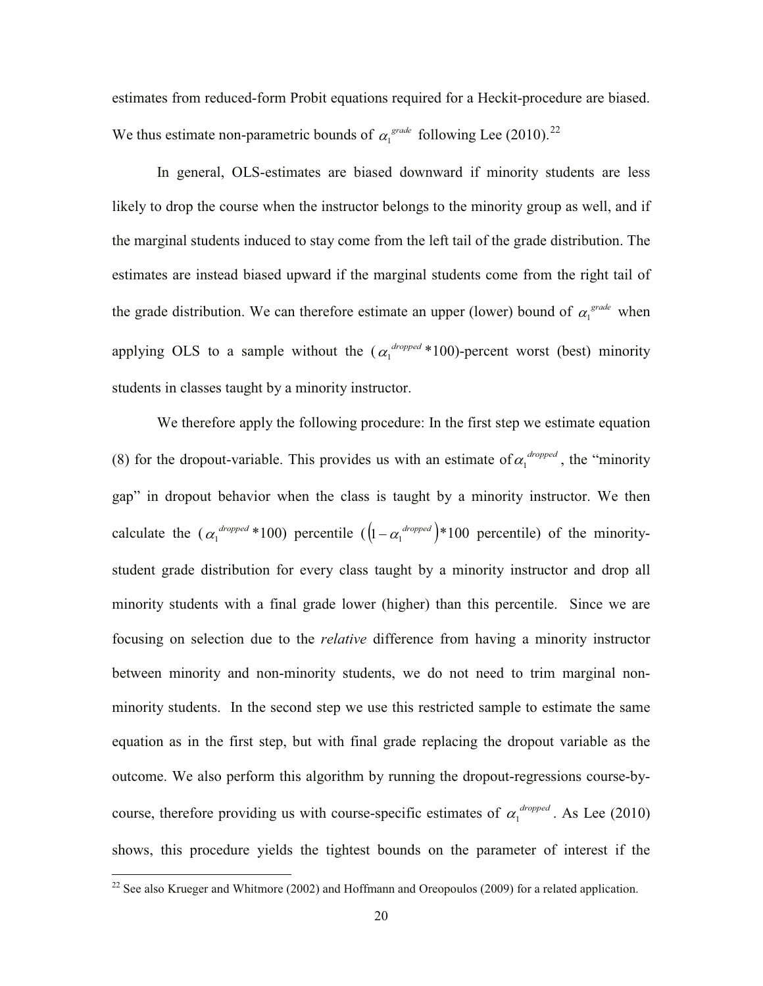estimates from reduced-form Probit equations required for a Heckit-procedure are biased. We thus estimate non-parametric bounds of  $\alpha_1^{\text{grade}}$  following Lee (2010).<sup>22</sup>

In general, OLS-estimates are biased downward if minority students are less likely to drop the course when the instructor belongs to the minority group as well, and if the marginal students induced to stay come from the left tail of the grade distribution. The estimates are instead biased upward if the marginal students come from the right tail of the grade distribution. We can therefore estimate an upper (lower) bound of  $\alpha_1^{\text{grade}}$  when applying OLS to a sample without the  $(\alpha_1^{dropped} * 100)$ -percent worst (best) minority students in classes taught by a minority instructor.

We therefore apply the following procedure: In the first step we estimate equation (8) for the dropout-variable. This provides us with an estimate of  $\alpha_1^{dropped}$ , the "minority" gap" in dropout behavior when the class is taught by a minority instructor. We then calculate the  $(\alpha_1^{dropped} * 100)$  percentile  $([\iota - \alpha_1^{dropped}) * 100$  percentile) of the minoritystudent grade distribution for every class taught by a minority instructor and drop all minority students with a final grade lower (higher) than this percentile. Since we are focusing on selection due to the *relative* difference from having a minority instructor between minority and non-minority students, we do not need to trim marginal nonminority students. In the second step we use this restricted sample to estimate the same equation as in the first step, but with final grade replacing the dropout variable as the outcome. We also perform this algorithm by running the dropout-regressions course-bycourse, therefore providing us with course-specific estimates of  $\alpha_1^{dropped}$ . As Lee (2010) shows, this procedure yields the tightest bounds on the parameter of interest if the

<sup>&</sup>lt;sup>22</sup> See also Krueger and Whitmore (2002) and Hoffmann and Oreopoulos (2009) for a related application.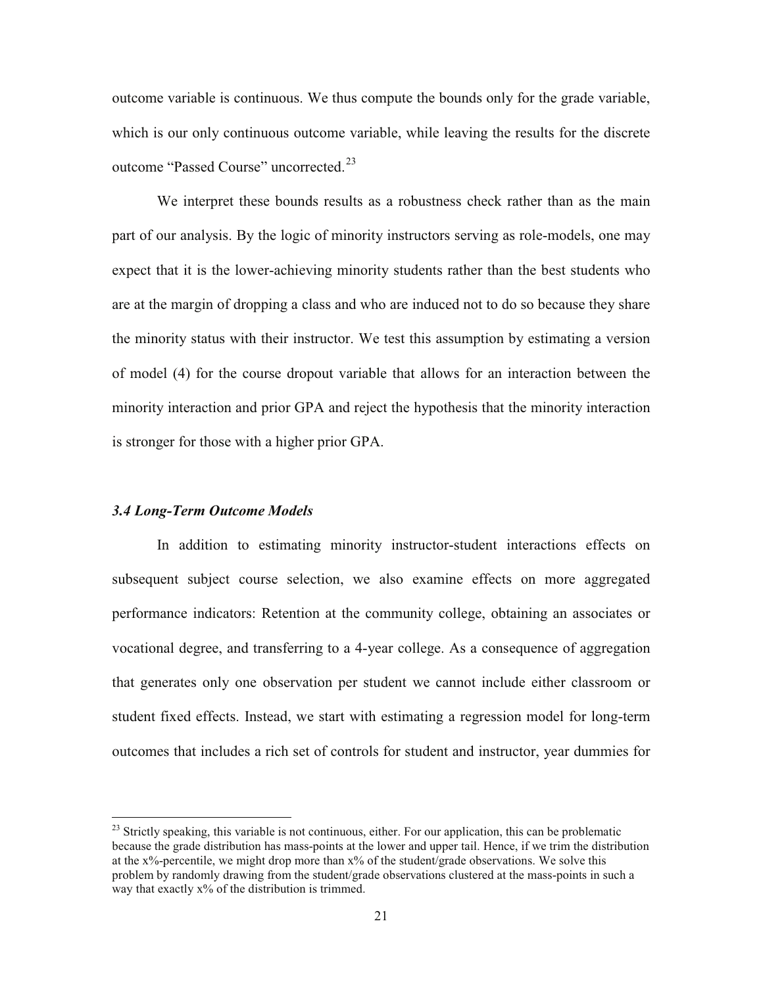outcome variable is continuous. We thus compute the bounds only for the grade variable, which is our only continuous outcome variable, while leaving the results for the discrete outcome "Passed Course" uncorrected.<sup>23</sup>

We interpret these bounds results as a robustness check rather than as the main part of our analysis. By the logic of minority instructors serving as role-models, one may expect that it is the lower-achieving minority students rather than the best students who are at the margin of dropping a class and who are induced not to do so because they share the minority status with their instructor. We test this assumption by estimating a version of model (4) for the course dropout variable that allows for an interaction between the minority interaction and prior GPA and reject the hypothesis that the minority interaction is stronger for those with a higher prior GPA.

#### *3.4 Long-Term Outcome Models*

In addition to estimating minority instructor-student interactions effects on subsequent subject course selection, we also examine effects on more aggregated performance indicators: Retention at the community college, obtaining an associates or vocational degree, and transferring to a 4-year college. As a consequence of aggregation that generates only one observation per student we cannot include either classroom or student fixed effects. Instead, we start with estimating a regression model for long-term outcomes that includes a rich set of controls for student and instructor, year dummies for

<sup>&</sup>lt;sup>23</sup> Strictly speaking, this variable is not continuous, either. For our application, this can be problematic because the grade distribution has mass-points at the lower and upper tail. Hence, if we trim the distribution at the x%-percentile, we might drop more than x% of the student/grade observations. We solve this problem by randomly drawing from the student/grade observations clustered at the mass-points in such a way that exactly x% of the distribution is trimmed.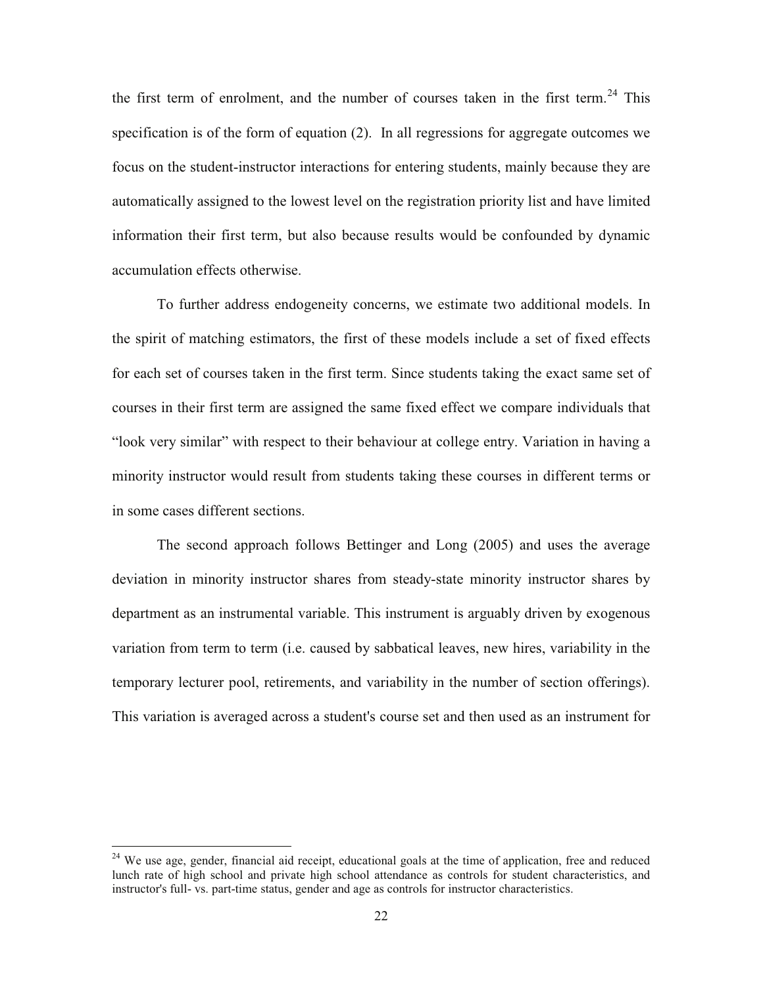the first term of enrolment, and the number of courses taken in the first term.<sup>24</sup> This specification is of the form of equation (2). In all regressions for aggregate outcomes we focus on the student-instructor interactions for entering students, mainly because they are automatically assigned to the lowest level on the registration priority list and have limited information their first term, but also because results would be confounded by dynamic accumulation effects otherwise.

To further address endogeneity concerns, we estimate two additional models. In the spirit of matching estimators, the first of these models include a set of fixed effects for each set of courses taken in the first term. Since students taking the exact same set of courses in their first term are assigned the same fixed effect we compare individuals that "look very similar" with respect to their behaviour at college entry. Variation in having a minority instructor would result from students taking these courses in different terms or in some cases different sections.

The second approach follows Bettinger and Long (2005) and uses the average deviation in minority instructor shares from steady-state minority instructor shares by department as an instrumental variable. This instrument is arguably driven by exogenous variation from term to term (i.e. caused by sabbatical leaves, new hires, variability in the temporary lecturer pool, retirements, and variability in the number of section offerings). This variation is averaged across a student's course set and then used as an instrument for

<sup>&</sup>lt;sup>24</sup> We use age, gender, financial aid receipt, educational goals at the time of application, free and reduced lunch rate of high school and private high school attendance as controls for student characteristics, and instructor's full- vs. part-time status, gender and age as controls for instructor characteristics.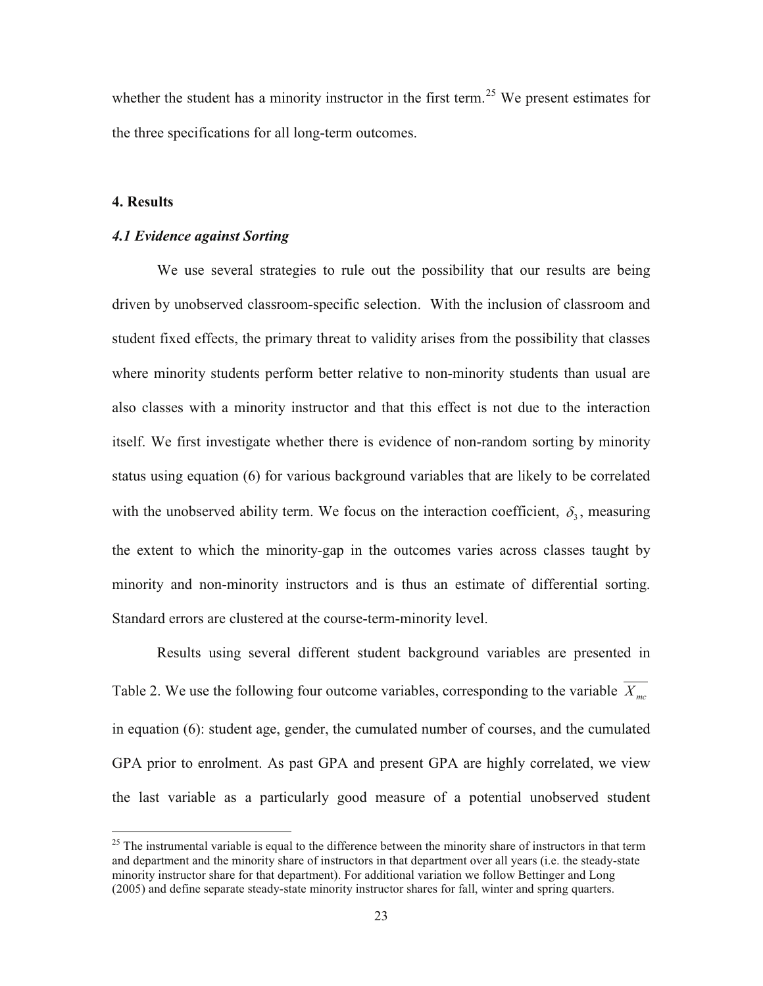whether the student has a minority instructor in the first term.<sup>25</sup> We present estimates for the three specifications for all long-term outcomes.

# **4. Results**

## *4.1 Evidence against Sorting*

We use several strategies to rule out the possibility that our results are being driven by unobserved classroom-specific selection. With the inclusion of classroom and student fixed effects, the primary threat to validity arises from the possibility that classes where minority students perform better relative to non-minority students than usual are also classes with a minority instructor and that this effect is not due to the interaction itself. We first investigate whether there is evidence of non-random sorting by minority status using equation (6) for various background variables that are likely to be correlated with the unobserved ability term. We focus on the interaction coefficient,  $\delta_3$ , measuring the extent to which the minority-gap in the outcomes varies across classes taught by minority and non-minority instructors and is thus an estimate of differential sorting. Standard errors are clustered at the course-term-minority level.

Results using several different student background variables are presented in Table 2. We use the following four outcome variables, corresponding to the variable  $\overline{X_{mc}}$ in equation (6): student age, gender, the cumulated number of courses, and the cumulated GPA prior to enrolment. As past GPA and present GPA are highly correlated, we view the last variable as a particularly good measure of a potential unobserved student

 $25$  The instrumental variable is equal to the difference between the minority share of instructors in that term and department and the minority share of instructors in that department over all years (i.e. the steady-state minority instructor share for that department). For additional variation we follow Bettinger and Long (2005) and define separate steady-state minority instructor shares for fall, winter and spring quarters.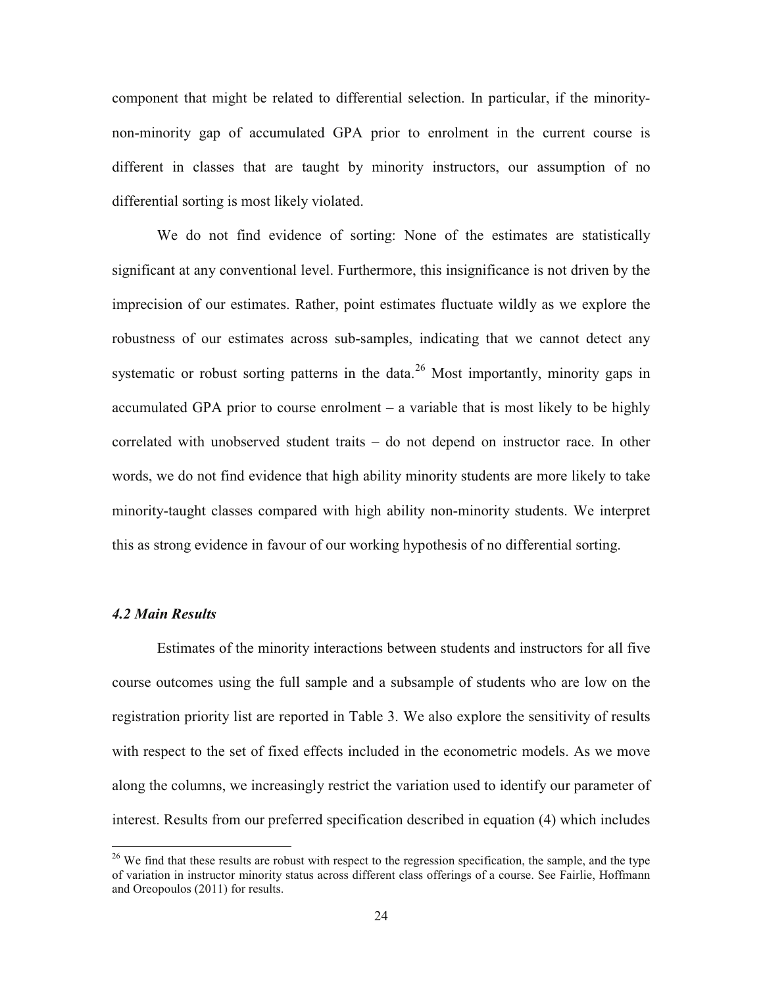component that might be related to differential selection. In particular, if the minoritynon-minority gap of accumulated GPA prior to enrolment in the current course is different in classes that are taught by minority instructors, our assumption of no differential sorting is most likely violated.

We do not find evidence of sorting: None of the estimates are statistically significant at any conventional level. Furthermore, this insignificance is not driven by the imprecision of our estimates. Rather, point estimates fluctuate wildly as we explore the robustness of our estimates across sub-samples, indicating that we cannot detect any systematic or robust sorting patterns in the data.<sup>26</sup> Most importantly, minority gaps in accumulated GPA prior to course enrolment – a variable that is most likely to be highly correlated with unobserved student traits – do not depend on instructor race. In other words, we do not find evidence that high ability minority students are more likely to take minority-taught classes compared with high ability non-minority students. We interpret this as strong evidence in favour of our working hypothesis of no differential sorting.

#### *4.2 Main Results*

Estimates of the minority interactions between students and instructors for all five course outcomes using the full sample and a subsample of students who are low on the registration priority list are reported in Table 3. We also explore the sensitivity of results with respect to the set of fixed effects included in the econometric models. As we move along the columns, we increasingly restrict the variation used to identify our parameter of interest. Results from our preferred specification described in equation (4) which includes

<sup>&</sup>lt;sup>26</sup> We find that these results are robust with respect to the regression specification, the sample, and the type of variation in instructor minority status across different class offerings of a course. See Fairlie, Hoffmann and Oreopoulos (2011) for results.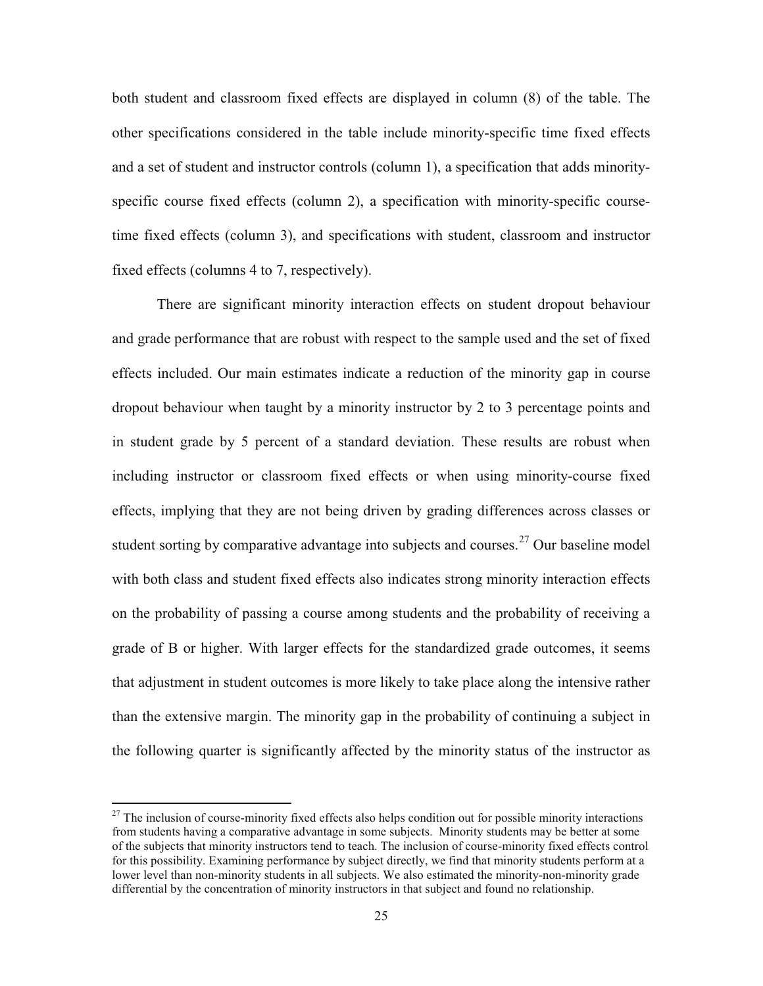both student and classroom fixed effects are displayed in column (8) of the table. The other specifications considered in the table include minority-specific time fixed effects and a set of student and instructor controls (column 1), a specification that adds minorityspecific course fixed effects (column 2), a specification with minority-specific coursetime fixed effects (column 3), and specifications with student, classroom and instructor fixed effects (columns 4 to 7, respectively).

There are significant minority interaction effects on student dropout behaviour and grade performance that are robust with respect to the sample used and the set of fixed effects included. Our main estimates indicate a reduction of the minority gap in course dropout behaviour when taught by a minority instructor by 2 to 3 percentage points and in student grade by 5 percent of a standard deviation. These results are robust when including instructor or classroom fixed effects or when using minority-course fixed effects, implying that they are not being driven by grading differences across classes or student sorting by comparative advantage into subjects and courses.<sup>27</sup> Our baseline model with both class and student fixed effects also indicates strong minority interaction effects on the probability of passing a course among students and the probability of receiving a grade of B or higher. With larger effects for the standardized grade outcomes, it seems that adjustment in student outcomes is more likely to take place along the intensive rather than the extensive margin. The minority gap in the probability of continuing a subject in the following quarter is significantly affected by the minority status of the instructor as

 $^{27}$  The inclusion of course-minority fixed effects also helps condition out for possible minority interactions from students having a comparative advantage in some subjects. Minority students may be better at some of the subjects that minority instructors tend to teach. The inclusion of course-minority fixed effects control for this possibility. Examining performance by subject directly, we find that minority students perform at a lower level than non-minority students in all subjects. We also estimated the minority-non-minority grade differential by the concentration of minority instructors in that subject and found no relationship.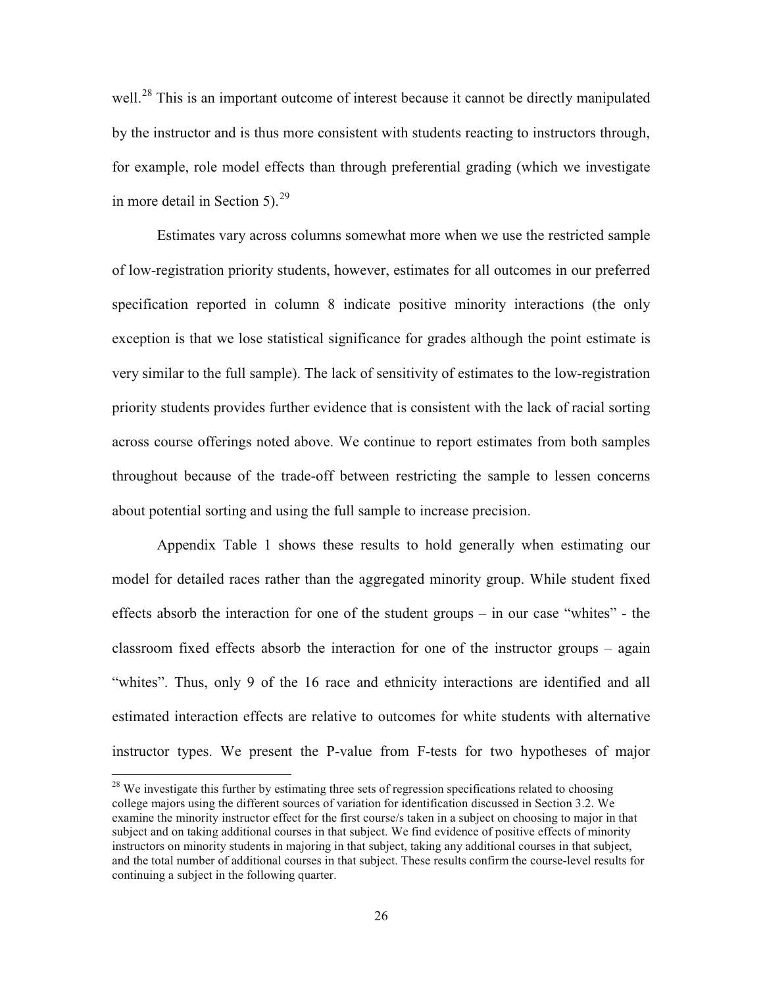well.<sup>28</sup> This is an important outcome of interest because it cannot be directly manipulated by the instructor and is thus more consistent with students reacting to instructors through, for example, role model effects than through preferential grading (which we investigate in more detail in Section 5). $^{29}$ 

Estimates vary across columns somewhat more when we use the restricted sample of low-registration priority students, however, estimates for all outcomes in our preferred specification reported in column 8 indicate positive minority interactions (the only exception is that we lose statistical significance for grades although the point estimate is very similar to the full sample). The lack of sensitivity of estimates to the low-registration priority students provides further evidence that is consistent with the lack of racial sorting across course offerings noted above. We continue to report estimates from both samples throughout because of the trade-off between restricting the sample to lessen concerns about potential sorting and using the full sample to increase precision.

Appendix Table 1 shows these results to hold generally when estimating our model for detailed races rather than the aggregated minority group. While student fixed effects absorb the interaction for one of the student groups – in our case "whites" - the classroom fixed effects absorb the interaction for one of the instructor groups – again "whites". Thus, only 9 of the 16 race and ethnicity interactions are identified and all estimated interaction effects are relative to outcomes for white students with alternative instructor types. We present the P-value from F-tests for two hypotheses of major

 $^{28}$  We investigate this further by estimating three sets of regression specifications related to choosing college majors using the different sources of variation for identification discussed in Section 3.2. We examine the minority instructor effect for the first course/s taken in a subject on choosing to major in that subject and on taking additional courses in that subject. We find evidence of positive effects of minority instructors on minority students in majoring in that subject, taking any additional courses in that subject, and the total number of additional courses in that subject. These results confirm the course-level results for continuing a subject in the following quarter.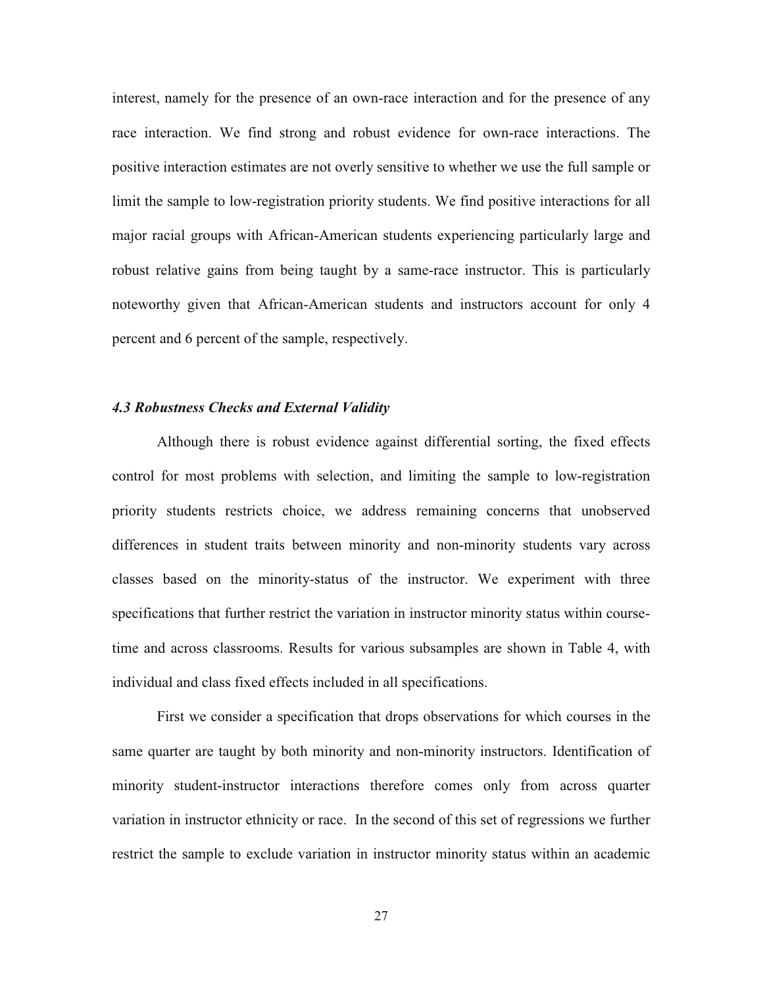interest, namely for the presence of an own-race interaction and for the presence of any race interaction. We find strong and robust evidence for own-race interactions. The positive interaction estimates are not overly sensitive to whether we use the full sample or limit the sample to low-registration priority students. We find positive interactions for all major racial groups with African-American students experiencing particularly large and robust relative gains from being taught by a same-race instructor. This is particularly noteworthy given that African-American students and instructors account for only 4 percent and 6 percent of the sample, respectively.

# *4.3 Robustness Checks and External Validity*

Although there is robust evidence against differential sorting, the fixed effects control for most problems with selection, and limiting the sample to low-registration priority students restricts choice, we address remaining concerns that unobserved differences in student traits between minority and non-minority students vary across classes based on the minority-status of the instructor. We experiment with three specifications that further restrict the variation in instructor minority status within coursetime and across classrooms. Results for various subsamples are shown in Table 4, with individual and class fixed effects included in all specifications.

First we consider a specification that drops observations for which courses in the same quarter are taught by both minority and non-minority instructors. Identification of minority student-instructor interactions therefore comes only from across quarter variation in instructor ethnicity or race. In the second of this set of regressions we further restrict the sample to exclude variation in instructor minority status within an academic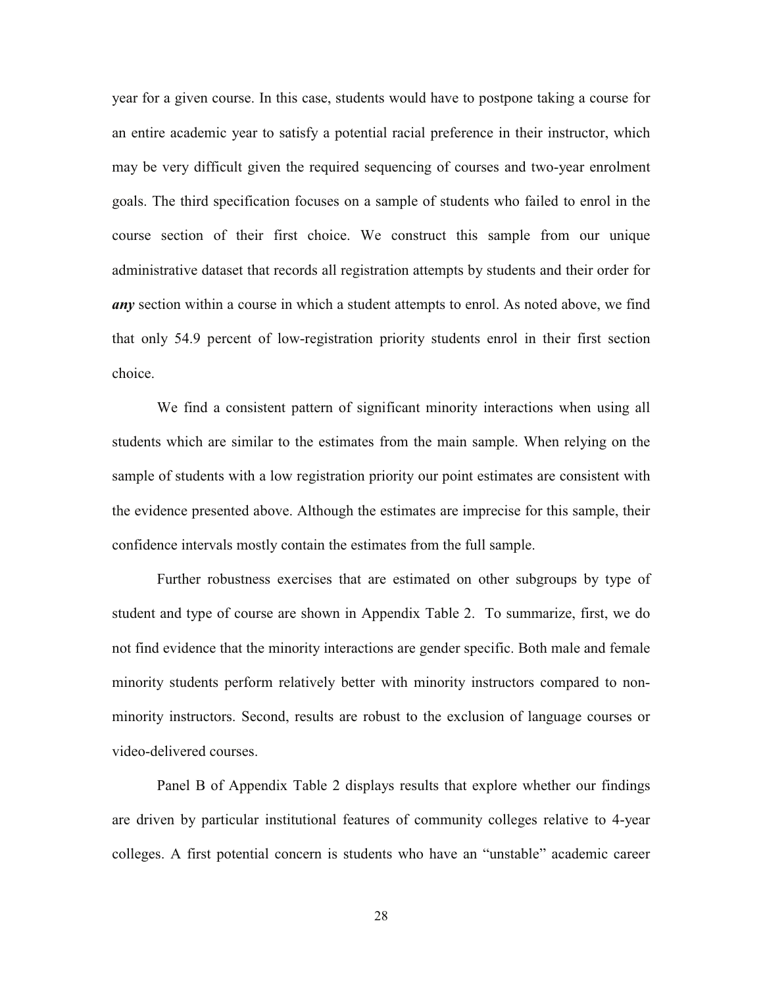year for a given course. In this case, students would have to postpone taking a course for an entire academic year to satisfy a potential racial preference in their instructor, which may be very difficult given the required sequencing of courses and two-year enrolment goals. The third specification focuses on a sample of students who failed to enrol in the course section of their first choice. We construct this sample from our unique administrative dataset that records all registration attempts by students and their order for *any* section within a course in which a student attempts to enrol. As noted above, we find that only 54.9 percent of low-registration priority students enrol in their first section choice.

We find a consistent pattern of significant minority interactions when using all students which are similar to the estimates from the main sample. When relying on the sample of students with a low registration priority our point estimates are consistent with the evidence presented above. Although the estimates are imprecise for this sample, their confidence intervals mostly contain the estimates from the full sample.

Further robustness exercises that are estimated on other subgroups by type of student and type of course are shown in Appendix Table 2. To summarize, first, we do not find evidence that the minority interactions are gender specific. Both male and female minority students perform relatively better with minority instructors compared to nonminority instructors. Second, results are robust to the exclusion of language courses or video-delivered courses.

Panel B of Appendix Table 2 displays results that explore whether our findings are driven by particular institutional features of community colleges relative to 4-year colleges. A first potential concern is students who have an "unstable" academic career

28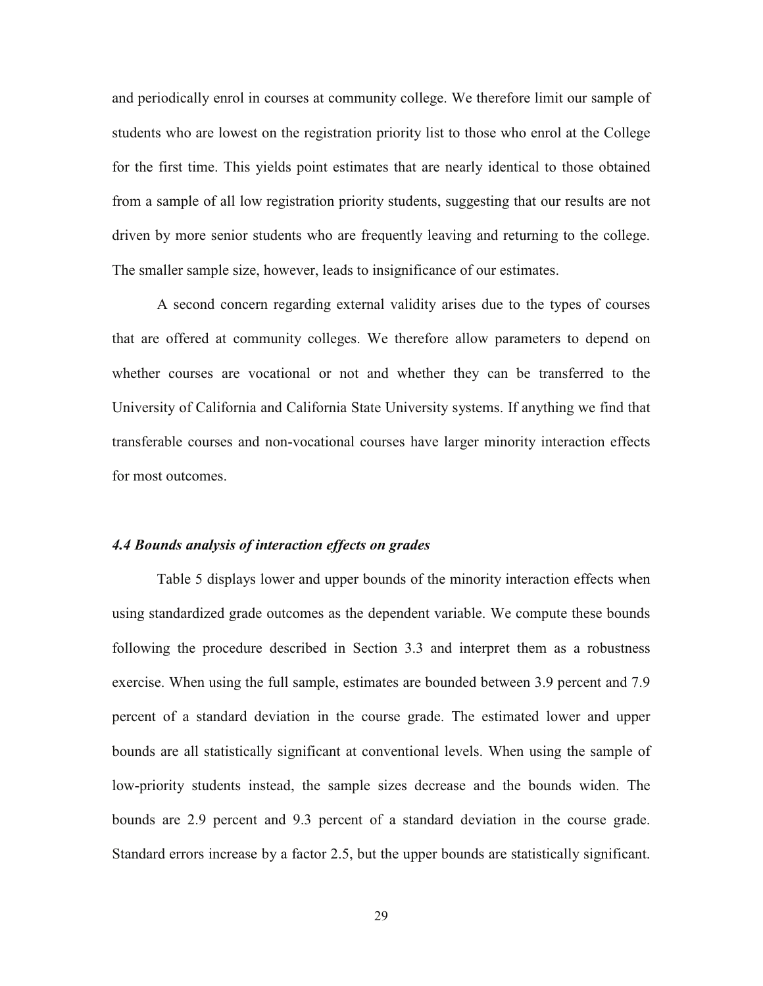and periodically enrol in courses at community college. We therefore limit our sample of students who are lowest on the registration priority list to those who enrol at the College for the first time. This yields point estimates that are nearly identical to those obtained from a sample of all low registration priority students, suggesting that our results are not driven by more senior students who are frequently leaving and returning to the college. The smaller sample size, however, leads to insignificance of our estimates.

A second concern regarding external validity arises due to the types of courses that are offered at community colleges. We therefore allow parameters to depend on whether courses are vocational or not and whether they can be transferred to the University of California and California State University systems. If anything we find that transferable courses and non-vocational courses have larger minority interaction effects for most outcomes.

### *4.4 Bounds analysis of interaction effects on grades*

Table 5 displays lower and upper bounds of the minority interaction effects when using standardized grade outcomes as the dependent variable. We compute these bounds following the procedure described in Section 3.3 and interpret them as a robustness exercise. When using the full sample, estimates are bounded between 3.9 percent and 7.9 percent of a standard deviation in the course grade. The estimated lower and upper bounds are all statistically significant at conventional levels. When using the sample of low-priority students instead, the sample sizes decrease and the bounds widen. The bounds are 2.9 percent and 9.3 percent of a standard deviation in the course grade. Standard errors increase by a factor 2.5, but the upper bounds are statistically significant.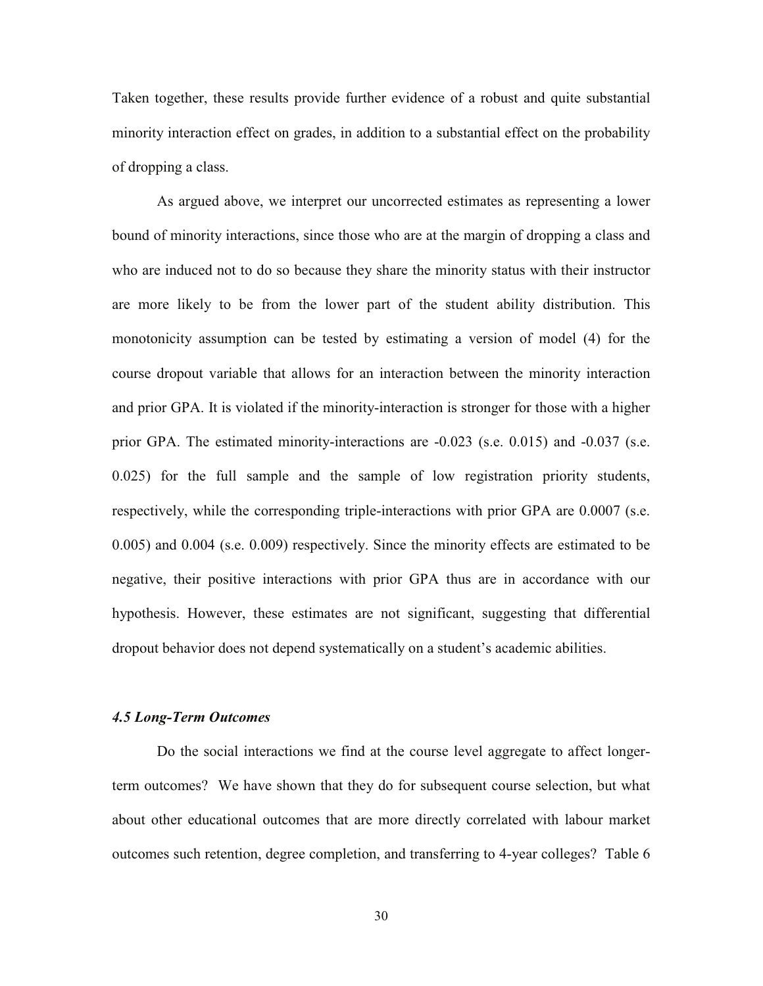Taken together, these results provide further evidence of a robust and quite substantial minority interaction effect on grades, in addition to a substantial effect on the probability of dropping a class.

As argued above, we interpret our uncorrected estimates as representing a lower bound of minority interactions, since those who are at the margin of dropping a class and who are induced not to do so because they share the minority status with their instructor are more likely to be from the lower part of the student ability distribution. This monotonicity assumption can be tested by estimating a version of model (4) for the course dropout variable that allows for an interaction between the minority interaction and prior GPA. It is violated if the minority-interaction is stronger for those with a higher prior GPA. The estimated minority-interactions are -0.023 (s.e. 0.015) and -0.037 (s.e. 0.025) for the full sample and the sample of low registration priority students, respectively, while the corresponding triple-interactions with prior GPA are 0.0007 (s.e. 0.005) and 0.004 (s.e. 0.009) respectively. Since the minority effects are estimated to be negative, their positive interactions with prior GPA thus are in accordance with our hypothesis. However, these estimates are not significant, suggesting that differential dropout behavior does not depend systematically on a student's academic abilities.

## *4.5 Long-Term Outcomes*

Do the social interactions we find at the course level aggregate to affect longerterm outcomes? We have shown that they do for subsequent course selection, but what about other educational outcomes that are more directly correlated with labour market outcomes such retention, degree completion, and transferring to 4-year colleges? Table 6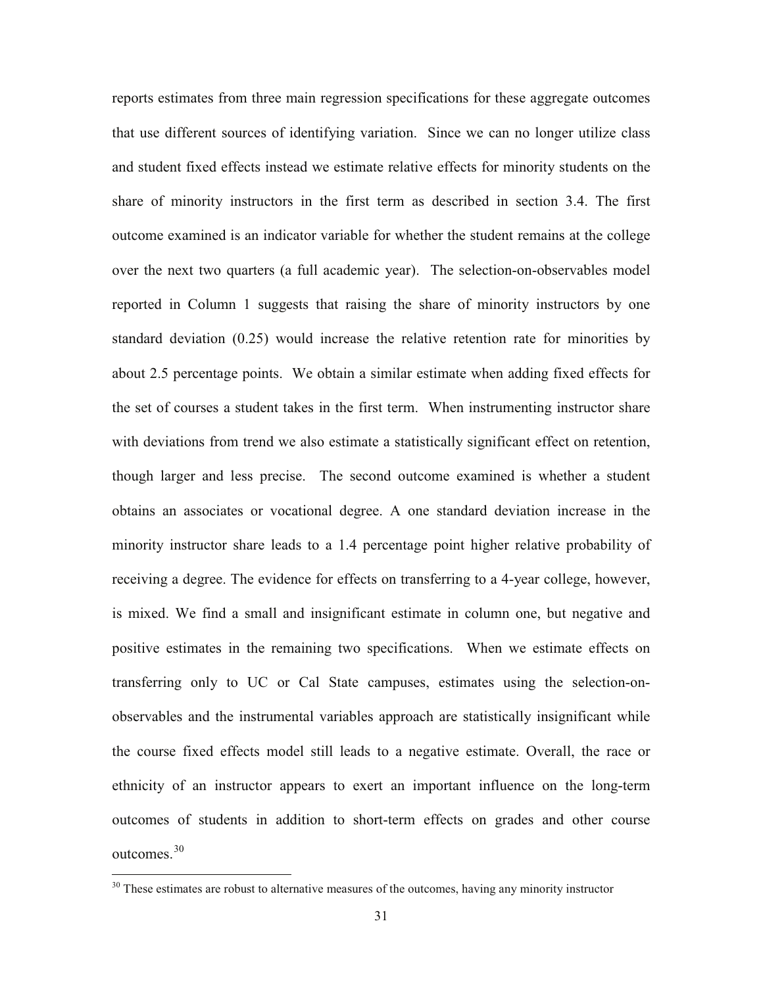reports estimates from three main regression specifications for these aggregate outcomes that use different sources of identifying variation. Since we can no longer utilize class and student fixed effects instead we estimate relative effects for minority students on the share of minority instructors in the first term as described in section 3.4. The first outcome examined is an indicator variable for whether the student remains at the college over the next two quarters (a full academic year). The selection-on-observables model reported in Column 1 suggests that raising the share of minority instructors by one standard deviation (0.25) would increase the relative retention rate for minorities by about 2.5 percentage points. We obtain a similar estimate when adding fixed effects for the set of courses a student takes in the first term. When instrumenting instructor share with deviations from trend we also estimate a statistically significant effect on retention, though larger and less precise. The second outcome examined is whether a student obtains an associates or vocational degree. A one standard deviation increase in the minority instructor share leads to a 1.4 percentage point higher relative probability of receiving a degree. The evidence for effects on transferring to a 4-year college, however, is mixed. We find a small and insignificant estimate in column one, but negative and positive estimates in the remaining two specifications. When we estimate effects on transferring only to UC or Cal State campuses, estimates using the selection-onobservables and the instrumental variables approach are statistically insignificant while the course fixed effects model still leads to a negative estimate. Overall, the race or ethnicity of an instructor appears to exert an important influence on the long-term outcomes of students in addition to short-term effects on grades and other course outcomes.<sup>30</sup>

<sup>&</sup>lt;sup>30</sup> These estimates are robust to alternative measures of the outcomes, having any minority instructor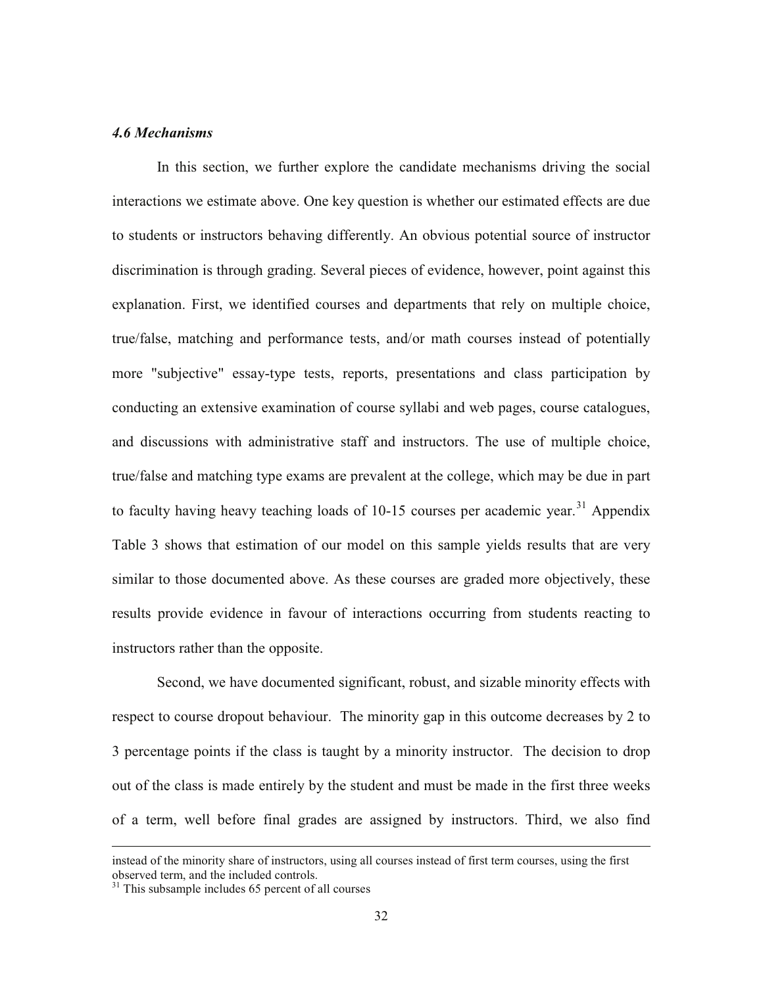### *4.6 Mechanisms*

In this section, we further explore the candidate mechanisms driving the social interactions we estimate above. One key question is whether our estimated effects are due to students or instructors behaving differently. An obvious potential source of instructor discrimination is through grading. Several pieces of evidence, however, point against this explanation. First, we identified courses and departments that rely on multiple choice, true/false, matching and performance tests, and/or math courses instead of potentially more "subjective" essay-type tests, reports, presentations and class participation by conducting an extensive examination of course syllabi and web pages, course catalogues, and discussions with administrative staff and instructors. The use of multiple choice, true/false and matching type exams are prevalent at the college, which may be due in part to faculty having heavy teaching loads of  $10-15$  courses per academic year.<sup>31</sup> Appendix Table 3 shows that estimation of our model on this sample yields results that are very similar to those documented above. As these courses are graded more objectively, these results provide evidence in favour of interactions occurring from students reacting to instructors rather than the opposite.

Second, we have documented significant, robust, and sizable minority effects with respect to course dropout behaviour. The minority gap in this outcome decreases by 2 to 3 percentage points if the class is taught by a minority instructor. The decision to drop out of the class is made entirely by the student and must be made in the first three weeks of a term, well before final grades are assigned by instructors. Third, we also find

instead of the minority share of instructors, using all courses instead of first term courses, using the first observed term, and the included controls.

 $31$  This subsample includes 65 percent of all courses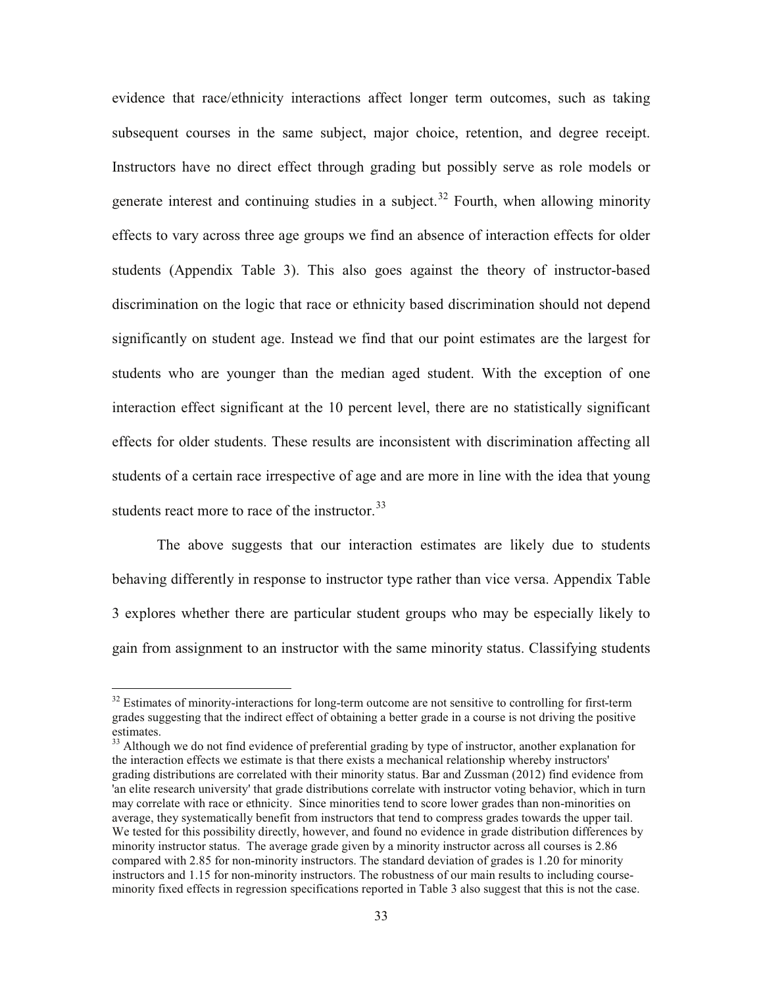evidence that race/ethnicity interactions affect longer term outcomes, such as taking subsequent courses in the same subject, major choice, retention, and degree receipt. Instructors have no direct effect through grading but possibly serve as role models or generate interest and continuing studies in a subject.<sup>32</sup> Fourth, when allowing minority effects to vary across three age groups we find an absence of interaction effects for older students (Appendix Table 3). This also goes against the theory of instructor-based discrimination on the logic that race or ethnicity based discrimination should not depend significantly on student age. Instead we find that our point estimates are the largest for students who are younger than the median aged student. With the exception of one interaction effect significant at the 10 percent level, there are no statistically significant effects for older students. These results are inconsistent with discrimination affecting all students of a certain race irrespective of age and are more in line with the idea that young students react more to race of the instructor.<sup>33</sup>

The above suggests that our interaction estimates are likely due to students behaving differently in response to instructor type rather than vice versa. Appendix Table 3 explores whether there are particular student groups who may be especially likely to gain from assignment to an instructor with the same minority status. Classifying students

<sup>&</sup>lt;sup>32</sup> Estimates of minority-interactions for long-term outcome are not sensitive to controlling for first-term grades suggesting that the indirect effect of obtaining a better grade in a course is not driving the positive estimates.

<sup>&</sup>lt;sup>33</sup> Although we do not find evidence of preferential grading by type of instructor, another explanation for the interaction effects we estimate is that there exists a mechanical relationship whereby instructors' grading distributions are correlated with their minority status. Bar and Zussman (2012) find evidence from 'an elite research university' that grade distributions correlate with instructor voting behavior, which in turn may correlate with race or ethnicity. Since minorities tend to score lower grades than non-minorities on average, they systematically benefit from instructors that tend to compress grades towards the upper tail. We tested for this possibility directly, however, and found no evidence in grade distribution differences by minority instructor status. The average grade given by a minority instructor across all courses is 2.86 compared with 2.85 for non-minority instructors. The standard deviation of grades is 1.20 for minority instructors and 1.15 for non-minority instructors. The robustness of our main results to including courseminority fixed effects in regression specifications reported in Table 3 also suggest that this is not the case.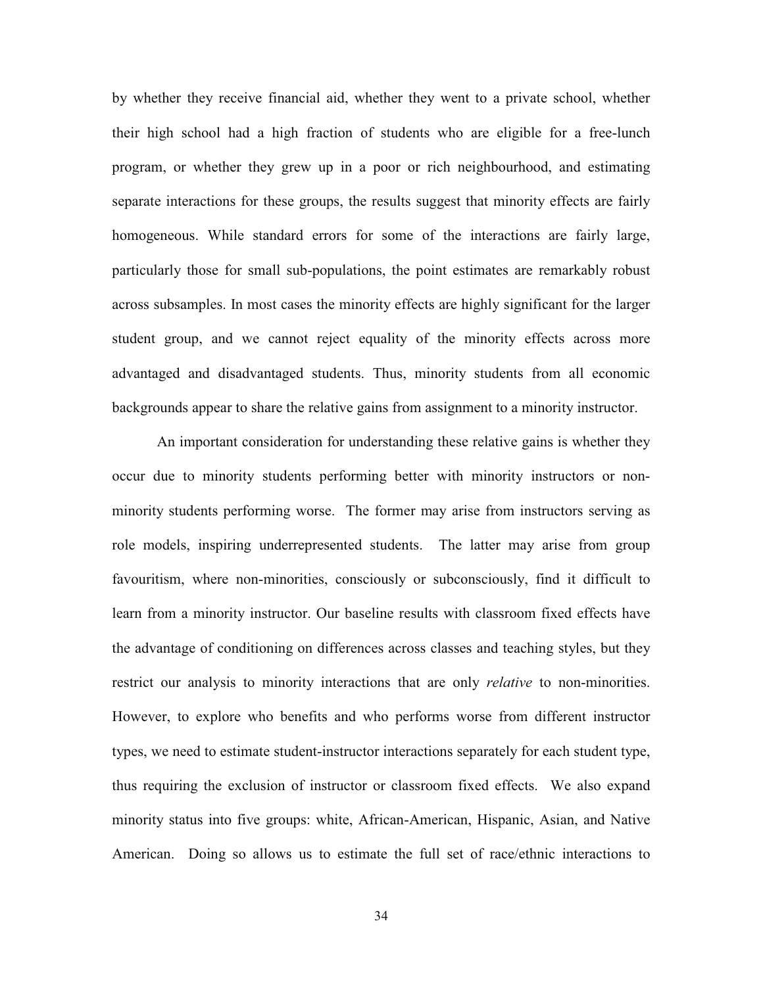by whether they receive financial aid, whether they went to a private school, whether their high school had a high fraction of students who are eligible for a free-lunch program, or whether they grew up in a poor or rich neighbourhood, and estimating separate interactions for these groups, the results suggest that minority effects are fairly homogeneous. While standard errors for some of the interactions are fairly large, particularly those for small sub-populations, the point estimates are remarkably robust across subsamples. In most cases the minority effects are highly significant for the larger student group, and we cannot reject equality of the minority effects across more advantaged and disadvantaged students. Thus, minority students from all economic backgrounds appear to share the relative gains from assignment to a minority instructor.

An important consideration for understanding these relative gains is whether they occur due to minority students performing better with minority instructors or nonminority students performing worse. The former may arise from instructors serving as role models, inspiring underrepresented students. The latter may arise from group favouritism, where non-minorities, consciously or subconsciously, find it difficult to learn from a minority instructor. Our baseline results with classroom fixed effects have the advantage of conditioning on differences across classes and teaching styles, but they restrict our analysis to minority interactions that are only *relative* to non-minorities. However, to explore who benefits and who performs worse from different instructor types, we need to estimate student-instructor interactions separately for each student type, thus requiring the exclusion of instructor or classroom fixed effects. We also expand minority status into five groups: white, African-American, Hispanic, Asian, and Native American. Doing so allows us to estimate the full set of race/ethnic interactions to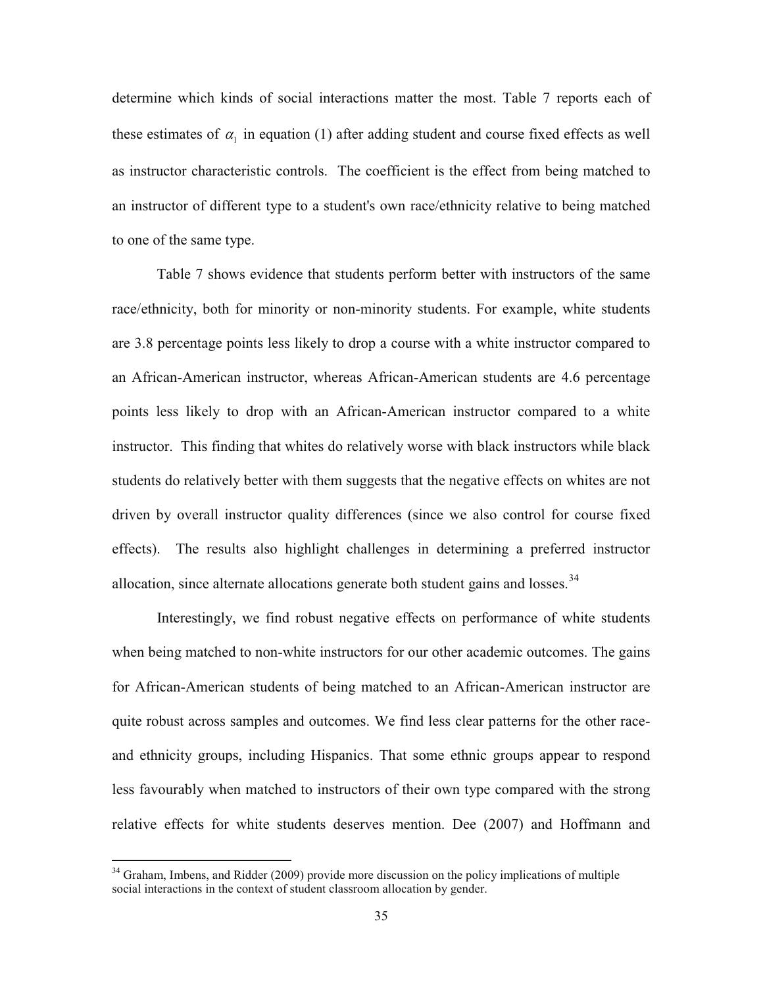determine which kinds of social interactions matter the most. Table 7 reports each of these estimates of  $\alpha_1$  in equation (1) after adding student and course fixed effects as well as instructor characteristic controls. The coefficient is the effect from being matched to an instructor of different type to a student's own race/ethnicity relative to being matched to one of the same type.

Table 7 shows evidence that students perform better with instructors of the same race/ethnicity, both for minority or non-minority students. For example, white students are 3.8 percentage points less likely to drop a course with a white instructor compared to an African-American instructor, whereas African-American students are 4.6 percentage points less likely to drop with an African-American instructor compared to a white instructor. This finding that whites do relatively worse with black instructors while black students do relatively better with them suggests that the negative effects on whites are not driven by overall instructor quality differences (since we also control for course fixed effects). The results also highlight challenges in determining a preferred instructor allocation, since alternate allocations generate both student gains and losses.<sup>34</sup>

Interestingly, we find robust negative effects on performance of white students when being matched to non-white instructors for our other academic outcomes. The gains for African-American students of being matched to an African-American instructor are quite robust across samples and outcomes. We find less clear patterns for the other raceand ethnicity groups, including Hispanics. That some ethnic groups appear to respond less favourably when matched to instructors of their own type compared with the strong relative effects for white students deserves mention. Dee (2007) and Hoffmann and

<sup>&</sup>lt;sup>34</sup> Graham. Imbens, and Ridder (2009) provide more discussion on the policy implications of multiple social interactions in the context of student classroom allocation by gender.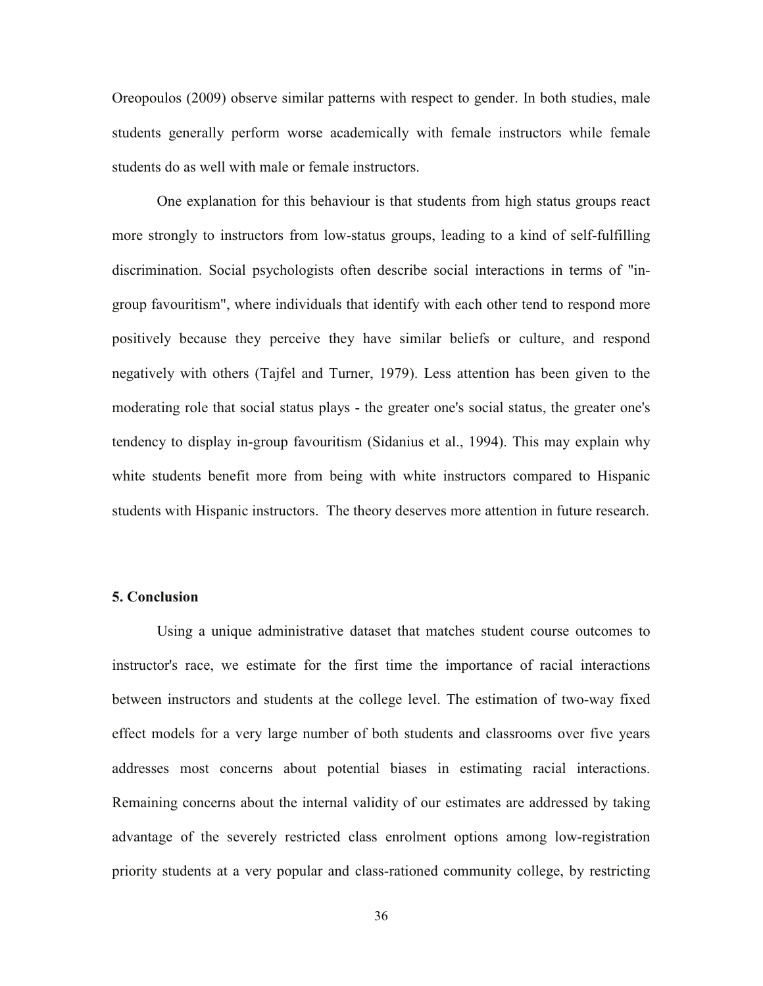Oreopoulos (2009) observe similar patterns with respect to gender. In both studies, male students generally perform worse academically with female instructors while female students do as well with male or female instructors.

One explanation for this behaviour is that students from high status groups react more strongly to instructors from low-status groups, leading to a kind of self-fulfilling discrimination. Social psychologists often describe social interactions in terms of "ingroup favouritism", where individuals that identify with each other tend to respond more positively because they perceive they have similar beliefs or culture, and respond negatively with others (Tajfel and Turner, 1979). Less attention has been given to the moderating role that social status plays - the greater one's social status, the greater one's tendency to display in-group favouritism (Sidanius et al., 1994). This may explain why white students benefit more from being with white instructors compared to Hispanic students with Hispanic instructors. The theory deserves more attention in future research.

# **5. Conclusion**

Using a unique administrative dataset that matches student course outcomes to instructor's race, we estimate for the first time the importance of racial interactions between instructors and students at the college level. The estimation of two-way fixed effect models for a very large number of both students and classrooms over five years addresses most concerns about potential biases in estimating racial interactions. Remaining concerns about the internal validity of our estimates are addressed by taking advantage of the severely restricted class enrolment options among low-registration priority students at a very popular and class-rationed community college, by restricting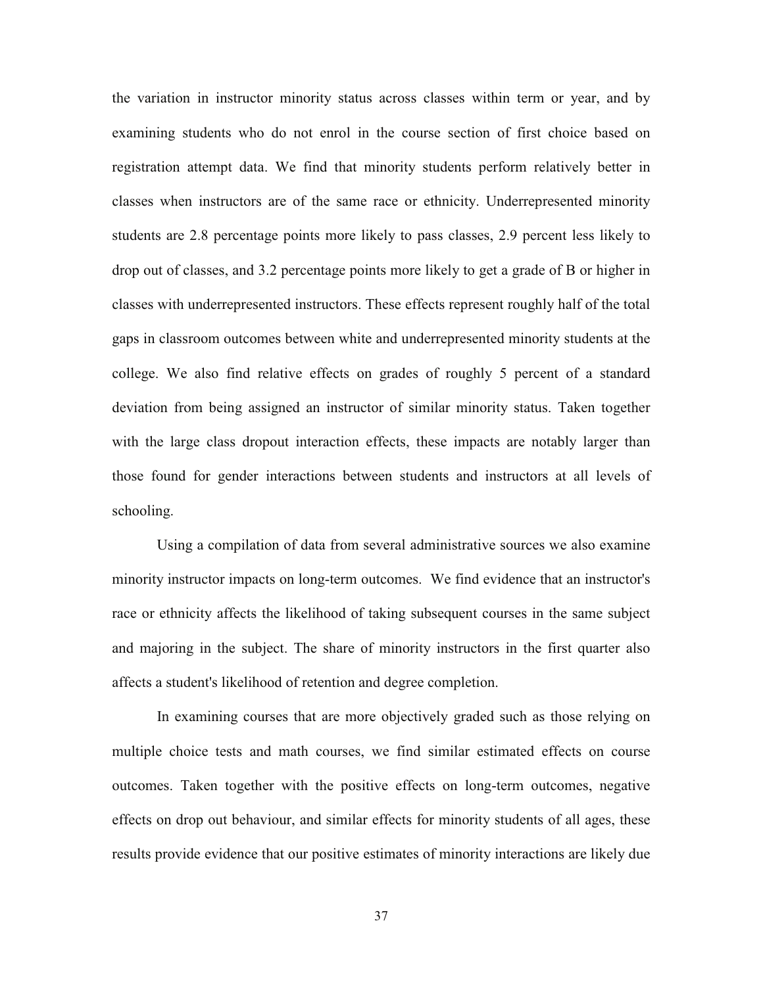the variation in instructor minority status across classes within term or year, and by examining students who do not enrol in the course section of first choice based on registration attempt data. We find that minority students perform relatively better in classes when instructors are of the same race or ethnicity. Underrepresented minority students are 2.8 percentage points more likely to pass classes, 2.9 percent less likely to drop out of classes, and 3.2 percentage points more likely to get a grade of B or higher in classes with underrepresented instructors. These effects represent roughly half of the total gaps in classroom outcomes between white and underrepresented minority students at the college. We also find relative effects on grades of roughly 5 percent of a standard deviation from being assigned an instructor of similar minority status. Taken together with the large class dropout interaction effects, these impacts are notably larger than those found for gender interactions between students and instructors at all levels of schooling.

Using a compilation of data from several administrative sources we also examine minority instructor impacts on long-term outcomes. We find evidence that an instructor's race or ethnicity affects the likelihood of taking subsequent courses in the same subject and majoring in the subject. The share of minority instructors in the first quarter also affects a student's likelihood of retention and degree completion.

In examining courses that are more objectively graded such as those relying on multiple choice tests and math courses, we find similar estimated effects on course outcomes. Taken together with the positive effects on long-term outcomes, negative effects on drop out behaviour, and similar effects for minority students of all ages, these results provide evidence that our positive estimates of minority interactions are likely due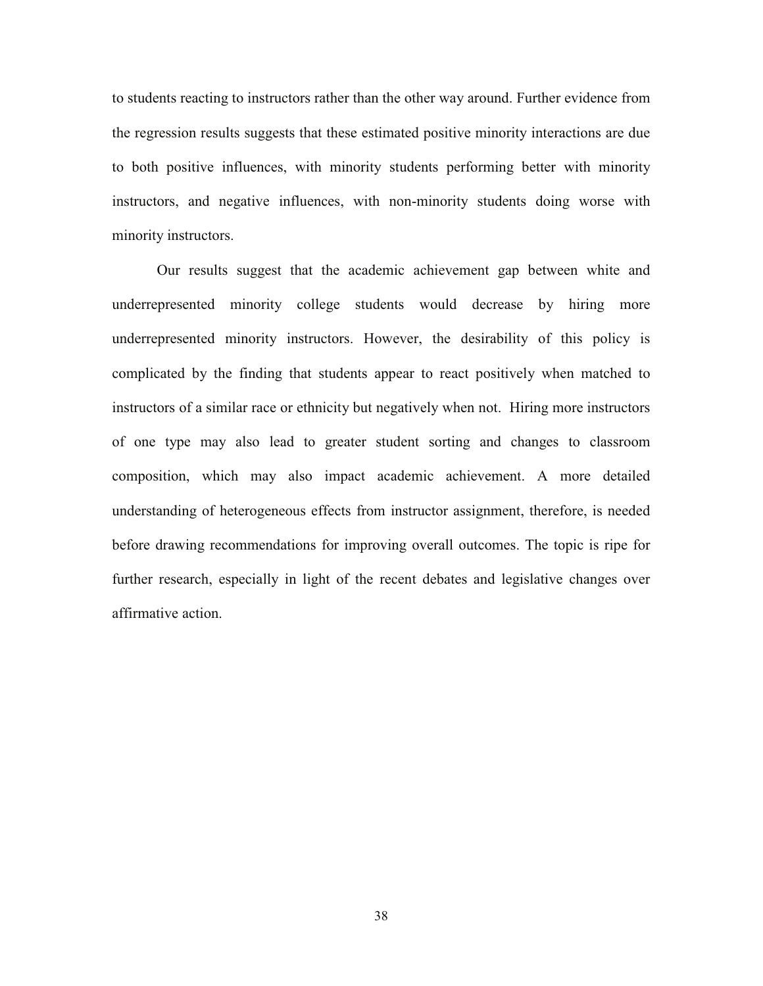to students reacting to instructors rather than the other way around. Further evidence from the regression results suggests that these estimated positive minority interactions are due to both positive influences, with minority students performing better with minority instructors, and negative influences, with non-minority students doing worse with minority instructors.

Our results suggest that the academic achievement gap between white and underrepresented minority college students would decrease by hiring more underrepresented minority instructors. However, the desirability of this policy is complicated by the finding that students appear to react positively when matched to instructors of a similar race or ethnicity but negatively when not. Hiring more instructors of one type may also lead to greater student sorting and changes to classroom composition, which may also impact academic achievement. A more detailed understanding of heterogeneous effects from instructor assignment, therefore, is needed before drawing recommendations for improving overall outcomes. The topic is ripe for further research, especially in light of the recent debates and legislative changes over affirmative action.

38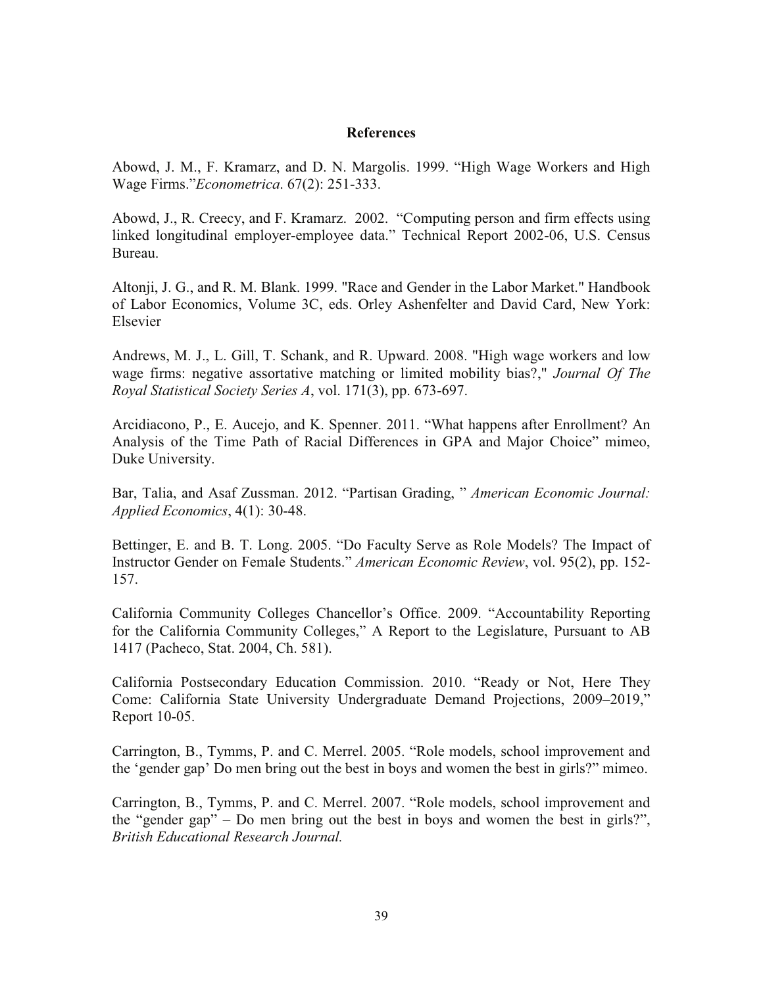#### **References**

Abowd, J. M., F. Kramarz, and D. N. Margolis. 1999. "High Wage Workers and High Wage Firms."*Econometrica*. 67(2): 251-333.

Abowd, J., R. Creecy, and F. Kramarz. 2002. "Computing person and firm effects using linked longitudinal employer-employee data." Technical Report 2002-06, U.S. Census Bureau.

Altonji, J. G., and R. M. Blank. 1999. "Race and Gender in the Labor Market." Handbook of Labor Economics, Volume 3C, eds. Orley Ashenfelter and David Card, New York: Elsevier

Andrews, M. J., L. Gill, T. Schank, and R. Upward. 2008. "High wage workers and low wage firms: negative assortative matching or limited mobility bias?," *Journal Of The Royal Statistical Society Series A*, vol. 171(3), pp. 673-697.

Arcidiacono, P., E. Aucejo, and K. Spenner. 2011. "What happens after Enrollment? An Analysis of the Time Path of Racial Differences in GPA and Major Choice" mimeo, Duke University.

Bar, Talia, and Asaf Zussman. 2012. "Partisan Grading, " *American Economic Journal: Applied Economics*, 4(1): 30-48.

Bettinger, E. and B. T. Long. 2005. "Do Faculty Serve as Role Models? The Impact of Instructor Gender on Female Students." *American Economic Review*, vol. 95(2), pp. 152- 157.

California Community Colleges Chancellor's Office. 2009. "Accountability Reporting for the California Community Colleges," A Report to the Legislature, Pursuant to AB 1417 (Pacheco, Stat. 2004, Ch. 581).

California Postsecondary Education Commission. 2010. "Ready or Not, Here They Come: California State University Undergraduate Demand Projections, 2009–2019," Report 10-05.

Carrington, B., Tymms, P. and C. Merrel. 2005. "Role models, school improvement and the 'gender gap' Do men bring out the best in boys and women the best in girls?" mimeo.

Carrington, B., Tymms, P. and C. Merrel. 2007. "Role models, school improvement and the "gender gap" – Do men bring out the best in boys and women the best in girls?", *British Educational Research Journal.*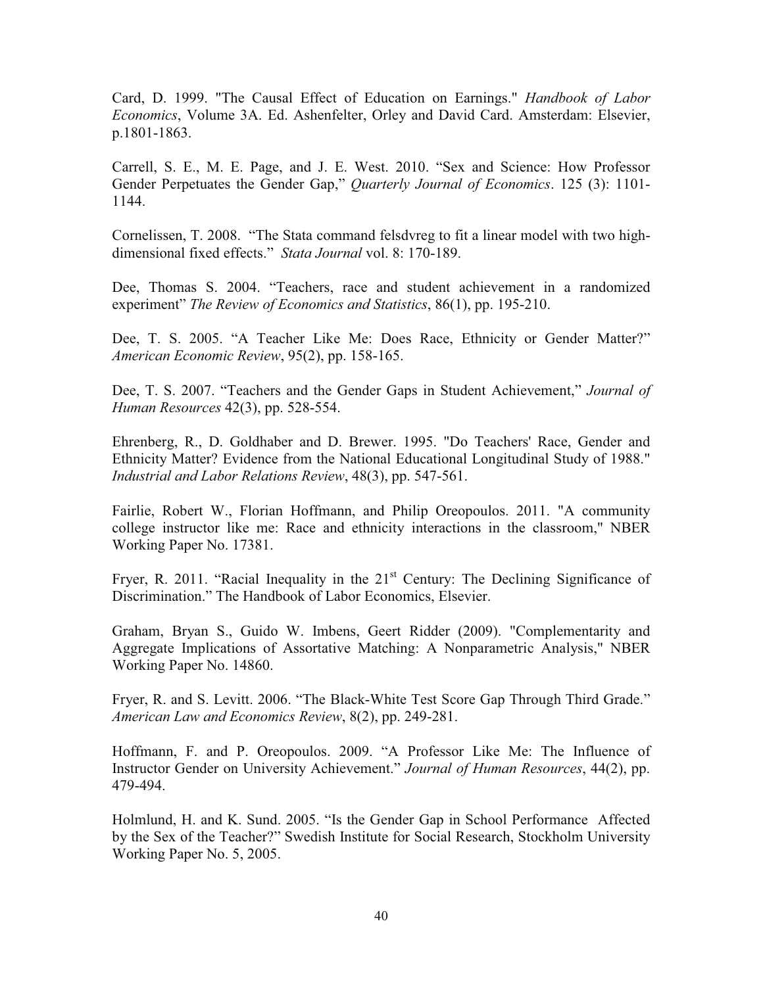Card, D. 1999. "The Causal Effect of Education on Earnings." *Handbook of Labor Economics*, Volume 3A. Ed. Ashenfelter, Orley and David Card. Amsterdam: Elsevier, p.1801-1863.

Carrell, S. E., M. E. Page, and J. E. West. 2010. "Sex and Science: How Professor Gender Perpetuates the Gender Gap," *Quarterly Journal of Economics*. 125 (3): 1101- 1144.

Cornelissen, T. 2008. "The Stata command felsdvreg to fit a linear model with two highdimensional fixed effects." *Stata Journal* vol. 8: 170-189.

Dee, Thomas S. 2004. "Teachers, race and student achievement in a randomized experiment" *The Review of Economics and Statistics*, 86(1), pp. 195-210.

Dee, T. S. 2005. "A Teacher Like Me: Does Race, Ethnicity or Gender Matter?" *American Economic Review*, 95(2), pp. 158-165.

Dee, T. S. 2007. "Teachers and the Gender Gaps in Student Achievement," *Journal of Human Resources* 42(3), pp. 528-554.

Ehrenberg, R., D. Goldhaber and D. Brewer. 1995. "Do Teachers' Race, Gender and Ethnicity Matter? Evidence from the National Educational Longitudinal Study of 1988." *Industrial and Labor Relations Review*, 48(3), pp. 547-561.

Fairlie, Robert W., Florian Hoffmann, and Philip Oreopoulos. 2011. "A community college instructor like me: Race and ethnicity interactions in the classroom," NBER Working Paper No. 17381.

Fryer, R. 2011. "Racial Inequality in the 21<sup>st</sup> Century: The Declining Significance of Discrimination." The Handbook of Labor Economics, Elsevier.

Graham, Bryan S., Guido W. Imbens, Geert Ridder (2009). "Complementarity and Aggregate Implications of Assortative Matching: A Nonparametric Analysis," NBER Working Paper No. 14860.

Fryer, R. and S. Levitt. 2006. "The Black-White Test Score Gap Through Third Grade." *American Law and Economics Review*, 8(2), pp. 249-281.

Hoffmann, F. and P. Oreopoulos. 2009. "A Professor Like Me: The Influence of Instructor Gender on University Achievement." *Journal of Human Resources*, 44(2), pp. 479-494.

Holmlund, H. and K. Sund. 2005. "Is the Gender Gap in School Performance Affected by the Sex of the Teacher?" Swedish Institute for Social Research, Stockholm University Working Paper No. 5, 2005.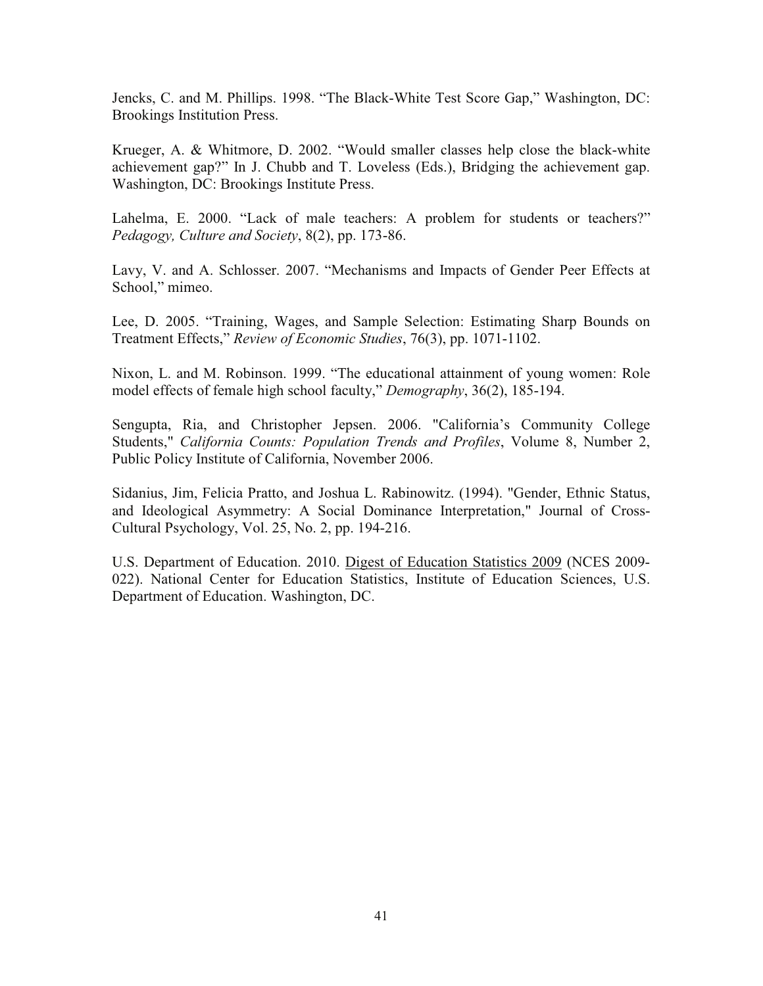Jencks, C. and M. Phillips. 1998. "The Black-White Test Score Gap," Washington, DC: Brookings Institution Press.

Krueger, A. & Whitmore, D. 2002. "Would smaller classes help close the black-white achievement gap?" In J. Chubb and T. Loveless (Eds.), Bridging the achievement gap. Washington, DC: Brookings Institute Press.

Lahelma, E. 2000. "Lack of male teachers: A problem for students or teachers?" *Pedagogy, Culture and Society*, 8(2), pp. 173-86.

Lavy, V. and A. Schlosser. 2007. "Mechanisms and Impacts of Gender Peer Effects at School," mimeo.

Lee, D. 2005. "Training, Wages, and Sample Selection: Estimating Sharp Bounds on Treatment Effects," *Review of Economic Studies*, 76(3), pp. 1071-1102.

Nixon, L. and M. Robinson. 1999. "The educational attainment of young women: Role model effects of female high school faculty," *Demography*, 36(2), 185-194.

Sengupta, Ria, and Christopher Jepsen. 2006. "California's Community College Students," *California Counts: Population Trends and Profiles*, Volume 8, Number 2, Public Policy Institute of California, November 2006.

Sidanius, Jim, Felicia Pratto, and Joshua L. Rabinowitz. (1994). "Gender, Ethnic Status, and Ideological Asymmetry: A Social Dominance Interpretation," Journal of Cross-Cultural Psychology, Vol. 25, No. 2, pp. 194-216.

U.S. Department of Education. 2010. Digest of Education Statistics 2009 (NCES 2009- 022). National Center for Education Statistics, Institute of Education Sciences, U.S. Department of Education. Washington, DC.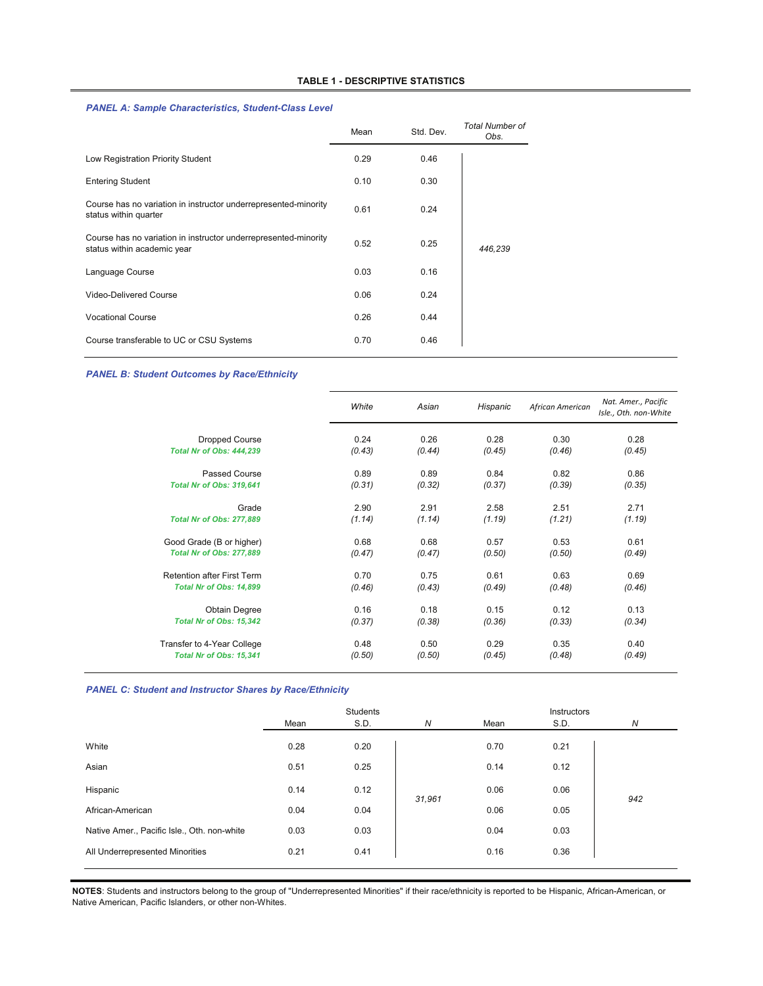#### *PANEL A: Sample Characteristics, Student-Class Level*

|                                                                                                | Mean | Std. Dev. | <b>Total Number of</b><br>Obs. |
|------------------------------------------------------------------------------------------------|------|-----------|--------------------------------|
| Low Registration Priority Student                                                              | 0.29 | 0.46      |                                |
| <b>Entering Student</b>                                                                        | 0.10 | 0.30      |                                |
| Course has no variation in instructor underrepresented-minority<br>status within quarter       | 0.61 | 0.24      |                                |
| Course has no variation in instructor underrepresented-minority<br>status within academic year | 0.52 | 0.25      | 446,239                        |
| Language Course                                                                                | 0.03 | 0.16      |                                |
| Video-Delivered Course                                                                         | 0.06 | 0.24      |                                |
| <b>Vocational Course</b>                                                                       | 0.26 | 0.44      |                                |
| Course transferable to UC or CSU Systems                                                       | 0.70 | 0.46      |                                |

#### *PANEL B: Student Outcomes by Race/Ethnicity*

| White  | Asian  | Hispanic | African American | Nat. Amer., Pacific<br>Isle., Oth. non-White |
|--------|--------|----------|------------------|----------------------------------------------|
|        |        |          |                  | 0.28                                         |
| (0.43) | (0.44) | (0.45)   | (0.46)           | (0.45)                                       |
| 0.89   | 0.89   | 0.84     | 0.82             | 0.86                                         |
| (0.31) | (0.32) | (0.37)   | (0.39)           | (0.35)                                       |
| 2.90   | 2.91   | 2.58     | 2.51             | 2.71                                         |
| (1.14) | (1.14) | (1.19)   | (1.21)           | (1.19)                                       |
| 0.68   | 0.68   | 0.57     | 0.53             | 0.61                                         |
| (0.47) | (0.47) | (0.50)   | (0.50)           | (0.49)                                       |
| 0.70   | 0.75   | 0.61     | 0.63             | 0.69                                         |
| (0.46) | (0.43) | (0.49)   | (0.48)           | (0.46)                                       |
| 0.16   | 0.18   | 0.15     | 0.12             | 0.13                                         |
| (0.37) | (0.38) | (0.36)   | (0.33)           | (0.34)                                       |
| 0.48   | 0.50   | 0.29     | 0.35             | 0.40                                         |
| (0.50) | (0.50) | (0.45)   | (0.48)           | (0.49)                                       |
|        | 0.24   | 0.26     | 0.28             | 0.30                                         |

#### *PANEL C: Student and Instructor Shares by Race/Ethnicity*

|                                             |      | Students |                  |      | Instructors |     |
|---------------------------------------------|------|----------|------------------|------|-------------|-----|
|                                             | Mean | S.D.     | $\boldsymbol{N}$ | Mean | S.D.        | N   |
| White                                       | 0.28 | 0.20     |                  | 0.70 | 0.21        |     |
| Asian                                       | 0.51 | 0.25     |                  | 0.14 | 0.12        |     |
| Hispanic                                    | 0.14 | 0.12     | 31,961           | 0.06 | 0.06        | 942 |
| African-American                            | 0.04 | 0.04     |                  | 0.06 | 0.05        |     |
| Native Amer., Pacific Isle., Oth. non-white | 0.03 | 0.03     |                  | 0.04 | 0.03        |     |
| All Underrepresented Minorities             | 0.21 | 0.41     |                  | 0.16 | 0.36        |     |

**NOTES**: Students and instructors belong to the group of "Underrepresented Minorities" if their race/ethnicity is reported to be Hispanic, African-American, or Native American, Pacific Islanders, or other non-Whites.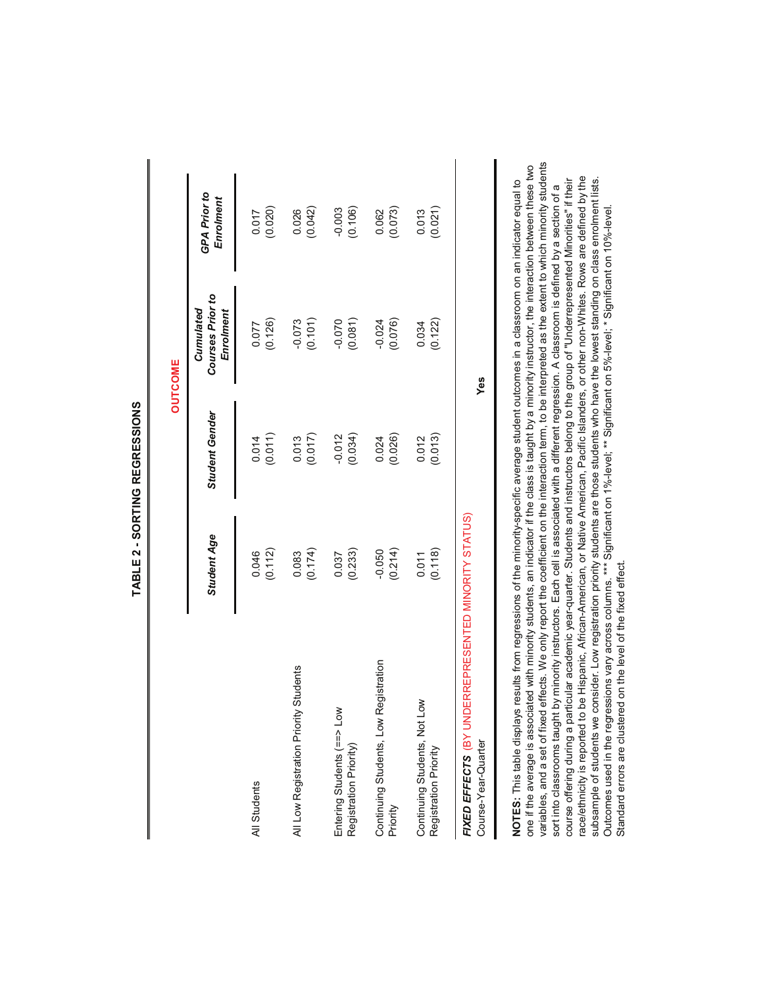|                                                                                                                                                                                                                                                                                                                                                                                                                                                                                                                                                                                                                                                                                                                                                                                                                                                                                                                                                                                                                                                               |                                                                                                                                                                                                                                              |                       | <b>OUTCOME</b>                             |                           |
|---------------------------------------------------------------------------------------------------------------------------------------------------------------------------------------------------------------------------------------------------------------------------------------------------------------------------------------------------------------------------------------------------------------------------------------------------------------------------------------------------------------------------------------------------------------------------------------------------------------------------------------------------------------------------------------------------------------------------------------------------------------------------------------------------------------------------------------------------------------------------------------------------------------------------------------------------------------------------------------------------------------------------------------------------------------|----------------------------------------------------------------------------------------------------------------------------------------------------------------------------------------------------------------------------------------------|-----------------------|--------------------------------------------|---------------------------|
|                                                                                                                                                                                                                                                                                                                                                                                                                                                                                                                                                                                                                                                                                                                                                                                                                                                                                                                                                                                                                                                               | Student Age                                                                                                                                                                                                                                  | <b>Student Gender</b> | Courses Prior to<br>Cumulated<br>Enrolment | GPA Prior to<br>Enrolment |
| All Students                                                                                                                                                                                                                                                                                                                                                                                                                                                                                                                                                                                                                                                                                                                                                                                                                                                                                                                                                                                                                                                  | (0.112)                                                                                                                                                                                                                                      | (0.011)               | (0.126)                                    | (0.020)                   |
|                                                                                                                                                                                                                                                                                                                                                                                                                                                                                                                                                                                                                                                                                                                                                                                                                                                                                                                                                                                                                                                               | 0.046                                                                                                                                                                                                                                        | 0.014                 | 0.077                                      | 0.017                     |
| All Low Registration Priority Students                                                                                                                                                                                                                                                                                                                                                                                                                                                                                                                                                                                                                                                                                                                                                                                                                                                                                                                                                                                                                        | (0.174)                                                                                                                                                                                                                                      | (0.017)               | (0.101)                                    | (0.042)                   |
|                                                                                                                                                                                                                                                                                                                                                                                                                                                                                                                                                                                                                                                                                                                                                                                                                                                                                                                                                                                                                                                               | 0.083                                                                                                                                                                                                                                        | 0.013                 | $-0.073$                                   | 0.026                     |
| Entering Students (==> Low                                                                                                                                                                                                                                                                                                                                                                                                                                                                                                                                                                                                                                                                                                                                                                                                                                                                                                                                                                                                                                    | (0.233)                                                                                                                                                                                                                                      | (0.034)               | (0.081)                                    | (0.106)                   |
| Registration Priority)                                                                                                                                                                                                                                                                                                                                                                                                                                                                                                                                                                                                                                                                                                                                                                                                                                                                                                                                                                                                                                        | 0.037                                                                                                                                                                                                                                        | $-0.012$              | $-0.070$                                   | $-0.003$                  |
| Continuing Students, Low Registration                                                                                                                                                                                                                                                                                                                                                                                                                                                                                                                                                                                                                                                                                                                                                                                                                                                                                                                                                                                                                         | (0.214)                                                                                                                                                                                                                                      | (0.026)               | (0.076)                                    | (0.073)                   |
| Priority                                                                                                                                                                                                                                                                                                                                                                                                                                                                                                                                                                                                                                                                                                                                                                                                                                                                                                                                                                                                                                                      | $-0.050$                                                                                                                                                                                                                                     | 0.024                 | $-0.024$                                   | 0.062                     |
| Continuing Students, Not Low                                                                                                                                                                                                                                                                                                                                                                                                                                                                                                                                                                                                                                                                                                                                                                                                                                                                                                                                                                                                                                  | (0.118)                                                                                                                                                                                                                                      | (0.013)               | (0.122)                                    | (0.021)                   |
| Registration Priority                                                                                                                                                                                                                                                                                                                                                                                                                                                                                                                                                                                                                                                                                                                                                                                                                                                                                                                                                                                                                                         | 0.011                                                                                                                                                                                                                                        | 0.012                 | 0.034                                      | 0.013                     |
| FIXED EFFECTS (BY UNDERREPRESENTED MINORITY STATUS)<br>Course-Year-Quarter                                                                                                                                                                                                                                                                                                                                                                                                                                                                                                                                                                                                                                                                                                                                                                                                                                                                                                                                                                                    |                                                                                                                                                                                                                                              |                       | Yes                                        |                           |
| variables, and a set of fixed effects. We only report the coefficient on the interaction term, to be interpreted as the extent to which minority students<br>one if the average is associated with minority students, an indicator if the class is taught by a minority instructor, the interaction between these two<br>subsample of students we consider. Low registration priority students are those students who have the lowest standing on class enrolment lists.<br>course offering during a particular academic year-quarter. Students and instructors belong to the group of "Underrepresented Minorities" if their<br>NOTES: This table displays results from regressions of the minority-specific average student outcomes in a classroom on an indicator equal to<br>Outcomes used in the regressions vary across columns. *** Significant on 1%-level; ** Significant on 5%-level; * Significant on 10%-level<br>Standard errors are clustered on the level of the fixed effect<br>sort into classrooms taught<br>race/ethnicity is reported to | be Hispanic, African-American, or Native American, Pacific Islanders, or other non-Whites. Rows are defined by the<br>by minority instructors. Each cell is associated with a different regression. A classroom is defined by a section of a |                       |                                            |                           |

TABLE 2 - SORTING REGRESSIONS **TABLE 2 - SORTING REGRESSIONS**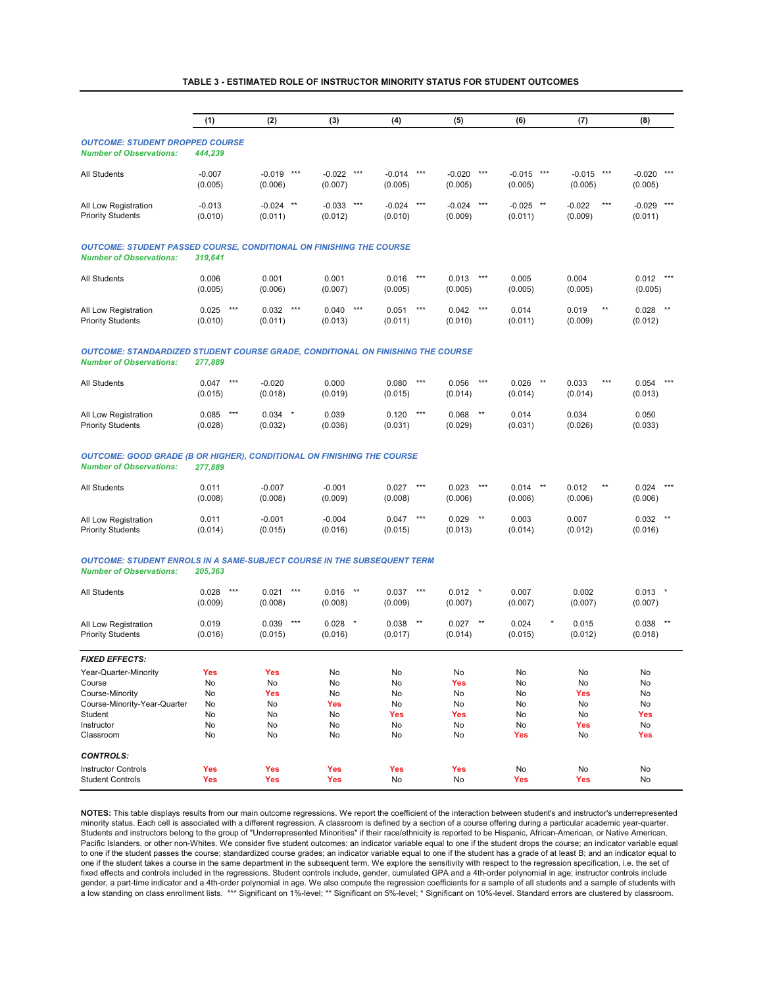#### **TABLE 3 - ESTIMATED ROLE OF INSTRUCTOR MINORITY STATUS FOR STUDENT OUTCOMES**

|                                                                                                                          | (1)                       | (2)                          | (3)                          | (4)                          | (5)                          | (6)                     | (7)                                 | (8)                        |
|--------------------------------------------------------------------------------------------------------------------------|---------------------------|------------------------------|------------------------------|------------------------------|------------------------------|-------------------------|-------------------------------------|----------------------------|
| <b>OUTCOME: STUDENT DROPPED COURSE</b><br><b>Number of Observations:</b>                                                 | 444,239                   |                              |                              |                              |                              |                         |                                     |                            |
| <b>All Students</b>                                                                                                      | $-0.007$<br>(0.005)       | $***$<br>$-0.019$<br>(0.006) | $-0.022$<br>$***$<br>(0.007) | $-0.014$<br>$***$<br>(0.005) | $-0.020$<br>$***$<br>(0.005) | $-0.015$ ***<br>(0.005) | $-0.015$ ***<br>(0.005)             | $-0.020$<br>***<br>(0.005) |
| All Low Registration<br><b>Priority Students</b>                                                                         | $-0.013$<br>(0.010)       | $***$<br>$-0.024$<br>(0.011) | $-0.033$<br>$***$<br>(0.012) | $***$<br>$-0.024$<br>(0.010) | $***$<br>$-0.024$<br>(0.009) | $-0.025$ **<br>(0.011)  | $***$<br>$-0.022$<br>(0.009)        | $-0.029$ ***<br>(0.011)    |
| <b>OUTCOME: STUDENT PASSED COURSE, CONDITIONAL ON FINISHING THE COURSE</b><br><b>Number of Observations:</b>             | 319,641                   |                              |                              |                              |                              |                         |                                     |                            |
| <b>All Students</b>                                                                                                      | 0.006<br>(0.005)          | 0.001<br>(0.006)             | 0.001<br>(0.007)             | 0.016<br>$***$<br>(0.005)    | 0.013<br>$***$<br>(0.005)    | 0.005<br>(0.005)        | 0.004<br>(0.005)                    | 0.012<br>(0.005)           |
| All Low Registration<br><b>Priority Students</b>                                                                         | $***$<br>0.025<br>(0.010) | $***$<br>0.032<br>(0.011)    | $***$<br>0.040<br>(0.013)    | $***$<br>0.051<br>(0.011)    | $***$<br>0.042<br>(0.010)    | 0.014<br>(0.011)        | 0.019<br>$^{\star\star}$<br>(0.009) | $***$<br>0.028<br>(0.012)  |
| <b>OUTCOME: STANDARDIZED STUDENT COURSE GRADE, CONDITIONAL ON FINISHING THE COURSE</b><br><b>Number of Observations:</b> | 277,889                   |                              |                              |                              |                              |                         |                                     |                            |
| <b>All Students</b>                                                                                                      | $***$<br>0.047<br>(0.015) | $-0.020$<br>(0.018)          | 0.000<br>(0.019)             | $***$<br>0.080<br>(0.015)    | $***$<br>0.056<br>(0.014)    | $0.026$ **<br>(0.014)   | $***$<br>0.033<br>(0.014)           | 0.054<br>$***$<br>(0.013)  |
| All Low Registration<br><b>Priority Students</b>                                                                         | $***$<br>0.085<br>(0.028) | $0.034$ *<br>(0.032)         | 0.039<br>(0.036)             | 0.120<br>$***$<br>(0.031)    | 0.068<br>$***$<br>(0.029)    | 0.014<br>(0.031)        | 0.034<br>(0.026)                    | 0.050<br>(0.033)           |
| <b>OUTCOME: GOOD GRADE (B OR HIGHER), CONDITIONAL ON FINISHING THE COURSE</b><br><b>Number of Observations:</b>          | 277.889                   |                              |                              |                              |                              |                         |                                     |                            |
|                                                                                                                          |                           |                              |                              |                              |                              |                         |                                     |                            |

| All Students                                     | 0.011<br>(0.008) | $-0.007$<br>(0.008) | $-0.001$<br>(0.009) | $***$<br>0.027<br>(0.008) | $***$<br>0.023<br>(0.006) | 0.014<br>$***$<br>(0.006) | $***$<br>0.012<br>(0.006) | $***$<br>0.024<br>(0.006) |
|--------------------------------------------------|------------------|---------------------|---------------------|---------------------------|---------------------------|---------------------------|---------------------------|---------------------------|
| All Low Registration<br><b>Priority Students</b> | 0.011<br>(0.014) | $-0.001$<br>(0.015) | $-0.004$<br>(0.016) | $***$<br>0.047<br>(0.015) | 0.029<br>**<br>(0.013)    | 0.003<br>(0.014)          | 0.007<br>(0.012)          | $***$<br>0.032<br>(0.016) |

#### *OUTCOME: STUDENT ENROLS IN A SAME-SUBJECT COURSE IN THE SUBSEQUENT TERM Number of Observations: 205,363*

| All Students                                     | $***$<br>0.028<br>(0.009) | $***$<br>0.021<br>(0.008) | $***$<br>0.016<br>(0.008)   | $***$<br>0.037<br>(0.009) | $0.012$ *<br>(0.007)      | 0.007<br>(0.007)            | 0.002<br>(0.007) | 0.013<br>(0.007)          |
|--------------------------------------------------|---------------------------|---------------------------|-----------------------------|---------------------------|---------------------------|-----------------------------|------------------|---------------------------|
| All Low Registration<br><b>Priority Students</b> | 0.019<br>(0.016)          | ***<br>0.039<br>(0.015)   | 0.028<br>$\star$<br>(0.016) | 0.038<br>$***$<br>(0.017) | $***$<br>0.027<br>(0.014) | $\star$<br>0.024<br>(0.015) | 0.015<br>(0.012) | $***$<br>0.038<br>(0.018) |
| <b>FIXED EFFECTS:</b>                            |                           |                           |                             |                           |                           |                             |                  |                           |
| Year-Quarter-Minority                            | Yes                       | <b>Yes</b>                | <b>No</b>                   | No                        | No                        | No                          | No               | No                        |
| Course                                           | <b>No</b>                 | <b>No</b>                 | <b>No</b>                   | No                        | Yes                       | No                          | No               | No                        |
| Course-Minority                                  | <b>No</b>                 | <b>Yes</b>                | <b>No</b>                   | <b>No</b>                 | No                        | <b>No</b>                   | <b>Yes</b>       | <b>No</b>                 |
| Course-Minority-Year-Quarter                     | <b>No</b>                 | <b>No</b>                 | Yes                         | <b>No</b>                 | No                        | No                          | No               | No                        |
| <b>Student</b>                                   | <b>No</b>                 | <b>No</b>                 | No                          | <b>Yes</b>                | Yes                       | No                          | No               | <b>Yes</b>                |
| Instructor                                       | <b>No</b>                 | <b>No</b>                 | No                          | No                        | No                        | No                          | Yes              | No                        |
| Classroom                                        | <b>No</b>                 | <b>No</b>                 | <b>No</b>                   | <b>No</b>                 | No                        | Yes                         | No               | <b>Yes</b>                |
| <b>CONTROLS:</b>                                 |                           |                           |                             |                           |                           |                             |                  |                           |
| <b>Instructor Controls</b>                       | Yes                       | <b>Yes</b>                | <b>Yes</b>                  | <b>Yes</b>                | <b>Yes</b>                | <b>No</b>                   | <b>No</b>        | No                        |
| <b>Student Controls</b>                          | Yes                       | <b>Yes</b>                | <b>Yes</b>                  | <b>No</b>                 | No                        | Yes                         | Yes              | No                        |

**NOTES:** This table displays results from our main outcome regressions. We report the coefficient of the interaction between student's and instructor's underrepresented minority status. Each cell is associated with a different regression. A classroom is defined by a section of a course offering during a particular academic year-quarter. Students and instructors belong to the group of "Underrepresented Minorities" if their race/ethnicity is reported to be Hispanic, African-American, or Native American, Pacific Islanders, or other non-Whites. We consider five student outcomes: an indicator variable equal to one if the student drops the course; an indicator variable equal to one if the student passes the course; standardized course grades; an indicator variable equal to one if the student has a grade of at least B; and an indicator equal to one if the student takes a course in the same department in the subsequent term. We explore the sensitivity with respect to the regression specification, i.e. the set of fixed effects and controls included in the regressions. Student controls include, gender, cumulated GPA and a 4th-order polynomial in age; instructor controls include gender, a part-time indicator and a 4th-order polynomial in age. We also compute the regression coefficients for a sample of all students and a sample of students with a low standing on class enrollment lists. \*\*\* Significant on 1%-level; \*\* Significant on 5%-level; \* Significant on 10%-level. Standard errors are clustered by classroom.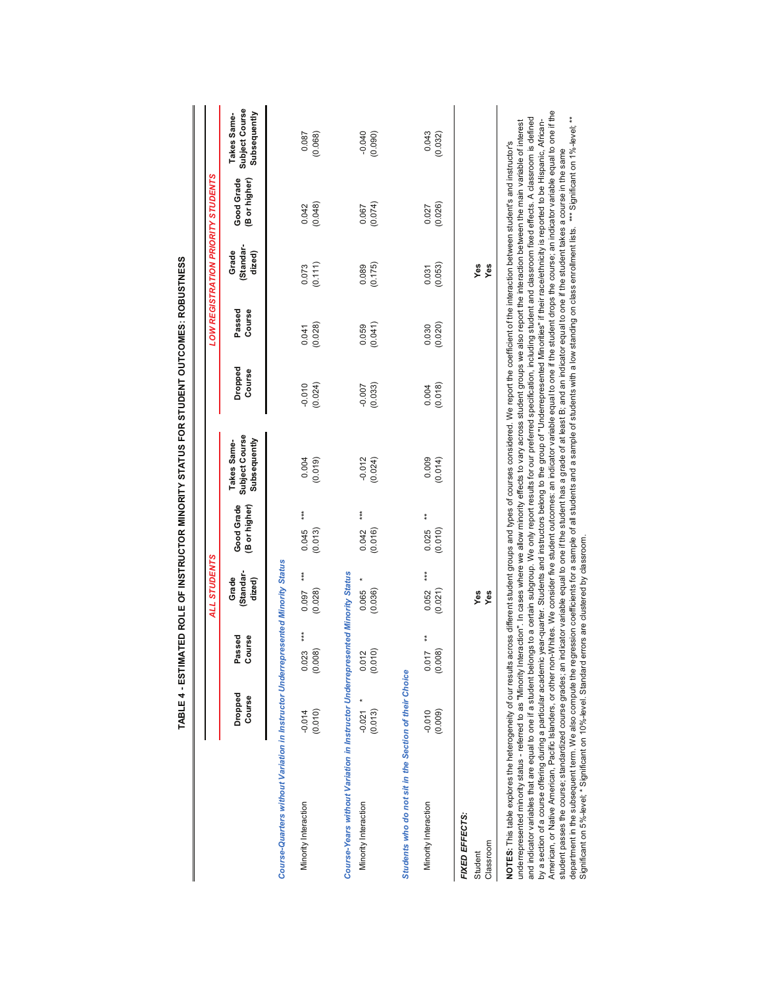|                                                                                                                                                                                                                                                                                                                                                                                                                                                                                                                                                                                                                                                                                                                                                                                                                                                                                                                                                                                                                                                                                                                                                                                         |                     |                              |                             |                                   | TABLE 4 - ESTIMATED ROLE OF INSTRUCTOR MINORITY STATUS FOR STUDENT OUTCOMES: ROBUSTNESS                                                                                                                                                                                                                                                                                                                                                                                       |                     |                  |                             |                                    |                                               |
|-----------------------------------------------------------------------------------------------------------------------------------------------------------------------------------------------------------------------------------------------------------------------------------------------------------------------------------------------------------------------------------------------------------------------------------------------------------------------------------------------------------------------------------------------------------------------------------------------------------------------------------------------------------------------------------------------------------------------------------------------------------------------------------------------------------------------------------------------------------------------------------------------------------------------------------------------------------------------------------------------------------------------------------------------------------------------------------------------------------------------------------------------------------------------------------------|---------------------|------------------------------|-----------------------------|-----------------------------------|-------------------------------------------------------------------------------------------------------------------------------------------------------------------------------------------------------------------------------------------------------------------------------------------------------------------------------------------------------------------------------------------------------------------------------------------------------------------------------|---------------------|------------------|-----------------------------|------------------------------------|-----------------------------------------------|
|                                                                                                                                                                                                                                                                                                                                                                                                                                                                                                                                                                                                                                                                                                                                                                                                                                                                                                                                                                                                                                                                                                                                                                                         |                     |                              | ALL STUDENTS                |                                   |                                                                                                                                                                                                                                                                                                                                                                                                                                                                               |                     |                  |                             | LOW REGISTRATION PRIORITY STUDENTS |                                               |
|                                                                                                                                                                                                                                                                                                                                                                                                                                                                                                                                                                                                                                                                                                                                                                                                                                                                                                                                                                                                                                                                                                                                                                                         | Dropped<br>Course   | Passed<br>Course             | Standar-<br>Grade<br>dized) | Good Grade<br>(B or higher)       | Subject Course<br>Subsequently<br>Takes Same-                                                                                                                                                                                                                                                                                                                                                                                                                                 | Dropped<br>Course   | Passed<br>Course | Standar-<br>dized)<br>Grade | Good Grade<br>(B or higher)        | Subject Course<br>Subsequently<br>Takes Same- |
| Course-Quarters without Variation in Instructor Underrepresented Minority Status                                                                                                                                                                                                                                                                                                                                                                                                                                                                                                                                                                                                                                                                                                                                                                                                                                                                                                                                                                                                                                                                                                        |                     |                              |                             |                                   |                                                                                                                                                                                                                                                                                                                                                                                                                                                                               |                     |                  |                             |                                    |                                               |
| Minority Interaction                                                                                                                                                                                                                                                                                                                                                                                                                                                                                                                                                                                                                                                                                                                                                                                                                                                                                                                                                                                                                                                                                                                                                                    | (0.010)<br>$-0.014$ | ***<br>(0.008)<br>0.023      | ***<br>(0.028)<br>0.097     | $\frac{*}{*}$<br>(0.013)<br>0.045 | 0.004<br>(0.019)                                                                                                                                                                                                                                                                                                                                                                                                                                                              | (0.024)<br>$-0.010$ | (0.028)<br>0.041 | (0.111)<br>0.073            | (0.048)<br>0.042                   | 0.087<br>(0.068)                              |
| Course-Years without Variation in Instructor Underrepresented Minority Status                                                                                                                                                                                                                                                                                                                                                                                                                                                                                                                                                                                                                                                                                                                                                                                                                                                                                                                                                                                                                                                                                                           |                     |                              |                             |                                   |                                                                                                                                                                                                                                                                                                                                                                                                                                                                               |                     |                  |                             |                                    |                                               |
| Minority Interaction                                                                                                                                                                                                                                                                                                                                                                                                                                                                                                                                                                                                                                                                                                                                                                                                                                                                                                                                                                                                                                                                                                                                                                    | $-0.021$<br>(0.013) | $0.012$<br>$(0.010)$         | (0.036)<br>0.065            | $* * *$<br>(0.016)<br>0.042       | $-0.012$<br>(0.024)                                                                                                                                                                                                                                                                                                                                                                                                                                                           | (0.033)<br>$-0.007$ | (0.041)<br>0.059 | (0.175)<br>0.089            | (0.074)<br>0.067                   | $-0.040$<br>(0.090)                           |
| Students who do not sit in the Section of their Choice                                                                                                                                                                                                                                                                                                                                                                                                                                                                                                                                                                                                                                                                                                                                                                                                                                                                                                                                                                                                                                                                                                                                  |                     |                              |                             |                                   |                                                                                                                                                                                                                                                                                                                                                                                                                                                                               |                     |                  |                             |                                    |                                               |
| Minority Interaction                                                                                                                                                                                                                                                                                                                                                                                                                                                                                                                                                                                                                                                                                                                                                                                                                                                                                                                                                                                                                                                                                                                                                                    | $-0.010$<br>(0.009) | $\bf{*}$<br>(0.008)<br>0.017 | $***$<br>(0.021)<br>0.052   | $\ddot{*}$<br>(0.010)<br>0.025    | 0.009<br>(0.014)                                                                                                                                                                                                                                                                                                                                                                                                                                                              | (0.018)<br>0.004    | (0.020)<br>0.030 | (0.053)<br>0.031            | (0.026)<br>0.027                   | 0.043<br>(0.032)                              |
| FIXED EFFECTS:<br>Classroom<br>Student                                                                                                                                                                                                                                                                                                                                                                                                                                                                                                                                                                                                                                                                                                                                                                                                                                                                                                                                                                                                                                                                                                                                                  |                     |                              | Yes<br>Yes                  |                                   |                                                                                                                                                                                                                                                                                                                                                                                                                                                                               |                     |                  | Yes<br>Yes                  |                                    |                                               |
| and indicator variables that are equal to one if a student belongs to a certain subgroup. We only report results for our preferred specification, including student and classmom fixed effects. A classroom is defined<br>underrepresented minority status - referred to as "Minority Interaction". In cases where we allow minority effects to vary across student groups we also report the interaction between the main variable of interest<br>by a section of a course offering during a particular academic vear-quarter. Students and instructors belong to the group of "Underrepresented Minorities" if their race/ethnicity is reported to be Hispanic, African-<br>NOTES: This table explores the heterogeneity of our results across different student groups and types of courses considered. We report the coefficient of the interaction between student's and instructor's<br>Significant on 5%-level; * Significant on 10%-level. Standard errors are clustered by classroom.<br>American, or Native American, Pacific Islanders, or other no<br>student passes the course; standardized course grades; an<br>department in the subsequent term. We also compute the r |                     |                              |                             |                                   | n-Whites. We consider five student outcomes: an indicator variable equal to one if the student drops the course; an indicator variable equal to one if the<br>egression coefficients for a sample of all students and a sample of students with a low standing on class enrollment lists. *** Significant on 1%-level,**<br>indicator variable equal to one if the student has a grade of at least B; and an indicator equal to one if the student takes a course in the same |                     |                  |                             |                                    |                                               |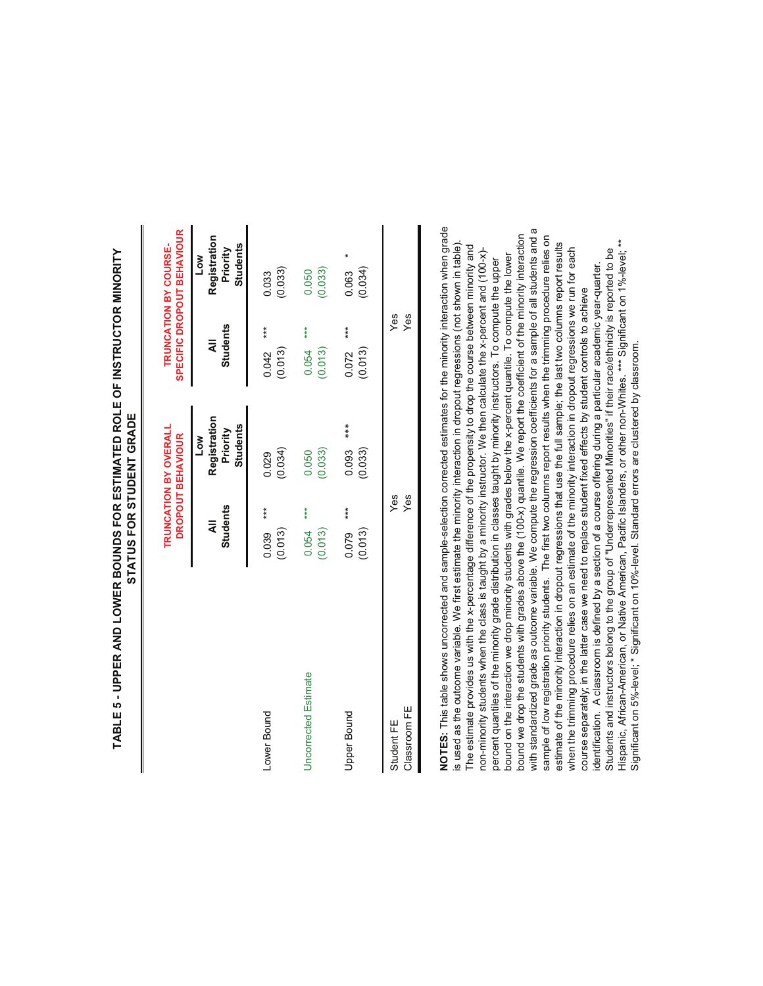|                            |                              | <b>TRUNCATION BY OVERALI</b><br>DROPOUT BEHAVIOUR  |                           | SPECIFIC DROPOUT BEHAVIOUR<br><b>TRUNCATION BY COURSE-</b> |
|----------------------------|------------------------------|----------------------------------------------------|---------------------------|------------------------------------------------------------|
|                            | <b>Students</b><br>$\bar{a}$ | Registration<br><b>Students</b><br>Priority<br>Low | <b>Students</b><br>₹      | Registration<br>Students<br>Priority<br>≧<br>Po            |
| Lower Bound                | $***$<br>0.039<br>(0.013)    | (0.034)<br>0.029                                   | $***$<br>0.042<br>(0.013) | (0.033)<br>0.033                                           |
| Uncorrected Estimate       | $0.054$ ***<br>(0.013)       | (0.033)<br>0.050                                   | 0.054<br>(0.013)          | (0.033)<br>0.050                                           |
| Upper Bound                | $***$<br>0.079<br>(0.013)    | $***$<br>0.093<br>(0.033)                          | $***$<br>(0.013)<br>0.072 | (0.034)<br>0.063                                           |
| Classroom FE<br>Student FE | Yes<br>Yes                   |                                                    | Yes<br>Yes                |                                                            |

# **TABLE 5 - UPPER AND LOWER BOUNDS FOR ESTIMATED ROLE OF INSTRUCTOR MINORITY**  TABLE 5 - UPPER AND LOWER BOUNDS FOR ESTIMATED ROLE OF INSTRUCTOR MINORITY STATUS FOR STUDENT GRADE **STATUS FOR STUDENT GRADE**

**NOTES:** This table shows uncorrected and sample-selection corrected estimates for the minority interaction when grade NOTES: This table shows uncorrected and sample-selection corrected estimates for the minority interaction when grade with standardized grade as outcome variable. We compute the regression coefficients for a sample of all students and a with standardized grade as outcome variable. We compute the regression coefficients for a sample of all students and a bound we drop the students with grades above the (100-x) quantile. We report the coefficient of the minority interaction bound we drop the students with grades above the (100-x) quantile. We report the coefficient of the minority interaction sample of low registration priority students. The first two columns report results when the trimming procedure relies on sample of low registration priority students. The first two columns report results when the trimming procedure relies on is used as the outcome variable. We first estimate the minority interaction in dropout regressions (not shown in table). Hispanic, African-American, or Native American, Pacific Islanders, or other non-Whites. \*\*\* Significant on 1%-level; \*\* Hispanic, African-American, or Native American, Pacific Islanders, or other non-Whites. \*\*\* Significant on 1%-level; \*\* is used as the outcome variable. We first estimate the minority interaction in dropout regressions (not shown in table). estimate of the minority interaction in dropout regressions that use the full sample; the last two columns report results estimate of the minority interaction in dropout regressions that use the full sample; the last two columns report results The estimate provides us with the x-percentage difference of the propensity to drop the course between minority and The estimate provides us with the x-percentage difference of the propensity to drop the course between minority and when the trimming procedure relies on an estimate of the minority interaction in dropout regressions we run for each non-minority students when the class is taught by a minority instructor. We then calculate the x-percent and (100-x)when the trimming procedure relies on an estimate of the minority interaction in dropout regressions we run for each Students and instructors belong to the group of "Underrepresented Minorities" if their race/ethnicity is reported to be Students and instructors belong to the group of "Underrepresented Minorities" if their race/ethnicity is reported to be non-minority students when the class is taught by a minority instructor. We then calculate the x-percent and (100-x) bound on the interaction we drop minority students with grades below the x-percent quantile. To compute the lower bound on the interaction we drop minority students with grades below the x-percent quantile. To compute the lower percent quantiles of the minority grade distribution in classes taught by minority instructors. To compute the upper percent quantiles of the minority grade distribution in classes taught by minority instructors. To compute the upper identification. A classroom is defined by a section of a course offering during a particular academic year-quarter. identification. A classroom is defined by a section of a course offering during a particular academic year-quarter. course separately; in the latter case we need to replace student fixed effects by student controls to achieve course separately; in the latter case we need to replace student fixed effects by student controls to achieve Significant on 5%-level; \* Significant on 10%-level. Standard errors are clustered by classroom. Significant on 5%-level; \* Significant on 10%-level. Standard errors are clustered by classroom.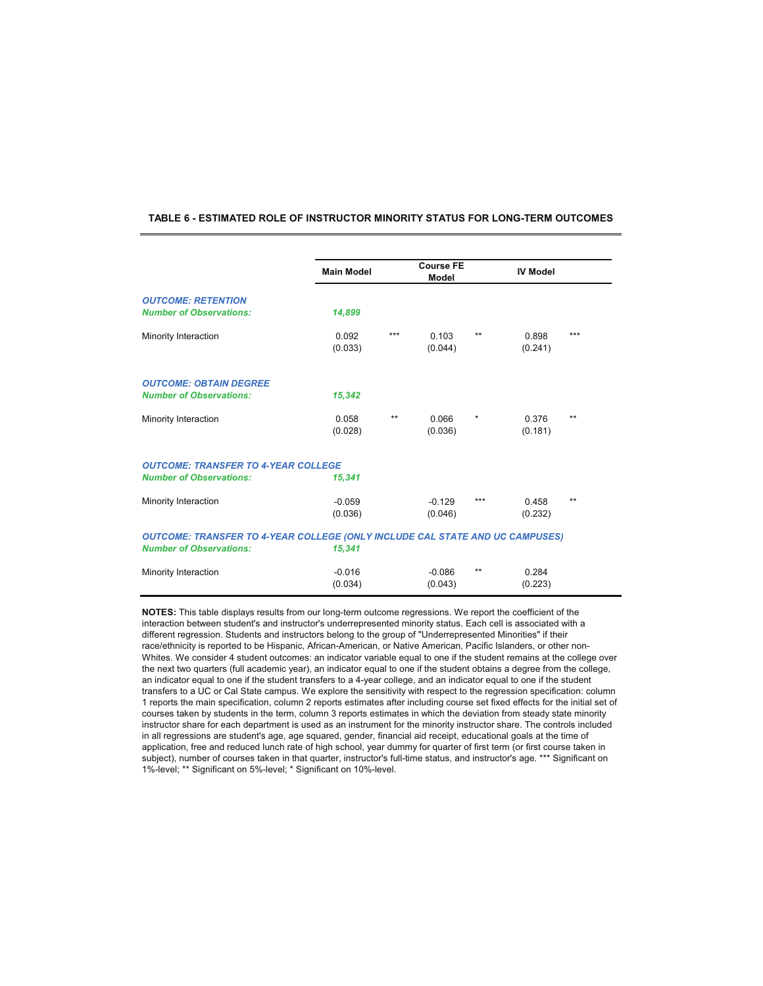#### **TABLE 6 - ESTIMATED ROLE OF INSTRUCTOR MINORITY STATUS FOR LONG-TERM OUTCOMES**

|                                                                                     | <b>Main Model</b>   |       | <b>Course FE</b><br><b>Model</b> |          | <b>IV Model</b>  |       |
|-------------------------------------------------------------------------------------|---------------------|-------|----------------------------------|----------|------------------|-------|
| <b>OUTCOME: RETENTION</b><br><b>Number of Observations:</b>                         | 14,899              |       |                                  |          |                  |       |
| Minority Interaction                                                                | 0.092<br>(0.033)    | $***$ | 0.103<br>(0.044)                 | $***$    | 0.898<br>(0.241) | $***$ |
| <b>OUTCOME: OBTAIN DEGREE</b><br><b>Number of Observations:</b>                     | 15,342              |       |                                  |          |                  |       |
| Minority Interaction                                                                | 0.058<br>(0.028)    | $***$ | 0.066<br>(0.036)                 | $^\star$ | 0.376<br>(0.181) | $***$ |
| <b>OUTCOME: TRANSFER TO 4-YEAR COLLEGE</b>                                          |                     |       |                                  |          |                  |       |
| <b>Number of Observations:</b>                                                      | 15,341              |       |                                  |          |                  |       |
| Minority Interaction                                                                | $-0.059$<br>(0.036) |       | $-0.129$<br>(0.046)              | ***      | 0.458<br>(0.232) | $***$ |
| <b>OUTCOME: TRANSFER TO 4-YEAR COLLEGE (ONLY INCLUDE CAL STATE AND UC CAMPUSES)</b> |                     |       |                                  |          |                  |       |
| <b>Number of Observations:</b>                                                      | 15,341              |       |                                  |          |                  |       |
| Minority Interaction                                                                | $-0.016$<br>(0.034) |       | $-0.086$<br>(0.043)              | $***$    | 0.284<br>(0.223) |       |

**NOTES:** This table displays results from our long-term outcome regressions. We report the coefficient of the interaction between student's and instructor's underrepresented minority status. Each cell is associated with a different regression. Students and instructors belong to the group of "Underrepresented Minorities" if their race/ethnicity is reported to be Hispanic, African-American, or Native American, Pacific Islanders, or other non-Whites. We consider 4 student outcomes: an indicator variable equal to one if the student remains at the college over the next two quarters (full academic year), an indicator equal to one if the student obtains a degree from the college, an indicator equal to one if the student transfers to a 4-year college, and an indicator equal to one if the student transfers to a UC or Cal State campus. We explore the sensitivity with respect to the regression specification: column 1 reports the main specification, column 2 reports estimates after including course set fixed effects for the initial set of courses taken by students in the term, column 3 reports estimates in which the deviation from steady state minority instructor share for each department is used as an instrument for the minority instructor share. The controls included in all regressions are student's age, age squared, gender, financial aid receipt, educational goals at the time of application, free and reduced lunch rate of high school, year dummy for quarter of first term (or first course taken in subject), number of courses taken in that quarter, instructor's full-time status, and instructor's age. \*\*\* Significant on 1%-level; \*\* Significant on 5%-level; \* Significant on 10%-level.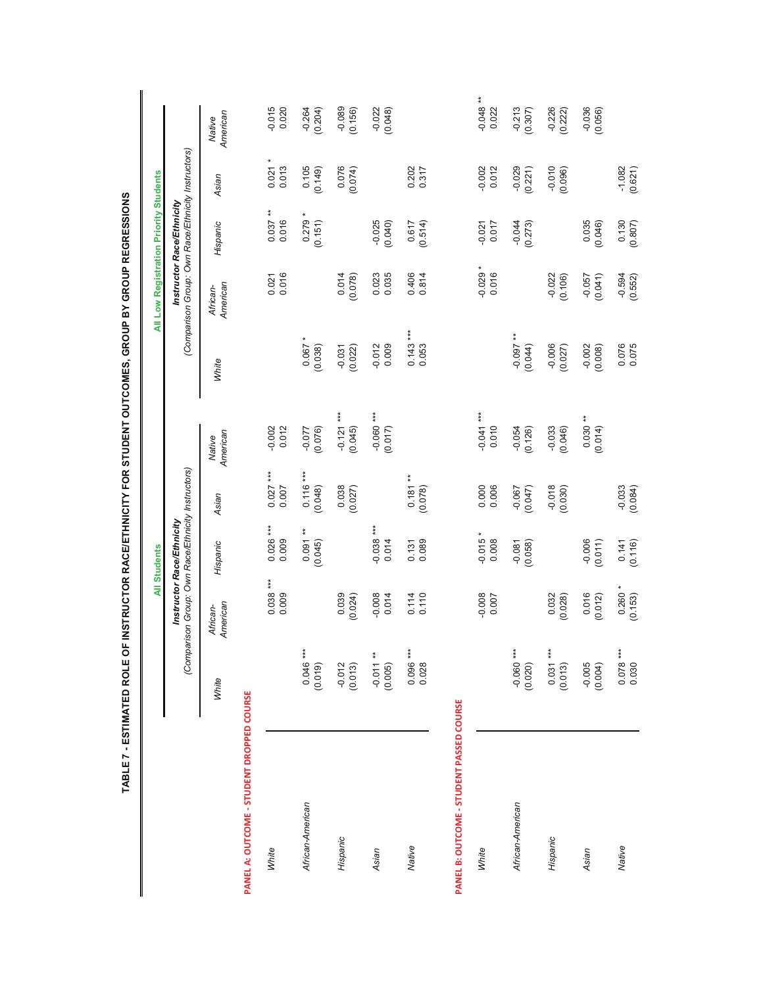|                                           |                        |                                                    | <b>All Students</b>       |                            |                        |                       | All Low Registration Priority Students             |                           |                           |                             |
|-------------------------------------------|------------------------|----------------------------------------------------|---------------------------|----------------------------|------------------------|-----------------------|----------------------------------------------------|---------------------------|---------------------------|-----------------------------|
|                                           |                        | (Comparison Group: Own Race/Ethnicity Instructors) | Instructor Race/Ethnicity |                            |                        |                       | (Comparison Group: Own Race/Ethnicity Instructors) | Instructor Race/Ethnicity |                           |                             |
|                                           | White                  | American<br>African-                               | Hispanic                  | Asian                      | American<br>Native     | White                 | American<br>African-                               | Hispanic                  | Asian                     | American<br>Native          |
| PANEL A: OUTCOME - STUDENT DROPPED COURSE |                        |                                                    |                           |                            |                        |                       |                                                    |                           |                           |                             |
| White                                     |                        | $0.038***$<br>0.009                                | $0.026***$<br>0.009       | $0.027***$<br>0.007        | $-0.002$<br>$0.012$    |                       | 0.016<br>0.021                                     | $0.037**$<br>0.016        | $\star$<br>0.021<br>0.013 | $-0.015$<br>0.020           |
| African-American                          | $0.046***$<br>(0.019)  |                                                    | $0.091**$<br>(0.045)      | $0.116***$<br>(0.048)      | -0.077<br>(0.076)      | 0.067<br>(0.038)      |                                                    | $0.279 *$<br>(0.151)      | 0.105<br>(0.149)          | $-0.264$<br>(0.204)         |
| Hispanic                                  | $-0.012$<br>(0.013)    | 0.039<br>(0.024)                                   |                           | 0.038<br>(0.027)           | $-0.121***$<br>(0.045) | $-0.031$<br>(0.022)   | 0.014<br>(0.078)                                   |                           | 0.076<br>(0.074)          | $-0.089$<br>(0.156)         |
| Asian                                     | $-0.011**$<br>(0.005)  | $-0.008$<br>0.014                                  | $-0.038***$<br>0.014      |                            | $-0.060***$<br>(0.017) | $-0.012$<br>0.009     | 0.023<br>0.035                                     | $-0.025$<br>(0.040)       |                           | $-0.022$<br>(0.048)         |
| Native                                    | $0.096***$<br>0.028    | 0.110<br>0.114                                     | 0.089<br>0.131            | $\ast$<br>0.181<br>(0.078) |                        | $0.143***$<br>0.053   | 0.406<br>0.814                                     | (0.514)<br>0.617          | 0.202<br>0.317            |                             |
| PANEL B: OUTCOME - STUDENT PASSED COURSE  |                        |                                                    |                           |                            |                        |                       |                                                    |                           |                           |                             |
| White                                     |                        | $-0.008$<br>0.007                                  | $-0.015*$<br>0.008        | 0.000<br>0.006             | $-0.041***$<br>0.010   |                       | ×<br>$-0.029$<br>0.016                             | 0.017<br>$-0.021$         | 0.012<br>$-0.002$         | $\ast$<br>$-0.048$<br>0.022 |
| African-American                          | $-0.060***$<br>(0.020) |                                                    | $-0.081$<br>(0.058)       | $-0.067$<br>(0.047)        | $-0.054$<br>(0.126)    | ** $260.0$<br>(0.044) |                                                    | $-0.044$<br>(0.273)       | $-0.029$<br>(0.221)       | $-0.213$<br>(0.307)         |
| Hispanic                                  | $0.031***$<br>(0.013)  | (0.028)<br>0.032                                   |                           | $-0.018$<br>(0.030)        | $-0.033$<br>(0.046)    | $-0.006$<br>(0.027)   | $-0.022$<br>(0.106)                                |                           | $-0.010$<br>(0.096)       | $-0.226$<br>(0.222)         |
| Asian                                     | $-0.005$<br>(0.004)    | 0.016<br>(0.012)                                   | $-0.006$<br>(0.011)       |                            | $0.030**$<br>(0.014)   | $-0.002$<br>(0.008)   | (0.041)<br>$-0.057$                                | 0.035<br>(0.046)          |                           | $-0.036$<br>(0.056)         |
| Native                                    | $0.078***$<br>0.030    | 0.260<br>(0.153)                                   | 0.141<br>(0.116)          | $-0.033$<br>(0.084)        |                        | 0.076<br>0.075        | $-0.594$<br>(0.552)                                | 0.130<br>(0.807)          | $-1.082$<br>(0.621)       |                             |

ì f ς<br>Θ  $\overline{\mathbf{a}}$ £ Ī e  $\ddot{\cdot}$ Ī į å í C  $\frac{1}{3}$ L å **FSTIMATED**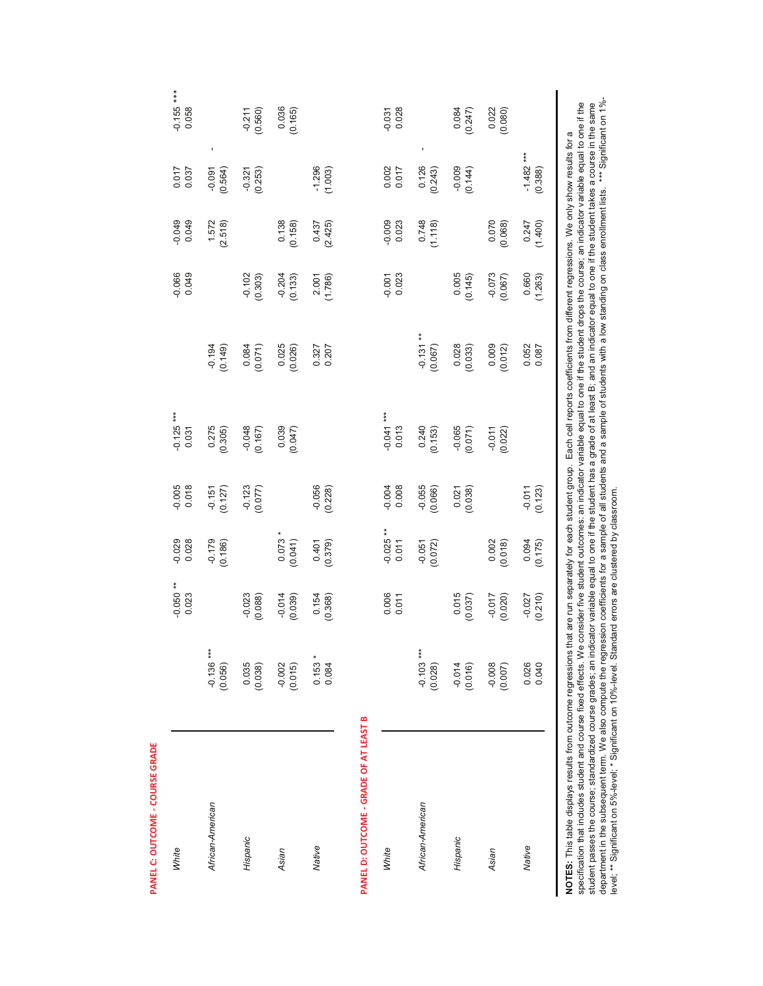| <b>White</b>                                                                                                                                                                                                                                                                                                                                                                                                                                                                                              |                        | $-0.050**$<br>0.023 | $-0.029$<br>0.028    | $-0.005$<br>0.018     | $-0.125$ ***<br>0.031                                                                                                                                                                                                                                                                                                                                                                                                                  |                            | $-0.066$<br>0.049   | $-0.049$<br>0.049 | 15000                                 | $-0.155$ ***<br>0.058  |
|-----------------------------------------------------------------------------------------------------------------------------------------------------------------------------------------------------------------------------------------------------------------------------------------------------------------------------------------------------------------------------------------------------------------------------------------------------------------------------------------------------------|------------------------|---------------------|----------------------|-----------------------|----------------------------------------------------------------------------------------------------------------------------------------------------------------------------------------------------------------------------------------------------------------------------------------------------------------------------------------------------------------------------------------------------------------------------------------|----------------------------|---------------------|-------------------|---------------------------------------|------------------------|
| African-American                                                                                                                                                                                                                                                                                                                                                                                                                                                                                          | $-0.136***$<br>(0.056) |                     | $-0.179$<br>(0.186)  | $-0.151$<br>$(0.127)$ | 0.275<br>(0.305)                                                                                                                                                                                                                                                                                                                                                                                                                       | (0.149)                    |                     | 1.572<br>(2.518)  | $\blacksquare$<br>$-0.091$<br>(0.564) |                        |
| Hispanic                                                                                                                                                                                                                                                                                                                                                                                                                                                                                                  | 0.035<br>(0.038)       | $-0.023$<br>(0.088) |                      | $-0.123$<br>(0.077)   | $-0.048$<br>(0.167)                                                                                                                                                                                                                                                                                                                                                                                                                    | 0.084<br>(0.071)           | $-0.102$<br>(0.303) |                   | (0.253)<br>$-0.321$                   | $-0.211$<br>(0.560)    |
| Asian                                                                                                                                                                                                                                                                                                                                                                                                                                                                                                     | $-0.002$<br>(0.015)    | $-0.014$<br>(0.039) | 0.073<br>(0.041)     |                       | 0.039<br>(0.047)                                                                                                                                                                                                                                                                                                                                                                                                                       | 0.025<br>(0.026)           | $-0.204$<br>(0.133) | 0.138<br>(0.158)  |                                       | 0.036<br>(0.165)       |
| Native                                                                                                                                                                                                                                                                                                                                                                                                                                                                                                    | $0.153 * 0.084$        | 0.154<br>(0.368)    | 0.401<br>(0.379)     | $-0.056$<br>(0.228)   |                                                                                                                                                                                                                                                                                                                                                                                                                                        | 0.327                      | (1.786)<br>2.001    | 0.437<br>(2.425)  | $-1.296$<br>(1.003)                   |                        |
| PANEL D: OUTCOME - GRADE OF AT LEAST B                                                                                                                                                                                                                                                                                                                                                                                                                                                                    |                        |                     |                      |                       |                                                                                                                                                                                                                                                                                                                                                                                                                                        |                            |                     |                   |                                       |                        |
| <b>White</b>                                                                                                                                                                                                                                                                                                                                                                                                                                                                                              |                        | 0.006<br>0.011      | $-0.025$ **<br>0.011 | $-0.004$<br>0.008     | $-0.041***$<br>0.013                                                                                                                                                                                                                                                                                                                                                                                                                   |                            | 0.023<br>$-0.001$   | $-0.009$<br>0.023 | 0.002<br>0.017                        | 0.028<br>$-0.031$      |
| African-American                                                                                                                                                                                                                                                                                                                                                                                                                                                                                          | $-0.103***$<br>(0.028) |                     | $-0.051$<br>(0.072)  | $-0.055$<br>(0.066)   | 0.240<br>(0.153)                                                                                                                                                                                                                                                                                                                                                                                                                       | $*$<br>$-0.131$<br>(0.067) |                     | 0.748<br>(1.118)  | ï<br>0.126<br>(0.243)                 |                        |
| Hispanic                                                                                                                                                                                                                                                                                                                                                                                                                                                                                                  | $-0.014$<br>(0.016)    | 0.015<br>(0.037)    |                      | 0.021<br>(0.038)      | $-0.065$<br>(0.071)                                                                                                                                                                                                                                                                                                                                                                                                                    | 0.028<br>(0.033)           | 0.005<br>(0.145)    |                   | $-0.009$<br>(0.144)                   | 0.084<br>(0.247)       |
| Asian                                                                                                                                                                                                                                                                                                                                                                                                                                                                                                     | $-0.008$<br>(0.007)    | $-0.017$<br>(0.020) | 0.002<br>(0.018)     |                       | $-0.011$<br>(0.022)                                                                                                                                                                                                                                                                                                                                                                                                                    | 0.009<br>(0.012)           | $-0.073$<br>(0.067) | 0.070<br>(0.068)  |                                       | 0.022<br>(0.080)       |
| Native                                                                                                                                                                                                                                                                                                                                                                                                                                                                                                    | 0.026<br>0.040         | $-0.027$<br>(0.210) | 0.094<br>(0.175)     | $-0.011$<br>(0.123)   |                                                                                                                                                                                                                                                                                                                                                                                                                                        | 0.052<br>0.087             | 0.660<br>(1.263)    | 0.247<br>(1.400)  | $-1.482***$<br>(0.388)                |                        |
| department in the subsequent term. We also compute the regression coefficients for a sample of all students and a sample of students with a low standing on class enrollment lists.<br>level; ** Significant on 5%-level; * Significant on 10%-level. Standard errors are clustered by classroom.<br>NOTES: This table displays results from outcome regressions th<br>specification that includes student and course fixed effects. We<br>student passes the course; standardized course grades; an indi |                        |                     |                      |                       | consider five student outcomes: an indicator variable equal to one if the student drops the course; an indicator variable equal to one if the<br>cator variable equal to one if the student has a grade of at least B; and an indicator equal to one if the student takes a course in the same<br>nat are run separately for each student group. Each cell reports coefficients from different regressions. We only show results for a |                            |                     |                   |                                       | *** Significant on 1%- |

ع **NEL C: OUT** COME - COURSE GRA

3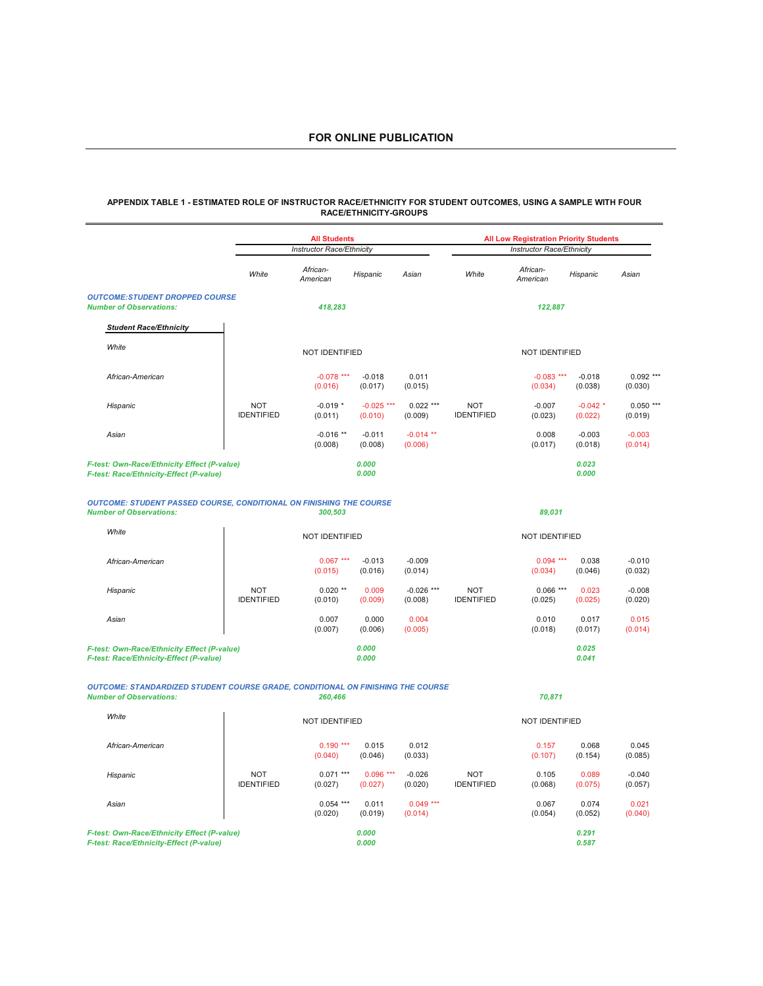#### **APPENDIX TABLE 1 - ESTIMATED ROLE OF INSTRUCTOR RACE/ETHNICITY FOR STUDENT OUTCOMES, USING A SAMPLE WITH FOUR RACE/ETHNICITY-GROUPS**

|                                                                                                                          |                                 | <b>All Students</b>       |                         |                         |                                 | <b>All Low Registration Priority Students</b> |                       |                        |
|--------------------------------------------------------------------------------------------------------------------------|---------------------------------|---------------------------|-------------------------|-------------------------|---------------------------------|-----------------------------------------------|-----------------------|------------------------|
|                                                                                                                          |                                 | Instructor Race/Ethnicity |                         |                         |                                 | Instructor Race/Ethnicity                     |                       |                        |
|                                                                                                                          | White                           | African-<br>American      | Hispanic                | Asian                   | White                           | African-<br>American                          | Hispanic              | Asian                  |
| <b>OUTCOME:STUDENT DROPPED COURSE</b><br><b>Number of Observations:</b>                                                  |                                 | 418,283                   |                         |                         |                                 | 122,887                                       |                       |                        |
| <b>Student Race/Ethnicity</b>                                                                                            |                                 |                           |                         |                         |                                 |                                               |                       |                        |
| White                                                                                                                    |                                 | NOT IDENTIFIED            |                         |                         |                                 | NOT IDENTIFIED                                |                       |                        |
| African-American                                                                                                         |                                 | $-0.078$ ***<br>(0.016)   | $-0.018$<br>(0.017)     | 0.011<br>(0.015)        |                                 | $-0.083$ ***<br>(0.034)                       | $-0.018$<br>(0.038)   | $0.092$ ***<br>(0.030) |
| Hispanic                                                                                                                 | <b>NOT</b><br><b>IDENTIFIED</b> | $-0.019*$<br>(0.011)      | $-0.025$ ***<br>(0.010) | $0.022$ ***<br>(0.009)  | <b>NOT</b><br><b>IDENTIFIED</b> | $-0.007$<br>(0.023)                           | $-0.042$ *<br>(0.022) | $0.050***$<br>(0.019)  |
| Asian                                                                                                                    |                                 | $-0.016$ **<br>(0.008)    | $-0.011$<br>(0.008)     | $-0.014$ **<br>(0.006)  |                                 | 0.008<br>(0.017)                              | $-0.003$<br>(0.018)   | $-0.003$<br>(0.014)    |
| F-test: Own-Race/Ethnicity Effect (P-value)<br>F-test: Race/Ethnicity-Effect (P-value)                                   |                                 |                           | 0.000<br>0.000          |                         |                                 |                                               | 0.023<br>0.000        |                        |
| <b>OUTCOME: STUDENT PASSED COURSE, CONDITIONAL ON FINISHING THE COURSE</b><br><b>Number of Observations:</b>             |                                 | 300,503                   |                         |                         |                                 | 89,031                                        |                       |                        |
| White                                                                                                                    |                                 | NOT IDENTIFIED            |                         |                         |                                 | NOT IDENTIFIED                                |                       |                        |
| African-American                                                                                                         |                                 | $0.067***$<br>(0.015)     | $-0.013$<br>(0.016)     | $-0.009$<br>(0.014)     |                                 | $0.094***$<br>(0.034)                         | 0.038<br>(0.046)      | $-0.010$<br>(0.032)    |
| Hispanic                                                                                                                 | <b>NOT</b><br><b>IDENTIFIED</b> | $0.020$ **<br>(0.010)     | 0.009<br>(0.009)        | $-0.026$ ***<br>(0.008) | <b>NOT</b><br><b>IDENTIFIED</b> | $0.066***$<br>(0.025)                         | 0.023<br>(0.025)      | $-0.008$<br>(0.020)    |
| Asian                                                                                                                    |                                 | 0.007<br>(0.007)          | 0.000<br>(0.006)        | 0.004<br>(0.005)        |                                 | 0.010<br>(0.018)                              | 0.017<br>(0.017)      | 0.015<br>(0.014)       |
| F-test: Own-Race/Ethnicity Effect (P-value)<br>F-test: Race/Ethnicity-Effect (P-value)                                   |                                 |                           | 0.000<br>0.000          |                         |                                 |                                               | 0.025<br>0.041        |                        |
| <b>OUTCOME: STANDARDIZED STUDENT COURSE GRADE, CONDITIONAL ON FINISHING THE COURSE</b><br><b>Number of Observations:</b> |                                 | 260,466                   |                         |                         |                                 | 70,871                                        |                       |                        |
| White                                                                                                                    |                                 | NOT IDENTIFIED            |                         |                         |                                 | NOT IDENTIFIED                                |                       |                        |
| African-American                                                                                                         |                                 | $0.190***$<br>(0.040)     | 0.015<br>(0.046)        | 0.012<br>(0.033)        |                                 | 0.157<br>(0.107)                              | 0.068<br>(0.154)      | 0.045<br>(0.085)       |
| Hispanic                                                                                                                 | <b>NOT</b><br><b>IDENTIFIED</b> | $0.071***$<br>(0.027)     | $0.096***$<br>(0.027)   | $-0.026$<br>(0.020)     | <b>NOT</b><br><b>IDENTIFIED</b> | 0.105<br>(0.068)                              | 0.089<br>(0.075)      | $-0.040$<br>(0.057)    |
| Asian                                                                                                                    |                                 | $0.054***$<br>(0.020)     | 0.011<br>(0.019)        | $0.049***$<br>(0.014)   |                                 | 0.067<br>(0.054)                              | 0.074<br>(0.052)      | 0.021<br>(0.040)       |
| F-test: Own-Race/Ethnicity Effect (P-value)<br>F-test: Race/Ethnicity-Effect (P-value)                                   |                                 |                           | 0.000<br>0.000          |                         |                                 |                                               | 0.291<br>0.587        |                        |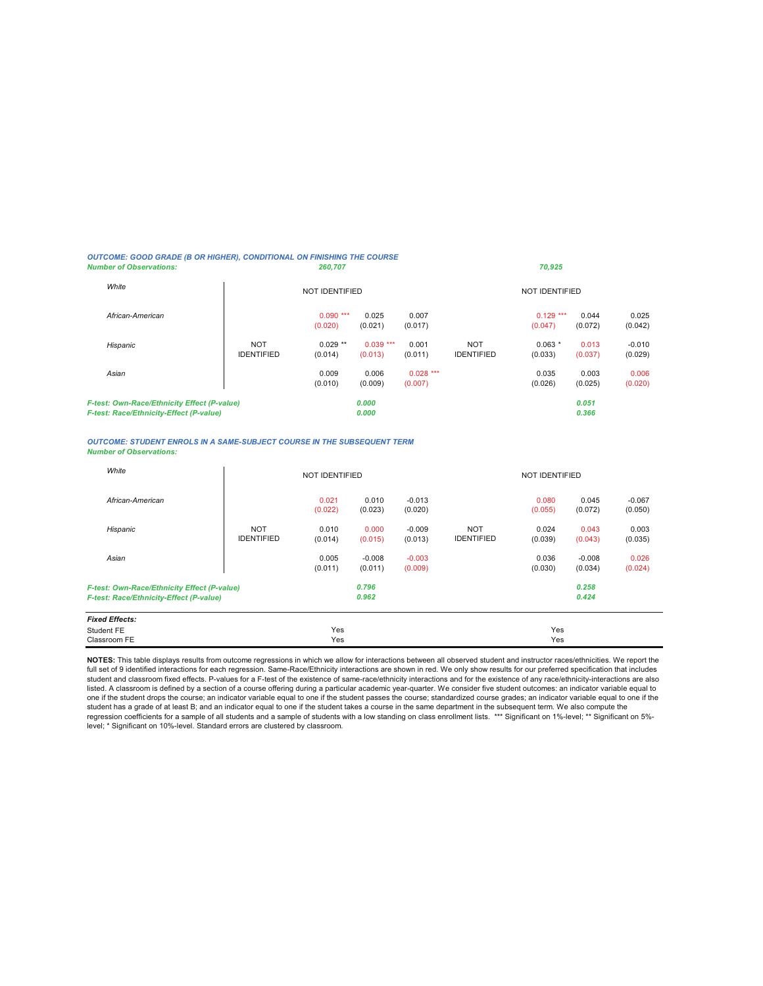#### *OUTCOME: GOOD GRADE (B OR HIGHER), CONDITIONAL ON FINISHING THE COURSE Number of Observations: 260,707 70,925*

| White                                                                                  |                                 | <b>NOT IDENTIFIED</b> |                       |                       |                                 | <b>NOT IDENTIFIED</b>   |                  |                     |
|----------------------------------------------------------------------------------------|---------------------------------|-----------------------|-----------------------|-----------------------|---------------------------------|-------------------------|------------------|---------------------|
| African-American                                                                       |                                 | $0.090***$<br>(0.020) | 0.025<br>(0.021)      | 0.007<br>(0.017)      |                                 | 0.129<br>***<br>(0.047) | 0.044<br>(0.072) | 0.025<br>(0.042)    |
| Hispanic                                                                               | <b>NOT</b><br><b>IDENTIFIED</b> | $0.029$ **<br>(0.014) | $0.039***$<br>(0.013) | 0.001<br>(0.011)      | <b>NOT</b><br><b>IDENTIFIED</b> | $0.063*$<br>(0.033)     | 0.013<br>(0.037) | $-0.010$<br>(0.029) |
| Asian                                                                                  |                                 | 0.009<br>(0.010)      | 0.006<br>(0.009)      | $0.028***$<br>(0.007) |                                 | 0.035<br>(0.026)        | 0.003<br>(0.025) | 0.006<br>(0.020)    |
| F-test: Own-Race/Ethnicity Effect (P-value)<br>F-test: Race/Ethnicity-Effect (P-value) |                                 |                       | 0.000<br>0.000        |                       |                                 |                         | 0.051<br>0.366   |                     |

*OUTCOME: STUDENT ENROLS IN A SAME-SUBJECT COURSE IN THE SUBSEQUENT TERM Number of Observations:*

| White                                                                                  |                                 | <b>NOT IDENTIFIED</b> |                     |                     |                                 | <b>NOT IDENTIFIED</b> |                     |                     |
|----------------------------------------------------------------------------------------|---------------------------------|-----------------------|---------------------|---------------------|---------------------------------|-----------------------|---------------------|---------------------|
| African-American                                                                       |                                 | 0.021<br>(0.022)      | 0.010<br>(0.023)    | $-0.013$<br>(0.020) |                                 | 0.080<br>(0.055)      | 0.045<br>(0.072)    | $-0.067$<br>(0.050) |
| Hispanic                                                                               | <b>NOT</b><br><b>IDENTIFIED</b> | 0.010<br>(0.014)      | 0.000<br>(0.015)    | $-0.009$<br>(0.013) | <b>NOT</b><br><b>IDENTIFIED</b> | 0.024<br>(0.039)      | 0.043<br>(0.043)    | 0.003<br>(0.035)    |
| Asian                                                                                  |                                 | 0.005<br>(0.011)      | $-0.008$<br>(0.011) | $-0.003$<br>(0.009) |                                 | 0.036<br>(0.030)      | $-0.008$<br>(0.034) | 0.026<br>(0.024)    |
| F-test: Own-Race/Ethnicity Effect (P-value)<br>F-test: Race/Ethnicity-Effect (P-value) |                                 |                       | 0.796<br>0.962      |                     |                                 |                       | 0.258<br>0.424      |                     |
| <b>Fixed Effects:</b>                                                                  |                                 |                       |                     |                     |                                 |                       |                     |                     |
| Student FE<br>Classroom FE                                                             |                                 | Yes<br>Yes            |                     |                     |                                 | Yes<br>Yes            |                     |                     |
|                                                                                        |                                 |                       |                     |                     |                                 |                       |                     |                     |

**NOTES:** This table displays results from outcome regressions in which we allow for interactions between all observed student and instructor races/ethnicities. We report the full set of 9 identified interactions for each regression. Same-Race/Ethnicity interactions are shown in red. We only show results for our preferred specification that includes student and classroom fixed effects. P-values for a F-test of the existence of same-race/ethnicity interactions and for the existence of any race/ethnicity-interactions are also<br>listed. A classroom is defined by a section student has a grade of at least B; and an indicator equal to one if the student takes a course in the same department in the subsequent term. We also compute the regression coefficients for a sample of all students and a sample of students with a low standing on class enrollment lists. \*\*\* Significant on 1%-level; \*\* Significant on 5%level; \* Significant on 10%-level. Standard errors are clustered by classroom.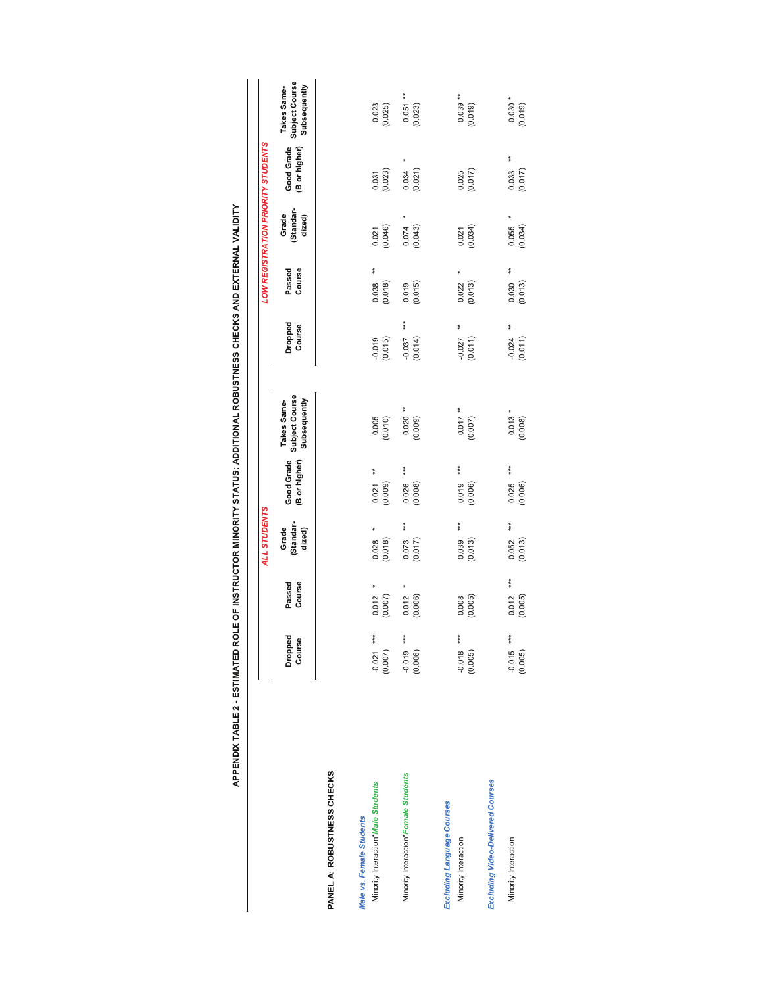APPENDIX TABLE 2 - ESTIMATED ROLE OF INSTRUCTOR MINORITY STATUS: ADDITIONAL ROBUSTNESS CHECKS AND EXTERNAL VALIDITY **APPENDIX TABLE 2 - ESTIMATED ROLE OF INSTRUCTOR MINORITY STATUS: ADDITIONAL ROBUSTNESS CHECKS AND EXTERNAL VALIDITY**

|                                                                 |                            |                         | <b>ALL STUDENTS</b>         |                                   |                                               |                              |                             |                             | LOW REGISTRATION PRIORITY STUDENTS |                                               |
|-----------------------------------------------------------------|----------------------------|-------------------------|-----------------------------|-----------------------------------|-----------------------------------------------|------------------------------|-----------------------------|-----------------------------|------------------------------------|-----------------------------------------------|
|                                                                 | <b>Dropped</b><br>Course   | Course<br>Passed        | Standar-<br>Grade<br>dized) | Good Grade<br>(B or higher)       | Subject Course<br>Subsequently<br>Takes Same- | Dropped<br>Course            | Course<br>Passed            | Standar-<br>Grade<br>dized) | Good Grade<br>(B or higher)        | Subject Course<br>Subsequently<br>Takes Same- |
| PANEL A: ROBUSTNESS CHECKS                                      |                            |                         |                             |                                   |                                               |                              |                             |                             |                                    |                                               |
| Minority Interaction* Male Students<br>Male vs. Female Students | ***<br>(0.007)<br>$-0.021$ | (0.007)<br>0.012        | (0.018)<br>0.028            | $\frac{*}{*}$<br>(0.009)<br>0.021 | 0.005<br>(0.010)                              | (0.015)<br>$-0.019$          | $*$<br>(0.018)<br>0.038     | (0.046)<br>0.021            | (0.023)<br>0.031                   | 0.023<br>(0.025)                              |
| Minority Interaction*Female Students                            | $-0.019$ ***<br>(0.006)    | 0.012<br>(0.006)        | ***<br>0.073<br>(0.017)     | ***<br>0.026<br>(0.008)           | (60000)                                       | $***$<br>$-0.037$<br>(0.014) | (0.015)<br>0.019            | (0.043)<br>0.074            | 0.034<br>(0.021)                   | $*$<br>$0.051$<br>$(0.023)$                   |
| Excluding Language Courses<br>Minority Interaction              | $-0.018$ ***<br>(0.005)    | (0.005)<br>0.008        | $* * *$<br>(0.013)<br>0.039 | ***<br>0.019<br>(0.006)           | (10000)                                       | ŧ<br>$-0.027$<br>(0.011)     | $0.022$<br>$(0.013)$        | (0.034)<br>0.021            | $0.025$<br>$(0.017)$               | $0.039**$<br>(0.019)                          |
| <b>Excluding Video-Delivered Courses</b>                        |                            |                         |                             |                                   |                                               |                              |                             |                             |                                    |                                               |
| Minority Interaction                                            | $-0.015$ ***<br>(0.005)    | ***<br>0.012<br>(0.005) | ***<br>(0.013)<br>0.052     | $***$<br>0.025<br>(0.006)         | $0.013 *$<br>(0.008)                          | ŧ<br>$-0.024$<br>(0.011)     | $*$<br>$0.030$<br>$(0.013)$ | (0.034)<br>0.055            | ŧ<br>(0.017)<br>0.033              | $0.030 *$<br>(0.019)                          |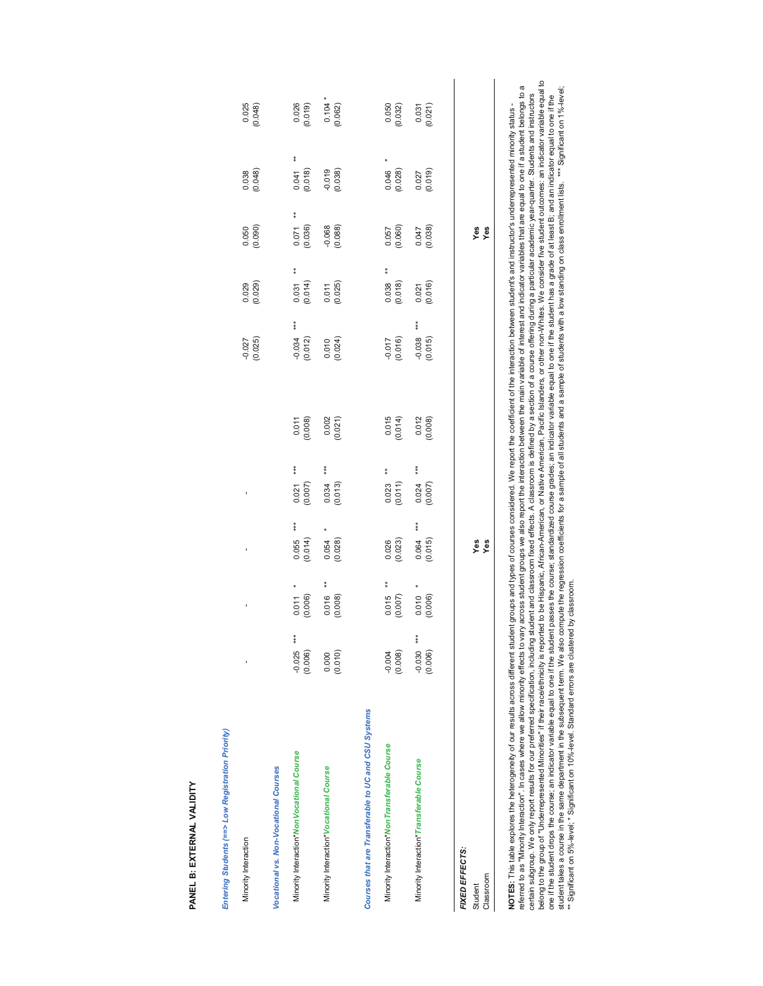| Entering Students (==> Low Registration Priority)                                                                                                                                                                                                                                                                                                                                                                                                               |                            |                              |                         |                           |                      |                              |                             |                                        |                       |                        |
|-----------------------------------------------------------------------------------------------------------------------------------------------------------------------------------------------------------------------------------------------------------------------------------------------------------------------------------------------------------------------------------------------------------------------------------------------------------------|----------------------------|------------------------------|-------------------------|---------------------------|----------------------|------------------------------|-----------------------------|----------------------------------------|-----------------------|------------------------|
| Minority Interaction                                                                                                                                                                                                                                                                                                                                                                                                                                            |                            |                              |                         |                           |                      | (0.025)<br>$-0.027$          | $0.029$<br>$(0.029)$        | (0.050)                                | (0.038)               | 0.025<br>(0.048)       |
| Vocational vs. Non-Vocational Courses                                                                                                                                                                                                                                                                                                                                                                                                                           |                            |                              |                         |                           |                      |                              |                             |                                        |                       |                        |
| Minority Interaction* Non Vocational Course                                                                                                                                                                                                                                                                                                                                                                                                                     | ***<br>$-0.025$<br>(0.006) | (0.006)<br>0.011             | ***<br>0.055<br>(0.014) | $***$<br>0.021<br>(0.007) | (0.008)              | $***$<br>$-0.034$<br>(0.012) | $\frac{*}{*}$<br>(0.031)    | $\frac{*}{*}$<br>$(0.071$<br>$(0.036)$ | ŧ<br>(0.018)<br>0.041 | 0.026<br>(0.019)       |
| Minority Interaction* Vocational Course                                                                                                                                                                                                                                                                                                                                                                                                                         | (0.010)<br>0.000           | ŧ<br>(0.008)<br>0.016        | (0.028)<br>0.054        | ***<br>(0.013)<br>0.034   | $0.002$<br>$(0.021)$ | (0.024)<br>0.010             | $0.011$<br>$(0.025)$        | $-0.068$<br>$(0.088)$                  | $-0.019$<br>$(0.038)$ | $0.104$ *<br>$(0.062)$ |
| Courses that are Transferable to UC and CSU Systems                                                                                                                                                                                                                                                                                                                                                                                                             |                            |                              |                         |                           |                      |                              |                             |                                        |                       |                        |
| Minority Interaction* Non Transferable Course                                                                                                                                                                                                                                                                                                                                                                                                                   | (0.008)<br>$-0.004$        | $\bf{*}$<br>(0.007)<br>0.015 | (0.023)<br>0.026        | $0.023$<br>$(0.011)$      | $0.015$<br>$(0.014)$ | (0.016)<br>$-0.017$          | $*$<br>$0.038$<br>$(0.018)$ | 0.057<br>(0.060)                       | 0.046<br>(0.028)      | 0.050<br>(0.032)       |
| Minority Interaction* Transferable Course                                                                                                                                                                                                                                                                                                                                                                                                                       | ***<br>(0.006)<br>$-0.030$ | (0.006)<br>0.010             | ***<br>(0.015)<br>0.064 | $***$<br>0.024<br>(0.007) | 0.012<br>(0.008)     | $***$<br>$-0.038$<br>(0.015) | (0.016)<br>0.021            | (0.038)<br>0.047                       | $0.027$<br>$(0.019)$  | $0.031$<br>$(0.021)$   |
| FIXED EFFECTS:                                                                                                                                                                                                                                                                                                                                                                                                                                                  |                            |                              |                         |                           |                      |                              |                             |                                        |                       |                        |
| Classroom<br>Student                                                                                                                                                                                                                                                                                                                                                                                                                                            |                            |                              | yes<br>Yes              |                           |                      |                              |                             | Yes<br>Yes                             |                       |                        |
| referred to as "Minority Interaction". In cases where we allow minority effects to vary across student groups we also report the interaction between the main variable of interest and indicator variables that are equal to o<br>NOTES: This table explores the heterogeneity of our results across different student groups and types of courses considered. We report the coefficient of the interaction between student's and instructor's underrepresented |                            |                              |                         |                           |                      |                              |                             |                                        |                       |                        |
|                                                                                                                                                                                                                                                                                                                                                                                                                                                                 |                            |                              |                         |                           |                      |                              |                             |                                        |                       |                        |

NOTES: This table explores the heterogeneity of our results across different student byouses of courses considered. We report the coefficient of the interaction between student's and instructor's underrepresented minority referred to as "Minority Interaction". In cases where we allow minority effects to vary persos to vary groups we also report the interaction between the main variable of interest and indicator variables that are equal to o certain subgroup. We only report results for our preferred specification, including studing studing including studing studing studing and acourse offering during a particular academic year-quarter. Students and instructors belong of "Underrepresented Minorities" if their race/ethnicity is reported to be Hispanic, African-American, or Native American, Pacific Islanders, or other non-Whites. We consider five student outlocanes: an indicator va one if the student drops the course; an indicator variable equal to one if the student passes the course; standardized course; an indicator variable equal to one if the student has a grade of at least B; and an indicator e student takes a course in the same department in the subsequent term. We also conceptions to ra sample of all students and a sample of students and all subversion conclass enrollment lists. \*\*\* Significant on 1%-level; \*\* Significant on 5%-level; \* Significant on 10%-level. Standard errors are clustered by classroom.

# PANEL B: EXTERNAL VALIDITY **PANEL B: EXTERNAL VALIDITY**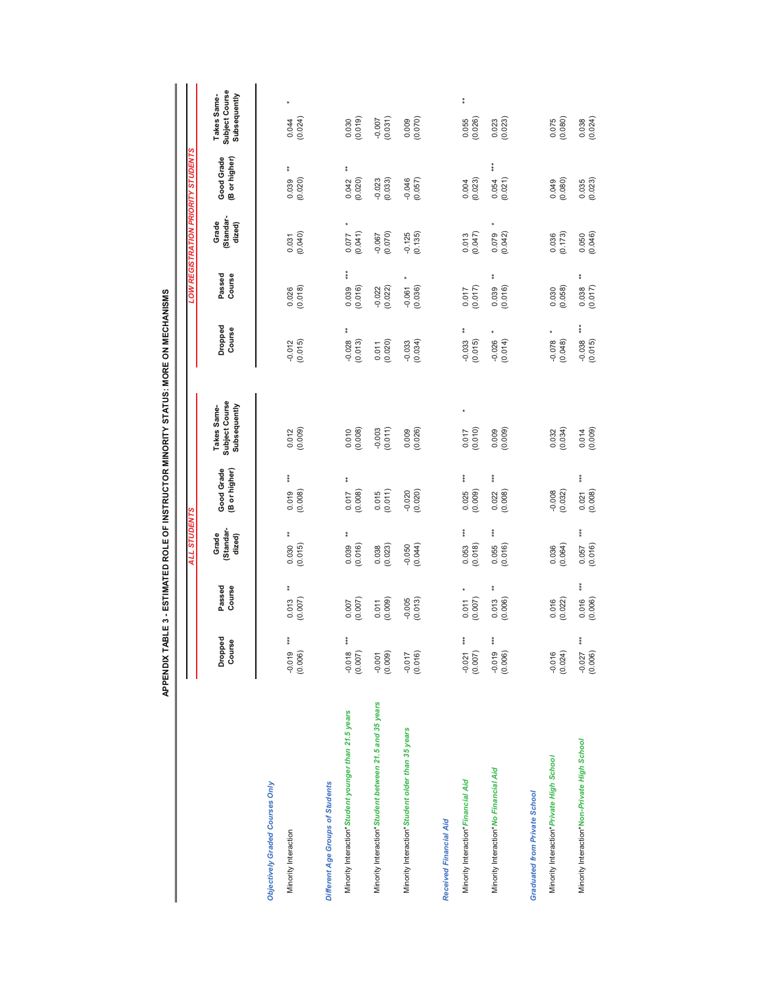|                                                        |                                      |                                | ALL STUDENTS                   |                                      |                                               |                                      |                                |                             | LOW REGISTRATION PRIORITY STUDENTS |                                                      |
|--------------------------------------------------------|--------------------------------------|--------------------------------|--------------------------------|--------------------------------------|-----------------------------------------------|--------------------------------------|--------------------------------|-----------------------------|------------------------------------|------------------------------------------------------|
|                                                        | Dropped<br>Course                    | Passed<br>Course               | Standar-<br>Grade<br>dized)    | Good Grade<br>(B or higher)          | Subject Course<br>Subsequently<br>Takes Same- | Dropped<br>Course                    | Course<br>Passed               | Standar-<br>Grade<br>dized) | Good Grade<br>(B or higher)        | <b>Subject Course</b><br>Subsequently<br>Takes Same- |
| Objectively Graded Courses Only                        |                                      |                                |                                |                                      |                                               |                                      |                                |                             |                                    |                                                      |
| Minority Interaction                                   | $***$<br>$-0.019$<br>(0.006)         | $\ddagger$<br>(0.007)<br>0.013 | $\ddot{*}$<br>(0.015)<br>0.030 | ***<br>(0.008)<br>0.019              | (0.009)<br>0.012                              | $-0.012$<br>$(0.015)$                | (0.018)<br>0.026               | (0.031)                     | ŧ<br>(0.020)<br>0.039              | (0.024)<br>0.044                                     |
| Different Age Groups of Students                       |                                      |                                |                                |                                      |                                               |                                      |                                |                             |                                    |                                                      |
| Minority Interaction*Student younger than 21.5 years   | $***$<br>$-0.018$<br>(0.007)         | (0.007)<br>0.007               | ŧ<br>$0.039$<br>$(0.016)$      | $\frac{*}{*}$<br>$(0.017$<br>(0.008) | $0.010$<br>$(0.008)$                          | $\frac{*}{*}$<br>$-0.028$<br>(0.013) | $* * *$<br>(0.016)<br>0.039    | (0.077)                     | $\ddagger$<br>0.042<br>(0.020)     | (610.0000)                                           |
| Minority Interaction*Student between 21.5 and 35 years | (60000)                              | (0.009)<br>0.011               | $0.038$<br>$(0.023)$           | $0.015$<br>$(0.011)$                 | $-0.003$<br>$(0.011)$                         | $0.011$<br>$(0.020)$                 | $-0.022$<br>$(0.022)$          | (0.070)                     | $-0.023$<br>$(0.033)$              | (160.000)                                            |
| Minority Interaction*Student older than 35 years       | (0.016)<br>$-0.017$                  | $-0.005$<br>(0.013)            | $-0.050$<br>$(0.044)$          | $-0.020$<br>$(0.020)$                | (0.026)<br>0.009                              | (0.034)<br>$-0.033$                  | (0.036)<br>$-0.061$            | $-0.125$<br>$(0.135)$       | $-0.046$<br>(0.057)                | $(0.009$<br>$(0.070)$                                |
| Received Financial Aid                                 |                                      |                                |                                |                                      |                                               |                                      |                                |                             |                                    |                                                      |
| Minority Interaction*Financial Aid                     | $\frac{1}{4}$<br>$-0.021$<br>(0.007) | $\star$<br>(0.007)<br>0.011    | $* *$<br>0.053<br>(0.018)      | $***$<br>$0.025$<br>$(0.009)$        | (0.017)                                       | $\ast$<br>$-0.033$<br>(0.015)        | (0.017)<br>0.017               | $0.013$<br>$(0.047)$        | $0.004$<br>$(0.023)$               | ŧ<br>0.055<br>(0.026)                                |
| Minority Interaction*No Financial Aid                  | $***$<br>$-0.019$<br>(0.006)         | $\ast$<br>0.013<br>(0.006)     | $***$<br>0.055<br>(0.016)      | $0.022$<br>$(0.008)$                 | $0.009$<br>$(0.009)$                          | $-0.026$<br>(0.014)                  | $\ddagger$<br>0.039<br>(0.016) | $0.079$<br>$(0.042)$        | $\ddot{\ast}$<br>0.054<br>(0.021)  | 0.023                                                |
| <b>Graduated from Private School</b>                   |                                      |                                |                                |                                      |                                               |                                      |                                |                             |                                    |                                                      |
| Minority Interaction*Private High School               | (0.024)<br>$-0.016$                  | (0.022)<br>0.016               | $0.036$<br>$(0.064)$           | $-0.008$<br>$(0.032)$                | $0.032$<br>$(0.034)$                          | $-0.078$<br>(0.048)                  | (0.058)<br>0.030               | (6.173)                     | $(0.049$<br>$(0.080)$              | 0.075<br>(0.080)                                     |
| Minority Interaction*Non-Private High School           | $-0.027$ ***<br>(0.006)              | $***$<br>(0.006)<br>0.016      | $***$<br>(0.016)<br>0.057      | $***$<br>$0.021$<br>$(0.008)$        | $0.014$<br>$(0.009)$                          | $*$<br>$-0.038$<br>(0.015)           | $\ddagger$<br>(0.017)<br>0.038 | $0.050$<br>$(0.046)$        | $0.035$<br>$(0.023)$               | $0.038$<br>$(0.024)$                                 |

APPENDIX TABLE 3 - ESTIMATED ROLE OF INSTRUCTOR MINORITY STATUS: MORE ON MECHANISMS **APPENDIX TABLE 3 - ESTIMATED ROLE OF INSTRUCTOR MINORITY STATUS: MORE ON MECHANISMS**